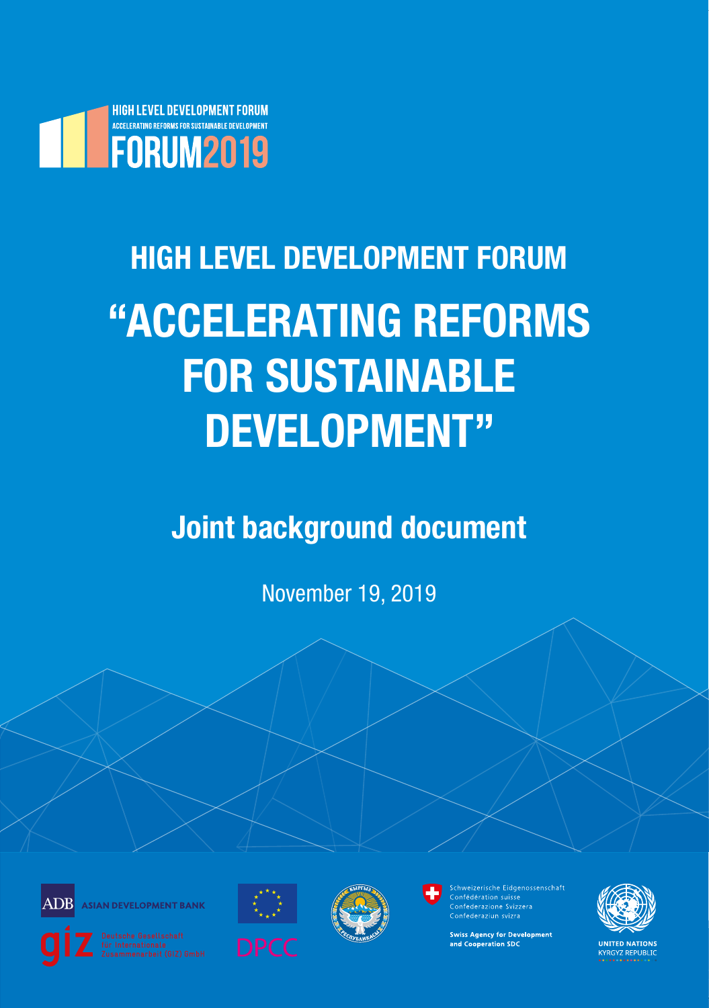

# **HIGH LEVEL DEVELOPMENT FORUM "ACCELERATING REFORMS FOR SUSTAINABLE DEVELOPMENT"**

**Joint background document**

November 19, 2019



**ASIAN DEVELOPMENT BANK** 







Schweizerische Eidgenossenschaft Confederaziun svizra

**Swiss Agency for Development** and Cooperation SDC



**UNITED NATIONS KYRGYZ REPUBLIC**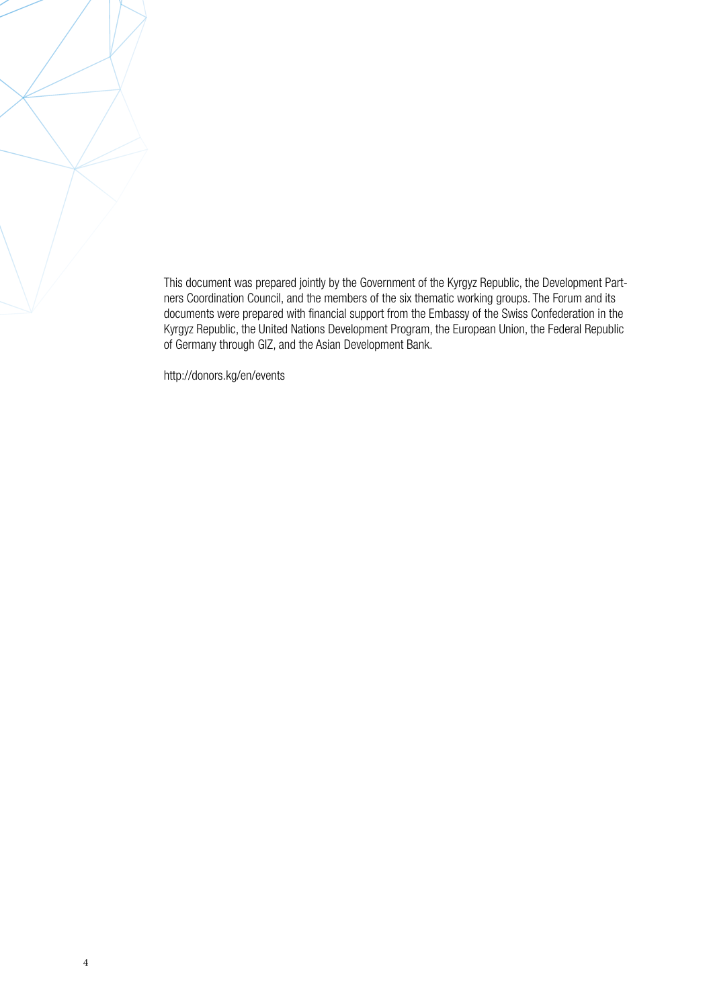This document was prepared jointly by the Government of the Kyrgyz Republic, the Development Partners Coordination Council, and the members of the six thematic working groups. The Forum and its documents were prepared with financial support from the Embassy of the Swiss Confederation in the Kyrgyz Republic, the United Nations Development Program, the European Union, the Federal Republic of Germany through GIZ, and the Asian Development Bank.

http://donors.kg/en/events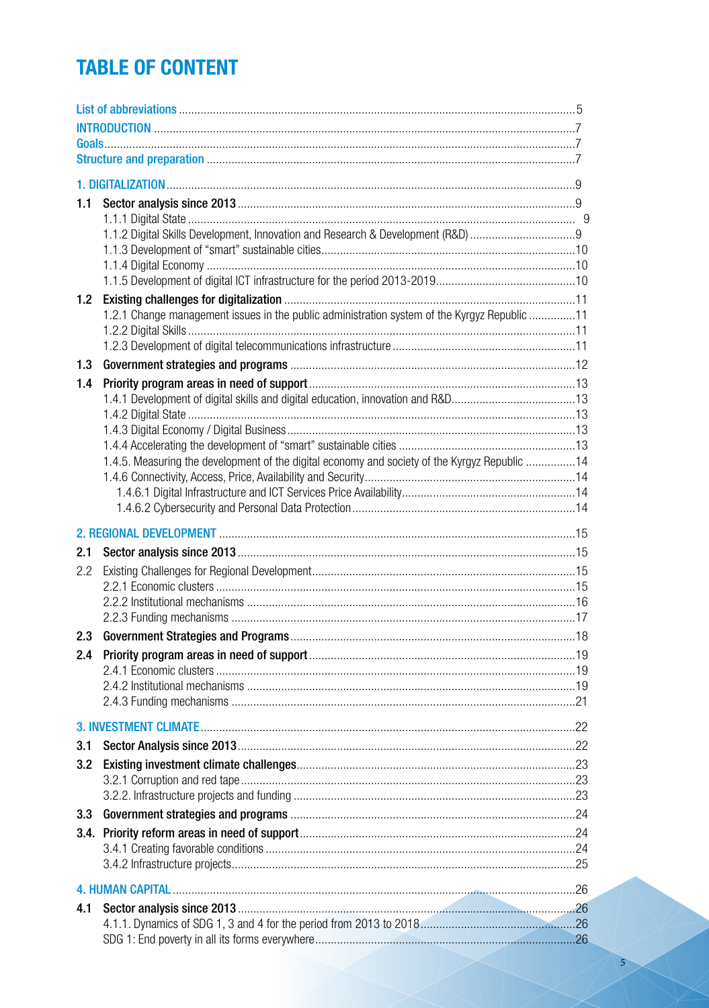# **TABLE OF CONTENT**

| 1.1 |                                                                                               |  |  |  |  |  |
|-----|-----------------------------------------------------------------------------------------------|--|--|--|--|--|
|     |                                                                                               |  |  |  |  |  |
|     |                                                                                               |  |  |  |  |  |
|     |                                                                                               |  |  |  |  |  |
|     |                                                                                               |  |  |  |  |  |
| 1.2 |                                                                                               |  |  |  |  |  |
|     | 1.2.1 Change management issues in the public administration system of the Kyrgyz Republic 11  |  |  |  |  |  |
|     |                                                                                               |  |  |  |  |  |
| 1.3 |                                                                                               |  |  |  |  |  |
| 1.4 |                                                                                               |  |  |  |  |  |
|     |                                                                                               |  |  |  |  |  |
|     |                                                                                               |  |  |  |  |  |
|     |                                                                                               |  |  |  |  |  |
|     | 1.4.5. Measuring the development of the digital economy and society of the Kyrgyz Republic 14 |  |  |  |  |  |
|     |                                                                                               |  |  |  |  |  |
|     |                                                                                               |  |  |  |  |  |
|     |                                                                                               |  |  |  |  |  |
|     |                                                                                               |  |  |  |  |  |
| 2.1 |                                                                                               |  |  |  |  |  |
| 2.2 |                                                                                               |  |  |  |  |  |
|     |                                                                                               |  |  |  |  |  |
|     |                                                                                               |  |  |  |  |  |
|     |                                                                                               |  |  |  |  |  |
| 2.3 |                                                                                               |  |  |  |  |  |
| 2.4 |                                                                                               |  |  |  |  |  |
|     |                                                                                               |  |  |  |  |  |
|     |                                                                                               |  |  |  |  |  |
|     |                                                                                               |  |  |  |  |  |
| 3.1 |                                                                                               |  |  |  |  |  |
| 3.2 |                                                                                               |  |  |  |  |  |
|     |                                                                                               |  |  |  |  |  |
|     |                                                                                               |  |  |  |  |  |
| 3.3 |                                                                                               |  |  |  |  |  |
|     |                                                                                               |  |  |  |  |  |
|     |                                                                                               |  |  |  |  |  |
|     |                                                                                               |  |  |  |  |  |
|     |                                                                                               |  |  |  |  |  |
| 4.1 |                                                                                               |  |  |  |  |  |
|     |                                                                                               |  |  |  |  |  |
|     |                                                                                               |  |  |  |  |  |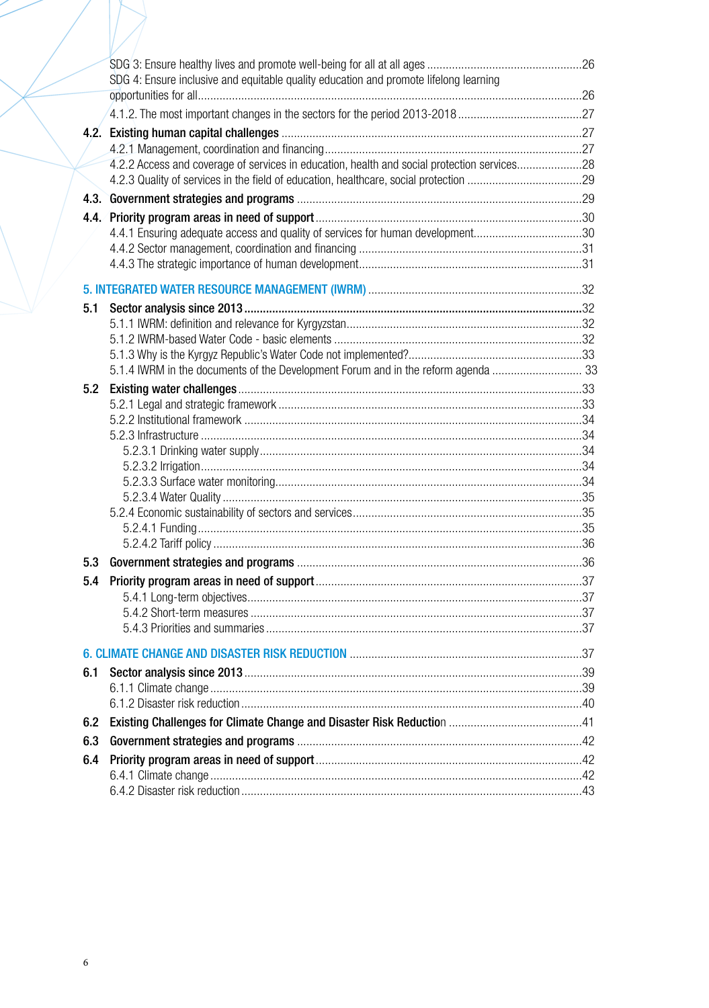|      | SDG 4: Ensure inclusive and equitable quality education and promote lifelong learning       |  |  |  |  |
|------|---------------------------------------------------------------------------------------------|--|--|--|--|
|      |                                                                                             |  |  |  |  |
|      |                                                                                             |  |  |  |  |
| 4.2. |                                                                                             |  |  |  |  |
|      |                                                                                             |  |  |  |  |
|      | 4.2.2 Access and coverage of services in education, health and social protection services28 |  |  |  |  |
|      |                                                                                             |  |  |  |  |
|      |                                                                                             |  |  |  |  |
|      |                                                                                             |  |  |  |  |
|      | 4.4.1 Ensuring adequate access and quality of services for human development30              |  |  |  |  |
|      |                                                                                             |  |  |  |  |
|      |                                                                                             |  |  |  |  |
|      |                                                                                             |  |  |  |  |
| 5.1  |                                                                                             |  |  |  |  |
|      |                                                                                             |  |  |  |  |
|      |                                                                                             |  |  |  |  |
|      |                                                                                             |  |  |  |  |
|      | 5.1.4 IWRM in the documents of the Development Forum and in the reform agenda  33           |  |  |  |  |
| 5.2  |                                                                                             |  |  |  |  |
|      |                                                                                             |  |  |  |  |
|      |                                                                                             |  |  |  |  |
|      |                                                                                             |  |  |  |  |
|      |                                                                                             |  |  |  |  |
|      |                                                                                             |  |  |  |  |
|      |                                                                                             |  |  |  |  |
|      |                                                                                             |  |  |  |  |
|      |                                                                                             |  |  |  |  |
|      |                                                                                             |  |  |  |  |
| 5.3  |                                                                                             |  |  |  |  |
|      |                                                                                             |  |  |  |  |
|      |                                                                                             |  |  |  |  |
|      |                                                                                             |  |  |  |  |
|      |                                                                                             |  |  |  |  |
|      |                                                                                             |  |  |  |  |
|      |                                                                                             |  |  |  |  |
| 6.1  |                                                                                             |  |  |  |  |
|      |                                                                                             |  |  |  |  |
| 6.2  |                                                                                             |  |  |  |  |
|      |                                                                                             |  |  |  |  |
| 6.3  |                                                                                             |  |  |  |  |
| 6.4  |                                                                                             |  |  |  |  |
|      |                                                                                             |  |  |  |  |
|      |                                                                                             |  |  |  |  |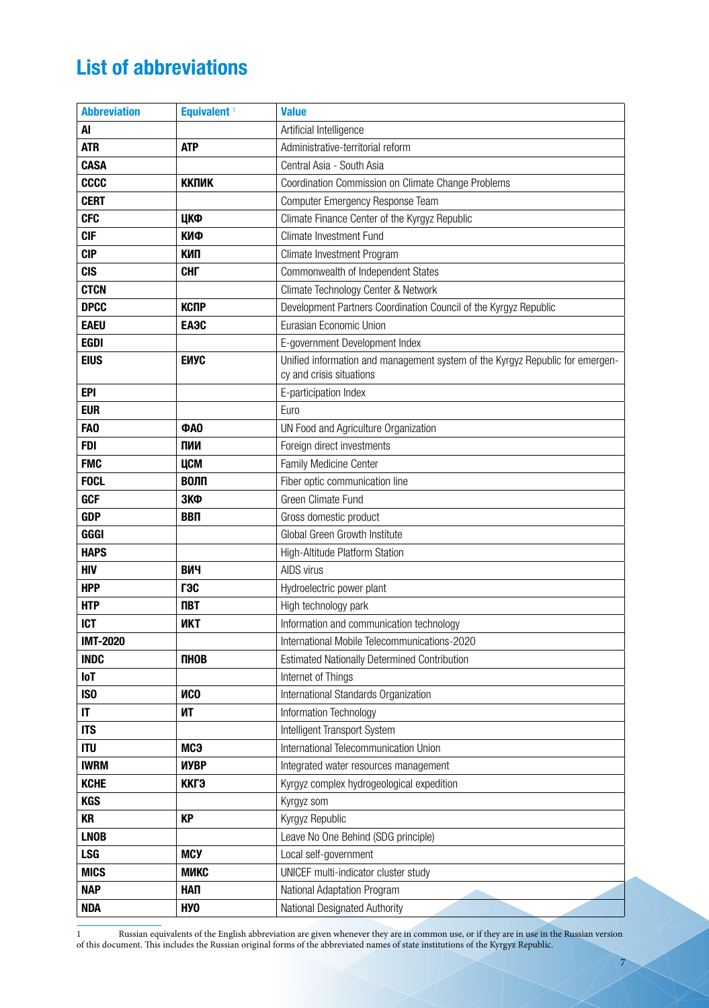# **List of abbreviations**

| <b>Abbreviation</b> | Equivalent <sup>1</sup> | <b>Value</b>                                                                                              |
|---------------------|-------------------------|-----------------------------------------------------------------------------------------------------------|
| AI                  |                         | Artificial Intelligence                                                                                   |
| <b>ATR</b>          | <b>ATP</b>              | Administrative-territorial reform                                                                         |
| <b>CASA</b>         |                         | Central Asia - South Asia                                                                                 |
| <b>CCCC</b>         | <b>ККПИК</b>            | Coordination Commission on Climate Change Problems                                                        |
| <b>CERT</b>         |                         | Computer Emergency Response Team                                                                          |
| <b>CFC</b>          | ЦКФ                     | Climate Finance Center of the Kyrgyz Republic                                                             |
| <b>CIF</b>          | КИФ                     | <b>Climate Investment Fund</b>                                                                            |
| <b>CIP</b>          | КИП                     | Climate Investment Program                                                                                |
| <b>CIS</b>          | <b>CHL</b>              | Commonwealth of Independent States                                                                        |
| <b>CTCN</b>         |                         | Climate Technology Center & Network                                                                       |
| <b>DPCC</b>         | <b>КСПР</b>             | Development Partners Coordination Council of the Kyrgyz Republic                                          |
| <b>EAEU</b>         | ЕАЭС                    | Eurasian Economic Union                                                                                   |
| <b>EGDI</b>         |                         | E-government Development Index                                                                            |
| <b>EIUS</b>         | ЕИУС                    | Unified information and management system of the Kyrgyz Republic for emergen-<br>cy and crisis situations |
| <b>EPI</b>          |                         | E-participation Index                                                                                     |
| <b>EUR</b>          |                         | Euro                                                                                                      |
| FA <sub>0</sub>     | <b>ΦΑΟ</b>              | UN Food and Agriculture Organization                                                                      |
| <b>FDI</b>          | ПИИ                     | Foreign direct investments                                                                                |
| <b>FMC</b>          | ЦСМ                     | Family Medicine Center                                                                                    |
| <b>FOCL</b>         | ВОЛП                    | Fiber optic communication line                                                                            |
| <b>GCF</b>          | ЗКФ                     | Green Climate Fund                                                                                        |
| <b>GDP</b>          | <b>BBN</b>              | Gross domestic product                                                                                    |
| GGGI                |                         | Global Green Growth Institute                                                                             |
| <b>HAPS</b>         |                         | High-Altitude Platform Station                                                                            |
| <b>HIV</b>          | ВИЧ                     | AIDS virus                                                                                                |
| <b>HPP</b>          | гэс                     | Hydroelectric power plant                                                                                 |
| <b>HTP</b>          | <b>NBT</b>              | High technology park                                                                                      |
| <b>ICT</b>          | <b>UKT</b>              | Information and communication technology                                                                  |
| <b>IMT-2020</b>     |                         | International Mobile Telecommunications-2020                                                              |
| <b>INDC</b>         | ПНОВ                    | <b>Estimated Nationally Determined Contribution</b>                                                       |
| <b>IoT</b>          |                         | Internet of Things                                                                                        |
| IS <sub>0</sub>     | <b>NCO</b>              | International Standards Organization                                                                      |
| IT                  | ИT                      | Information Technology                                                                                    |
| <b>ITS</b>          |                         | Intelligent Transport System                                                                              |
| <b>ITU</b>          | мсэ                     | International Telecommunication Union                                                                     |
| <b>IWRM</b>         | ИУВР                    | Integrated water resources management                                                                     |
| <b>KCHE</b>         | ККГЭ                    | Kyrgyz complex hydrogeological expedition                                                                 |
| <b>KGS</b>          |                         | Kyrgyz som                                                                                                |
| <b>KR</b>           | <b>KP</b>               | Kyrgyz Republic                                                                                           |
| <b>LNOB</b>         |                         | Leave No One Behind (SDG principle)                                                                       |
| <b>LSG</b>          | <b>MCY</b>              | Local self-government                                                                                     |
| <b>MICS</b>         | МИКС                    | UNICEF multi-indicator cluster study                                                                      |
| <b>NAP</b>          | НАП                     | National Adaptation Program                                                                               |
| <b>NDA</b>          | H <sub>y</sub> o        | National Designated Authority                                                                             |

1 Russian equivalents of the English abbreviation are given whenever they are in common use, or if they are in use in the Russian version of this document. This includes the Russian original forms of the abbreviated names of state institutions of the Kyrgyz Republic.

7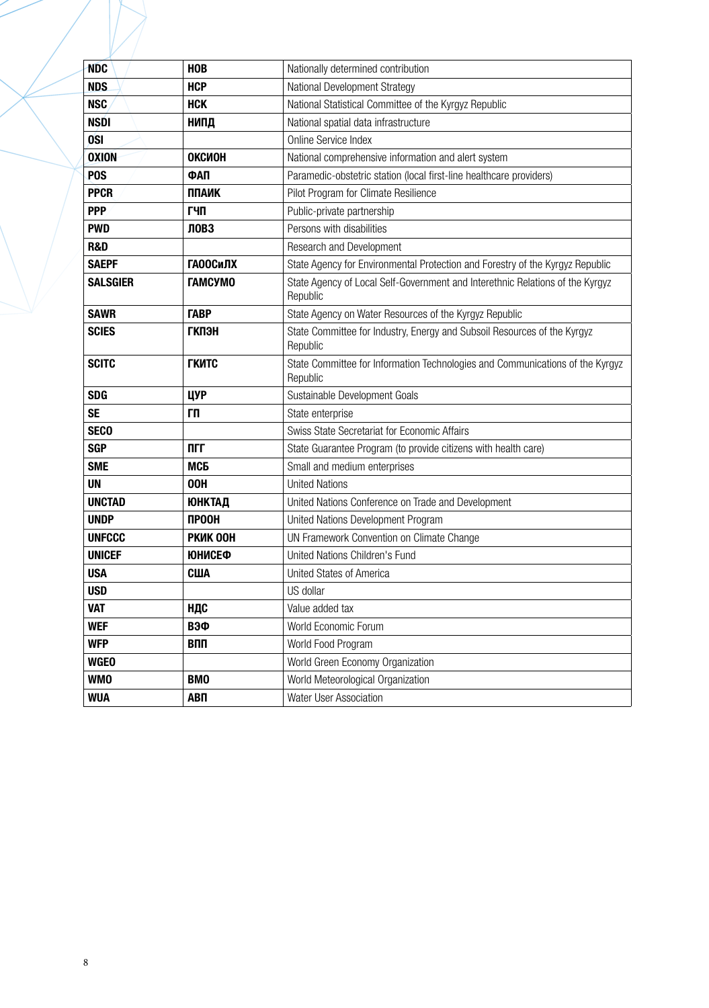| <b>NDC</b>       | <b>HOB</b>      | Nationally determined contribution                                                        |
|------------------|-----------------|-------------------------------------------------------------------------------------------|
| <b>NDS</b>       | <b>HCP</b>      | National Development Strategy                                                             |
| <b>NSC</b>       | <b>HCK</b>      | National Statistical Committee of the Kyrgyz Republic                                     |
| <b>NSDI</b>      | НИПД            | National spatial data infrastructure                                                      |
| <b>OSI</b>       |                 | Online Service Index                                                                      |
| <b>OXION</b>     | ОКСИОН          | National comprehensive information and alert system                                       |
| P <sub>0</sub> S | ФАП             | Paramedic-obstetric station (local first-line healthcare providers)                       |
| <b>PPCR</b>      | <b>ППАИК</b>    | Pilot Program for Climate Resilience                                                      |
| <b>PPP</b>       | ГЧП             | Public-private partnership                                                                |
| <b>PWD</b>       | <b>ЛОВЗ</b>     | Persons with disabilities                                                                 |
| <b>R&amp;D</b>   |                 | Research and Development                                                                  |
| <b>SAEPF</b>     | <b>ГАООСИЛХ</b> | State Agency for Environmental Protection and Forestry of the Kyrgyz Republic             |
| <b>SALSGIER</b>  | <b>TAMCYMO</b>  | State Agency of Local Self-Government and Interethnic Relations of the Kyrgyz<br>Republic |
| <b>SAWR</b>      | <b>TABP</b>     | State Agency on Water Resources of the Kyrgyz Republic                                    |
| <b>SCIES</b>     | <b>ГКПЭН</b>    | State Committee for Industry, Energy and Subsoil Resources of the Kyrgyz<br>Republic      |
| <b>SCITC</b>     | <b>ГКИТС</b>    | State Committee for Information Technologies and Communications of the Kyrgyz<br>Republic |
| <b>SDG</b>       | ЦУР             | Sustainable Development Goals                                                             |
| <b>SE</b>        | ГП              | State enterprise                                                                          |
| <b>SECO</b>      |                 | Swiss State Secretariat for Economic Affairs                                              |
| <b>SGP</b>       | ПГГ             | State Guarantee Program (to provide citizens with health care)                            |
| <b>SME</b>       | МСБ             | Small and medium enterprises                                                              |
| <b>UN</b>        | 00H             | <b>United Nations</b>                                                                     |
| <b>UNCTAD</b>    | <b>ЮНКТАД</b>   | United Nations Conference on Trade and Development                                        |
| <b>UNDP</b>      | <b>ПРООН</b>    | United Nations Development Program                                                        |
| <b>UNFCCC</b>    | <b>PKWK OOH</b> | UN Framework Convention on Climate Change                                                 |
| <b>UNICEF</b>    | <b>ЮНИСЕФ</b>   | United Nations Children's Fund                                                            |
| <b>USA</b>       | США             | United States of America                                                                  |
| <b>USD</b>       |                 | US dollar                                                                                 |
| <b>VAT</b>       | НДС             | Value added tax                                                                           |
| <b>WEF</b>       | ВЭФ             | World Economic Forum                                                                      |
| <b>WFP</b>       | ВПП             | World Food Program                                                                        |
| <b>WGEO</b>      |                 | World Green Economy Organization                                                          |
| <b>WMO</b>       | <b>BMO</b>      | World Meteorological Organization                                                         |
| <b>WUA</b>       | АВП             | Water User Association                                                                    |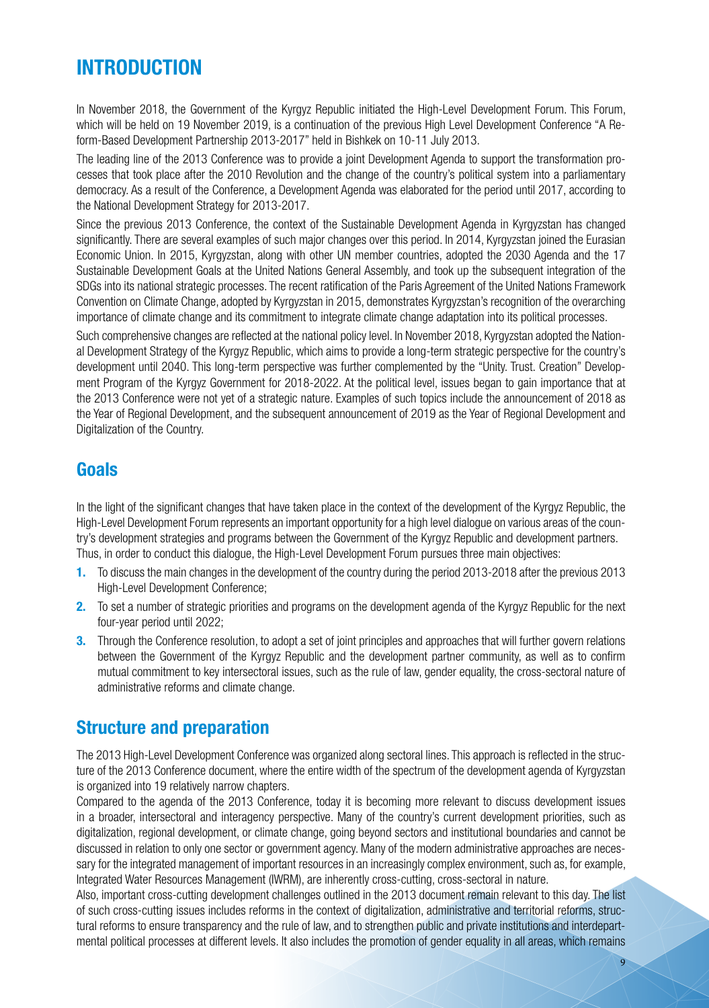# **INTRODUCTION**

In November 2018, the Government of the Kyrgyz Republic initiated the High-Level Development Forum. This Forum, which will be held on 19 November 2019, is a continuation of the previous High Level Development Conference "A Reform-Based Development Partnership 2013-2017" held in Bishkek on 10-11 July 2013.

The leading line of the 2013 Conference was to provide a joint Development Agenda to support the transformation processes that took place after the 2010 Revolution and the change of the country's political system into a parliamentary democracy. As a result of the Conference, a Development Agenda was elaborated for the period until 2017, according to the National Development Strategy for 2013-2017.

Since the previous 2013 Conference, the context of the Sustainable Development Agenda in Kyrgyzstan has changed significantly. There are several examples of such major changes over this period. In 2014, Kyrgyzstan joined the Eurasian Economic Union. In 2015, Kyrgyzstan, along with other UN member countries, adopted the 2030 Agenda and the 17 Sustainable Development Goals at the United Nations General Assembly, and took up the subsequent integration of the SDGs into its national strategic processes. The recent ratification of the Paris Agreement of the United Nations Framework Convention on Climate Change, adopted by Kyrgyzstan in 2015, demonstrates Kyrgyzstan's recognition of the overarching importance of climate change and its commitment to integrate climate change adaptation into its political processes.

Such comprehensive changes are reflected at the national policy level. In November 2018, Kyrgyzstan adopted the National Development Strategy of the Kyrgyz Republic, which aims to provide a long-term strategic perspective for the country's development until 2040. This long-term perspective was further complemented by the "Unity. Trust. Creation" Development Program of the Kyrgyz Government for 2018-2022. At the political level, issues began to gain importance that at the 2013 Conference were not yet of a strategic nature. Examples of such topics include the announcement of 2018 as the Year of Regional Development, and the subsequent announcement of 2019 as the Year of Regional Development and Digitalization of the Country.

### **Goals**

In the light of the significant changes that have taken place in the context of the development of the Kyrgyz Republic, the High-Level Development Forum represents an important opportunity for a high level dialogue on various areas of the country's development strategies and programs between the Government of the Kyrgyz Republic and development partners. Thus, in order to conduct this dialogue, the High-Level Development Forum pursues three main objectives:

- **1.** To discuss the main changes in the development of the country during the period 2013-2018 after the previous 2013 High-Level Development Conference;
- **2.** To set a number of strategic priorities and programs on the development agenda of the Kyrgyz Republic for the next four-year period until 2022;
- **3.** Through the Conference resolution, to adopt a set of joint principles and approaches that will further govern relations between the Government of the Kyrgyz Republic and the development partner community, as well as to confirm mutual commitment to key intersectoral issues, such as the rule of law, gender equality, the cross-sectoral nature of administrative reforms and climate change.

### **Structure and preparation**

The 2013 High-Level Development Conference was organized along sectoral lines. This approach is reflected in the structure of the 2013 Conference document, where the entire width of the spectrum of the development agenda of Kyrgyzstan is organized into 19 relatively narrow chapters.

Compared to the agenda of the 2013 Conference, today it is becoming more relevant to discuss development issues in a broader, intersectoral and interagency perspective. Many of the country's current development priorities, such as digitalization, regional development, or climate change, going beyond sectors and institutional boundaries and cannot be discussed in relation to only one sector or government agency. Many of the modern administrative approaches are necessary for the integrated management of important resources in an increasingly complex environment, such as, for example, Integrated Water Resources Management (IWRM), are inherently cross-cutting, cross-sectoral in nature.

Also, important cross-cutting development challenges outlined in the 2013 document remain relevant to this day. The list of such cross-cutting issues includes reforms in the context of digitalization, administrative and territorial reforms, structural reforms to ensure transparency and the rule of law, and to strengthen public and private institutions and interdepartmental political processes at different levels. It also includes the promotion of gender equality in all areas, which remains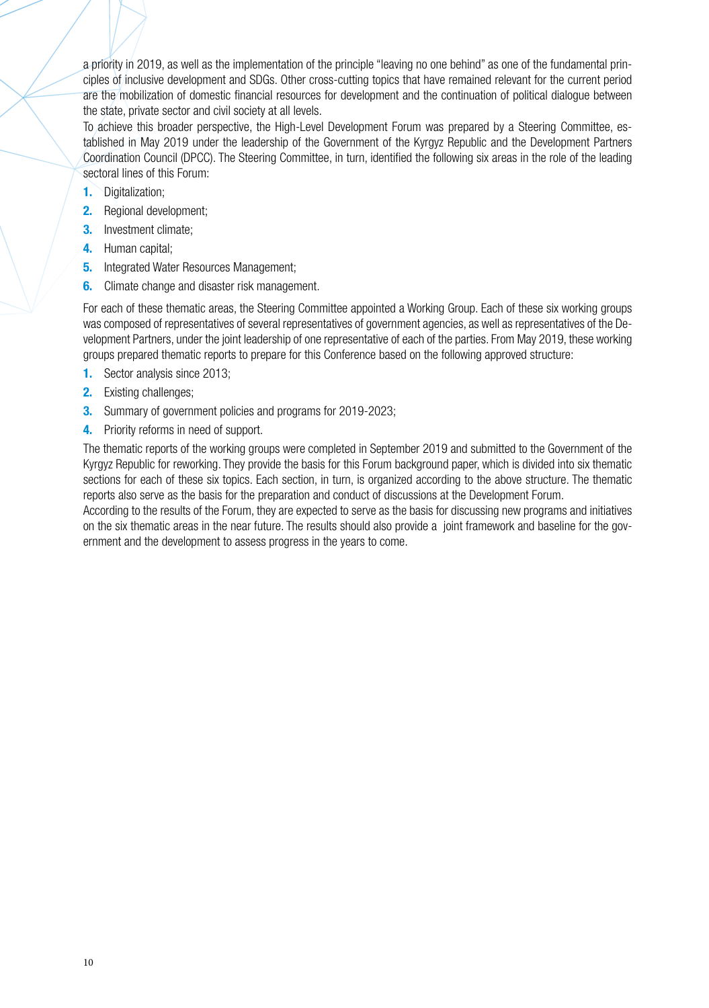a priority in 2019, as well as the implementation of the principle "leaving no one behind" as one of the fundamental principles of inclusive development and SDGs. Other cross-cutting topics that have remained relevant for the current period are the mobilization of domestic financial resources for development and the continuation of political dialogue between the state, private sector and civil society at all levels.

To achieve this broader perspective, the High-Level Development Forum was prepared by a Steering Committee, established in May 2019 under the leadership of the Government of the Kyrgyz Republic and the Development Partners Coordination Council (DPCC). The Steering Committee, in turn, identified the following six areas in the role of the leading sectoral lines of this Forum:

- **1.** Digitalization;
- **2.** Regional development;
- **3.** Investment climate:
- **4.** Human capital;
- **5.** Integrated Water Resources Management;
- **6.** Climate change and disaster risk management.

For each of these thematic areas, the Steering Committee appointed a Working Group. Each of these six working groups was composed of representatives of several representatives of government agencies, as well as representatives of the Development Partners, under the joint leadership of one representative of each of the parties. From May 2019, these working groups prepared thematic reports to prepare for this Conference based on the following approved structure:

- **1.** Sector analysis since 2013;
- **2.** Existing challenges;
- **3.** Summary of government policies and programs for 2019-2023;
- **4.** Priority reforms in need of support.

The thematic reports of the working groups were completed in September 2019 and submitted to the Government of the Kyrgyz Republic for reworking. They provide the basis for this Forum background paper, which is divided into six thematic sections for each of these six topics. Each section, in turn, is organized according to the above structure. The thematic reports also serve as the basis for the preparation and conduct of discussions at the Development Forum.

According to the results of the Forum, they are expected to serve as the basis for discussing new programs and initiatives on the six thematic areas in the near future. The results should also provide a joint framework and baseline for the government and the development to assess progress in the years to come.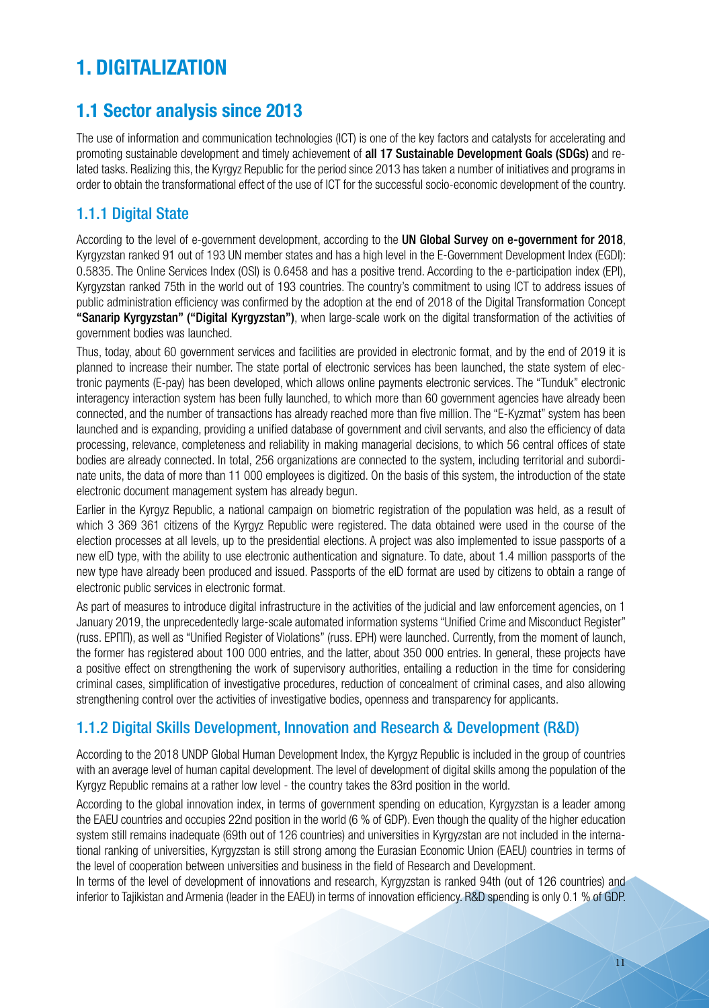# **1. DIGITALIZATION**

### **1.1 Sector analysis since 2013**

The use of information and communication technologies (ICT) is one of the key factors and catalysts for accelerating and promoting sustainable development and timely achievement of all 17 Sustainable Development Goals (SDGs) and related tasks. Realizing this, the Kyrgyz Republic for the period since 2013 has taken a number of initiatives and programs in order to obtain the transformational effect of the use of ICT for the successful socio-economic development of the country.

### 1.1.1 Digital State

According to the level of e-government development, according to the UN Global Survey on e-government for 2018, Kyrgyzstan ranked 91 out of 193 UN member states and has a high level in the E-Government Development Index (EGDI): 0.5835. The Online Services Index (OSI) is 0.6458 and has a positive trend. According to the e-participation index (EPI), Kyrgyzstan ranked 75th in the world out of 193 countries. The country's commitment to using ICT to address issues of public administration efficiency was confirmed by the adoption at the end of 2018 of the Digital Transformation Concept "Sanarip Kyrgyzstan" ("Digital Kyrgyzstan"), when large-scale work on the digital transformation of the activities of government bodies was launched.

Thus, today, about 60 government services and facilities are provided in electronic format, and by the end of 2019 it is planned to increase their number. The state portal of electronic services has been launched, the state system of electronic payments (E-pay) has been developed, which allows online payments electronic services. The "Tunduk" electronic interagency interaction system has been fully launched, to which more than 60 government agencies have already been connected, and the number of transactions has already reached more than five million. The "E-Kyzmat" system has been launched and is expanding, providing a unified database of government and civil servants, and also the efficiency of data processing, relevance, completeness and reliability in making managerial decisions, to which 56 central offices of state bodies are already connected. In total, 256 organizations are connected to the system, including territorial and subordinate units, the data of more than 11 000 employees is digitized. On the basis of this system, the introduction of the state electronic document management system has already begun.

Earlier in the Kyrgyz Republic, a national campaign on biometric registration of the population was held, as a result of which 3 369 361 citizens of the Kyrgyz Republic were registered. The data obtained were used in the course of the election processes at all levels, up to the presidential elections. A project was also implemented to issue passports of a new eID type, with the ability to use electronic authentication and signature. To date, about 1.4 million passports of the new type have already been produced and issued. Passports of the eID format are used by citizens to obtain a range of electronic public services in electronic format.

As part of measures to introduce digital infrastructure in the activities of the judicial and law enforcement agencies, on 1 January 2019, the unprecedentedly large-scale automated information systems "Unified Crime and Misconduct Register" (russ. ЕРПП), as well as "Unified Register of Violations" (russ. ЕРН) were launched. Currently, from the moment of launch, the former has registered about 100 000 entries, and the latter, about 350 000 entries. In general, these projects have a positive effect on strengthening the work of supervisory authorities, entailing a reduction in the time for considering criminal cases, simplification of investigative procedures, reduction of concealment of criminal cases, and also allowing strengthening control over the activities of investigative bodies, openness and transparency for applicants.

### 1.1.2 Digital Skills Development, Innovation and Research & Development (R&D)

According to the 2018 UNDP Global Human Development Index, the Kyrgyz Republic is included in the group of countries with an average level of human capital development. The level of development of digital skills among the population of the Kyrgyz Republic remains at a rather low level - the country takes the 83rd position in the world.

According to the global innovation index, in terms of government spending on education, Kyrgyzstan is a leader among the EAEU countries and occupies 22nd position in the world (6 % of GDP). Even though the quality of the higher education system still remains inadequate (69th out of 126 countries) and universities in Kyrgyzstan are not included in the international ranking of universities, Kyrgyzstan is still strong among the Eurasian Economic Union (EAEU) countries in terms of the level of cooperation between universities and business in the field of Research and Development.

In terms of the level of development of innovations and research, Kyrgyzstan is ranked 94th (out of 126 countries) and inferior to Tajikistan and Armenia (leader in the EAEU) in terms of innovation efficiency. R&D spending is only 0.1 % of GDP.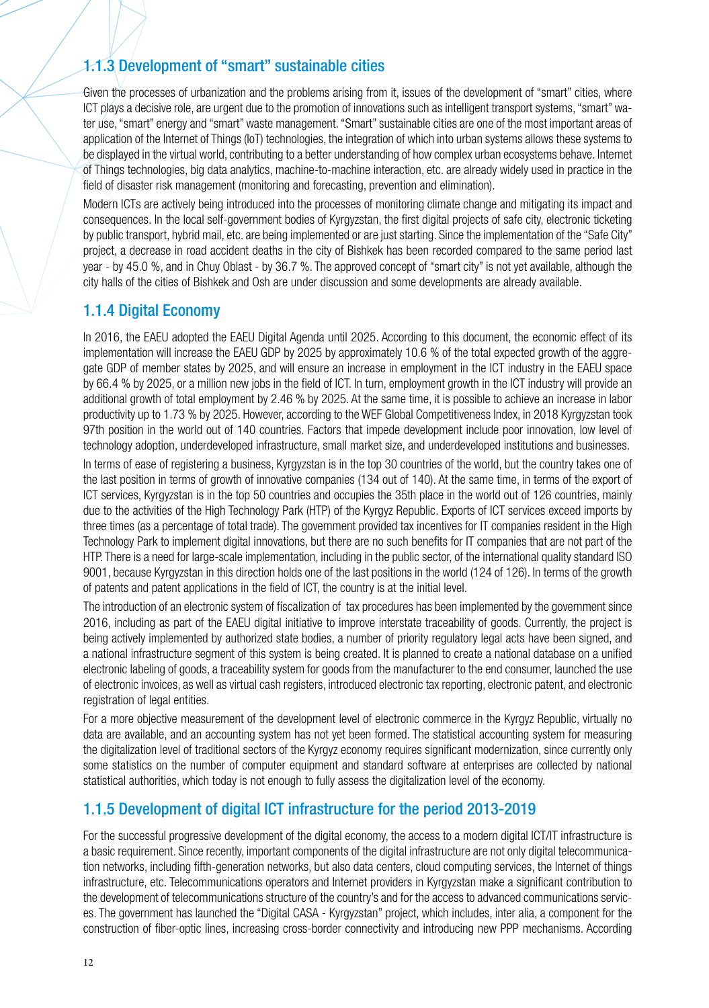### 1.1.3 Development of "smart" sustainable cities

Given the processes of urbanization and the problems arising from it, issues of the development of "smart" cities, where ICT plays a decisive role, are urgent due to the promotion of innovations such as intelligent transport systems, "smart" water use, "smart" energy and "smart" waste management. "Smart" sustainable cities are one of the most important areas of application of the Internet of Things (IoT) technologies, the integration of which into urban systems allows these systems to be displayed in the virtual world, contributing to a better understanding of how complex urban ecosystems behave. Internet of Things technologies, big data analytics, machine-to-machine interaction, etc. are already widely used in practice in the field of disaster risk management (monitoring and forecasting, prevention and elimination).

Modern ICTs are actively being introduced into the processes of monitoring climate change and mitigating its impact and consequences. In the local self-government bodies of Kyrgyzstan, the first digital projects of safe city, electronic ticketing by public transport, hybrid mail, etc. are being implemented or are just starting. Since the implementation of the "Safe City" project, a decrease in road accident deaths in the city of Bishkek has been recorded compared to the same period last year - by 45.0 %, and in Chuy Oblast - by 36.7 %. The approved concept of "smart city" is not yet available, although the city halls of the cities of Bishkek and Osh are under discussion and some developments are already available.

### 1.1.4 Digital Economy

In 2016, the EAEU adopted the EAEU Digital Agenda until 2025. According to this document, the economic effect of its implementation will increase the EAEU GDP by 2025 by approximately 10.6 % of the total expected growth of the aggregate GDP of member states by 2025, and will ensure an increase in employment in the ICT industry in the EAEU space by 66.4 % by 2025, or a million new jobs in the field of ICT. In turn, employment growth in the ICT industry will provide an additional growth of total employment by 2.46 % by 2025. At the same time, it is possible to achieve an increase in labor productivity up to 1.73 % by 2025. However, according to the WEF Global Competitiveness Index, in 2018 Kyrgyzstan took 97th position in the world out of 140 countries. Factors that impede development include poor innovation, low level of technology adoption, underdeveloped infrastructure, small market size, and underdeveloped institutions and businesses.

In terms of ease of registering a business, Kyrgyzstan is in the top 30 countries of the world, but the country takes one of the last position in terms of growth of innovative companies (134 out of 140). At the same time, in terms of the export of ICT services, Kyrgyzstan is in the top 50 countries and occupies the 35th place in the world out of 126 countries, mainly due to the activities of the High Technology Park (HTP) of the Kyrgyz Republic. Exports of ICT services exceed imports by three times (as a percentage of total trade). The government provided tax incentives for IT companies resident in the High Technology Park to implement digital innovations, but there are no such benefits for IT companies that are not part of the HTP. There is a need for large-scale implementation, including in the public sector, of the international quality standard ISO 9001, because Kyrgyzstan in this direction holds one of the last positions in the world (124 of 126). In terms of the growth of patents and patent applications in the field of ICT, the country is at the initial level.

The introduction of an electronic system of fiscalization of tax procedures has been implemented by the government since 2016, including as part of the EAEU digital initiative to improve interstate traceability of goods. Currently, the project is being actively implemented by authorized state bodies, a number of priority regulatory legal acts have been signed, and a national infrastructure segment of this system is being created. It is planned to create a national database on a unified electronic labeling of goods, a traceability system for goods from the manufacturer to the end consumer, launched the use of electronic invoices, as well as virtual cash registers, introduced electronic tax reporting, electronic patent, and electronic registration of legal entities.

For a more objective measurement of the development level of electronic commerce in the Kyrgyz Republic, virtually no data are available, and an accounting system has not yet been formed. The statistical accounting system for measuring the digitalization level of traditional sectors of the Kyrgyz economy requires significant modernization, since currently only some statistics on the number of computer equipment and standard software at enterprises are collected by national statistical authorities, which today is not enough to fully assess the digitalization level of the economy.

#### 1.1.5 Development of digital ICT infrastructure for the period 2013-2019

For the successful progressive development of the digital economy, the access to a modern digital ICT/IT infrastructure is a basic requirement. Since recently, important components of the digital infrastructure are not only digital telecommunication networks, including fifth-generation networks, but also data centers, cloud computing services, the Internet of things infrastructure, etc. Telecommunications operators and Internet providers in Kyrgyzstan make a significant contribution to the development of telecommunications structure of the country's and for the access to advanced communications services. The government has launched the "Digital CASA - Kyrgyzstan" project, which includes, inter alia, a component for the construction of fiber-optic lines, increasing cross-border connectivity and introducing new PPP mechanisms. According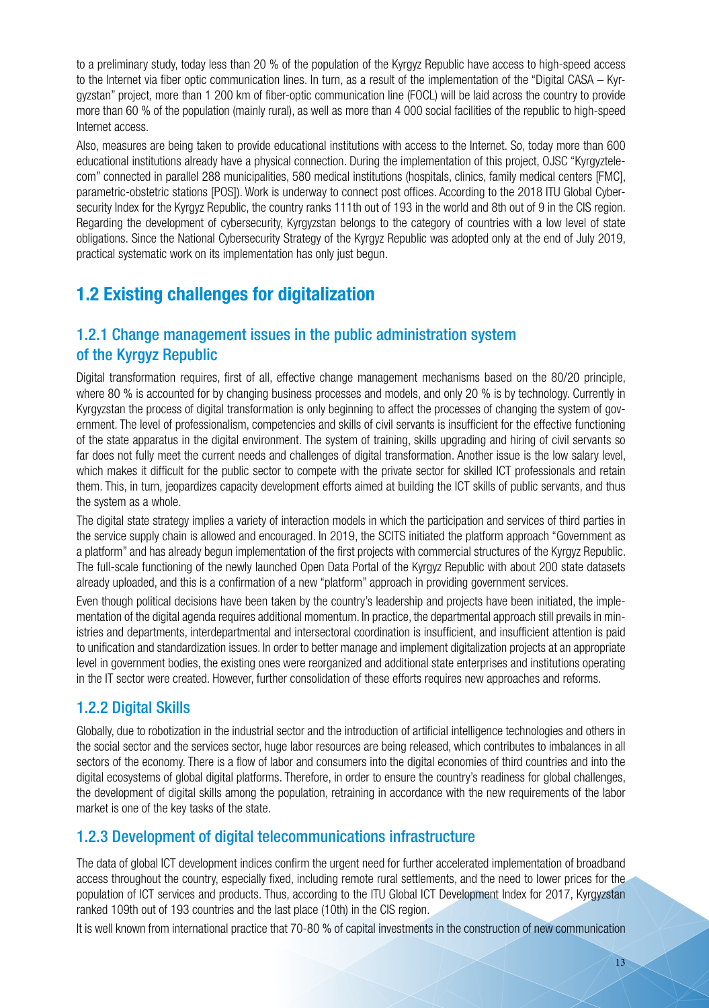to a preliminary study, today less than 20 % of the population of the Kyrgyz Republic have access to high-speed access to the Internet via fiber optic communication lines. In turn, as a result of the implementation of the "Digital CASA – Kyrgyzstan" project, more than 1 200 km of fiber-optic communication line (FOCL) will be laid across the country to provide more than 60 % of the population (mainly rural), as well as more than 4 000 social facilities of the republic to high-speed Internet access.

Also, measures are being taken to provide educational institutions with access to the Internet. So, today more than 600 educational institutions already have a physical connection. During the implementation of this project, OJSC "Kyrgyztelecom" connected in parallel 288 municipalities, 580 medical institutions (hospitals, clinics, family medical centers [FMC], parametric-obstetric stations [POS]). Work is underway to connect post offices. According to the 2018 ITU Global Cybersecurity Index for the Kyrgyz Republic, the country ranks 111th out of 193 in the world and 8th out of 9 in the CIS region. Regarding the development of cybersecurity, Kyrgyzstan belongs to the category of countries with a low level of state obligations. Since the National Cybersecurity Strategy of the Kyrgyz Republic was adopted only at the end of July 2019, practical systematic work on its implementation has only just begun.

# **1.2 Existing challenges for digitalization**

### 1.2.1 Change management issues in the public administration system of the Kyrgyz Republic

Digital transformation requires, first of all, effective change management mechanisms based on the 80/20 principle, where 80 % is accounted for by changing business processes and models, and only 20 % is by technology. Currently in Kyrgyzstan the process of digital transformation is only beginning to affect the processes of changing the system of government. The level of professionalism, competencies and skills of civil servants is insufficient for the effective functioning of the state apparatus in the digital environment. The system of training, skills upgrading and hiring of civil servants so far does not fully meet the current needs and challenges of digital transformation. Another issue is the low salary level, which makes it difficult for the public sector to compete with the private sector for skilled ICT professionals and retain them. This, in turn, jeopardizes capacity development efforts aimed at building the ICT skills of public servants, and thus the system as a whole.

The digital state strategy implies a variety of interaction models in which the participation and services of third parties in the service supply chain is allowed and encouraged. In 2019, the SCITS initiated the platform approach "Government as a platform" and has already begun implementation of the first projects with commercial structures of the Kyrgyz Republic. The full-scale functioning of the newly launched Open Data Portal of the Kyrgyz Republic with about 200 state datasets already uploaded, and this is a confirmation of a new "platform" approach in providing government services.

Even though political decisions have been taken by the country's leadership and projects have been initiated, the implementation of the digital agenda requires additional momentum. In practice, the departmental approach still prevails in ministries and departments, interdepartmental and intersectoral coordination is insufficient, and insufficient attention is paid to unification and standardization issues. In order to better manage and implement digitalization projects at an appropriate level in government bodies, the existing ones were reorganized and additional state enterprises and institutions operating in the IT sector were created. However, further consolidation of these efforts requires new approaches and reforms.

### 1.2.2 Digital Skills

Globally, due to robotization in the industrial sector and the introduction of artificial intelligence technologies and others in the social sector and the services sector, huge labor resources are being released, which contributes to imbalances in all sectors of the economy. There is a flow of labor and consumers into the digital economies of third countries and into the digital ecosystems of global digital platforms. Therefore, in order to ensure the country's readiness for global challenges, the development of digital skills among the population, retraining in accordance with the new requirements of the labor market is one of the key tasks of the state.

### 1.2.3 Development of digital telecommunications infrastructure

The data of global ICT development indices confirm the urgent need for further accelerated implementation of broadband access throughout the country, especially fixed, including remote rural settlements, and the need to lower prices for the population of ICT services and products. Thus, according to the ITU Global ICT Development Index for 2017, Kyrgyzstan ranked 109th out of 193 countries and the last place (10th) in the CIS region.

It is well known from international practice that 70-80 % of capital investments in the construction of new communication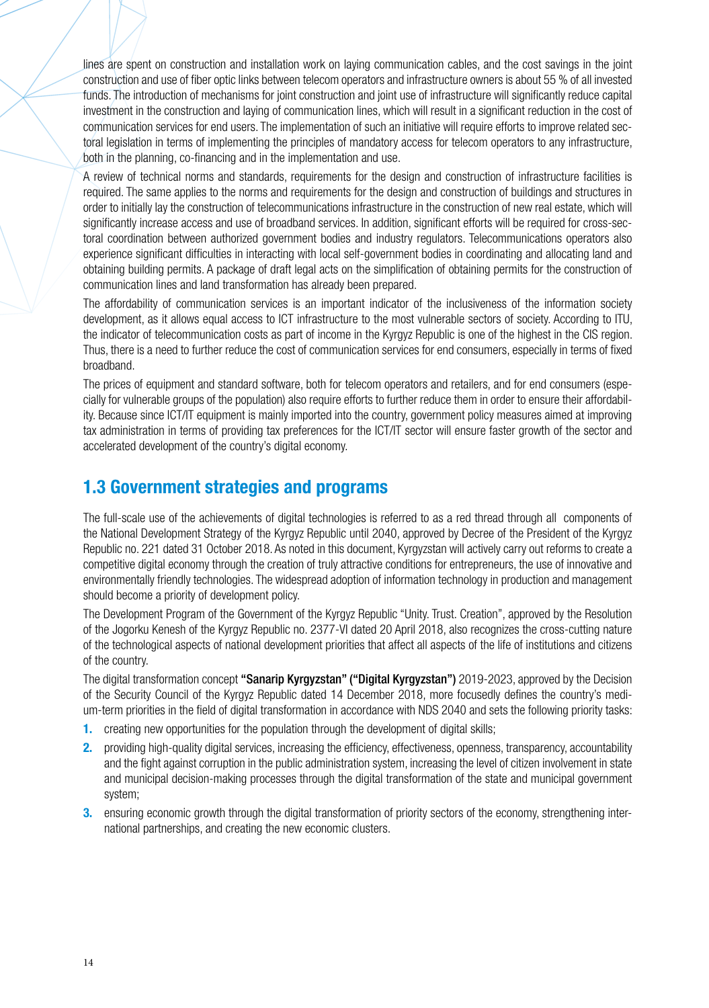lines are spent on construction and installation work on laying communication cables, and the cost savings in the joint construction and use of fiber optic links between telecom operators and infrastructure owners is about 55 % of all invested funds. The introduction of mechanisms for joint construction and joint use of infrastructure will significantly reduce capital investment in the construction and laying of communication lines, which will result in a significant reduction in the cost of communication services for end users. The implementation of such an initiative will require efforts to improve related sectoral legislation in terms of implementing the principles of mandatory access for telecom operators to any infrastructure, both in the planning, co-financing and in the implementation and use.

A review of technical norms and standards, requirements for the design and construction of infrastructure facilities is required. The same applies to the norms and requirements for the design and construction of buildings and structures in order to initially lay the construction of telecommunications infrastructure in the construction of new real estate, which will significantly increase access and use of broadband services. In addition, significant efforts will be required for cross-sectoral coordination between authorized government bodies and industry regulators. Telecommunications operators also experience significant difficulties in interacting with local self-government bodies in coordinating and allocating land and obtaining building permits. A package of draft legal acts on the simplification of obtaining permits for the construction of communication lines and land transformation has already been prepared.

The affordability of communication services is an important indicator of the inclusiveness of the information society development, as it allows equal access to ICT infrastructure to the most vulnerable sectors of society. According to ITU, the indicator of telecommunication costs as part of income in the Kyrgyz Republic is one of the highest in the CIS region. Thus, there is a need to further reduce the cost of communication services for end consumers, especially in terms of fixed broadband.

The prices of equipment and standard software, both for telecom operators and retailers, and for end consumers (especially for vulnerable groups of the population) also require efforts to further reduce them in order to ensure their affordability. Because since ICT/IT equipment is mainly imported into the country, government policy measures aimed at improving tax administration in terms of providing tax preferences for the ICT/IT sector will ensure faster growth of the sector and accelerated development of the country's digital economy.

### **1.3 Government strategies and programs**

The full-scale use of the achievements of digital technologies is referred to as a red thread through all components of the National Development Strategy of the Kyrgyz Republic until 2040, approved by Decree of the President of the Kyrgyz Republic no. 221 dated 31 October 2018. As noted in this document, Kyrgyzstan will actively carry out reforms to create a competitive digital economy through the creation of truly attractive conditions for entrepreneurs, the use of innovative and environmentally friendly technologies. The widespread adoption of information technology in production and management should become a priority of development policy.

The Development Program of the Government of the Kyrgyz Republic "Unity. Trust. Creation", approved by the Resolution of the Jogorku Kenesh of the Kyrgyz Republic no. 2377-VI dated 20 April 2018, also recognizes the cross-cutting nature of the technological aspects of national development priorities that affect all aspects of the life of institutions and citizens of the country.

The digital transformation concept "Sanarip Kyrgyzstan" ("Digital Kyrgyzstan") 2019-2023, approved by the Decision of the Security Council of the Kyrgyz Republic dated 14 December 2018, more focusedly defines the country's medium-term priorities in the field of digital transformation in accordance with NDS 2040 and sets the following priority tasks:

- **1.** creating new opportunities for the population through the development of digital skills;
- **2.** providing high-quality digital services, increasing the efficiency, effectiveness, openness, transparency, accountability and the fight against corruption in the public administration system, increasing the level of citizen involvement in state and municipal decision-making processes through the digital transformation of the state and municipal government system;
- **3.** ensuring economic growth through the digital transformation of priority sectors of the economy, strengthening international partnerships, and creating the new economic clusters.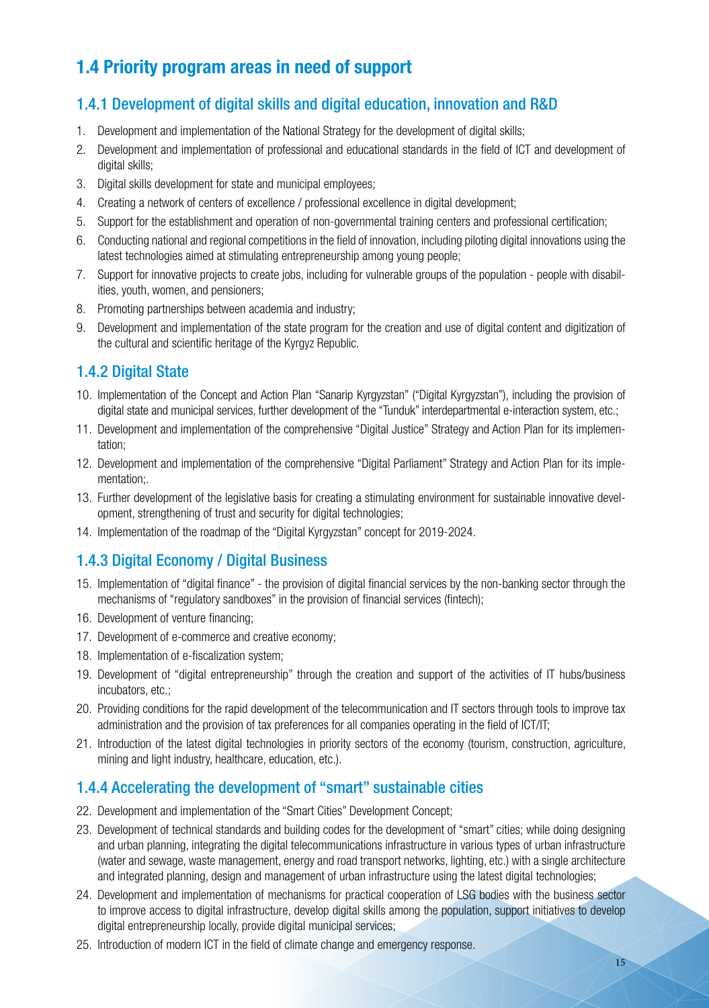# **1.4 Priority program areas in need of support**

### 1.4.1 Development of digital skills and digital education, innovation and R&D

- 1. Development and implementation of the National Strategy for the development of digital skills;
- 2. Development and implementation of professional and educational standards in the field of ICT and development of digital skills;
- 3. Digital skills development for state and municipal employees;
- 4. Creating a network of centers of excellence / professional excellence in digital development;
- 5. Support for the establishment and operation of non-governmental training centers and professional certification;
- 6. Conducting national and regional competitions in the field of innovation, including piloting digital innovations using the latest technologies aimed at stimulating entrepreneurship among young people;
- 7. Support for innovative projects to create jobs, including for vulnerable groups of the population people with disabilities, youth, women, and pensioners;
- 8. Promoting partnerships between academia and industry;
- 9. Development and implementation of the state program for the creation and use of digital content and digitization of the cultural and scientific heritage of the Kyrgyz Republic.

### 1.4.2 Digital State

- 10. Implementation of the Concept and Action Plan "Sanarip Kyrgyzstan" ("Digital Kyrgyzstan"), including the provision of digital state and municipal services, further development of the "Tunduk" interdepartmental e-interaction system, etc.;
- 11. Development and implementation of the comprehensive "Digital Justice" Strategy and Action Plan for its implementation;
- 12. Development and implementation of the comprehensive "Digital Parliament" Strategy and Action Plan for its implementation;.
- 13. Further development of the legislative basis for creating a stimulating environment for sustainable innovative development, strengthening of trust and security for digital technologies;
- 14. Implementation of the roadmap of the "Digital Kyrgyzstan" concept for 2019-2024.

### 1.4.3 Digital Economy / Digital Business

- 15. Implementation of "digital finance" the provision of digital financial services by the non-banking sector through the mechanisms of "regulatory sandboxes" in the provision of financial services (fintech);
- 16. Development of venture financing;
- 17. Development of e-commerce and creative economy;
- 18. Implementation of e-fiscalization system;
- 19. Development of "digital entrepreneurship" through the creation and support of the activities of IT hubs/business incubators, etc.;
- 20. Providing conditions for the rapid development of the telecommunication and IT sectors through tools to improve tax administration and the provision of tax preferences for all companies operating in the field of ICT/IT;
- 21. Introduction of the latest digital technologies in priority sectors of the economy (tourism, construction, agriculture, mining and light industry, healthcare, education, etc.).

### 1.4.4 Accelerating the development of "smart" sustainable cities

- 22. Development and implementation of the "Smart Cities" Development Concept;
- 23. Development of technical standards and building codes for the development of "smart" cities; while doing designing and urban planning, integrating the digital telecommunications infrastructure in various types of urban infrastructure (water and sewage, waste management, energy and road transport networks, lighting, etc.) with a single architecture and integrated planning, design and management of urban infrastructure using the latest digital technologies;
- 24. Development and implementation of mechanisms for practical cooperation of LSG bodies with the business sector to improve access to digital infrastructure, develop digital skills among the population, support initiatives to develop digital entrepreneurship locally, provide digital municipal services;
- 25. Introduction of modern ICT in the field of climate change and emergency response.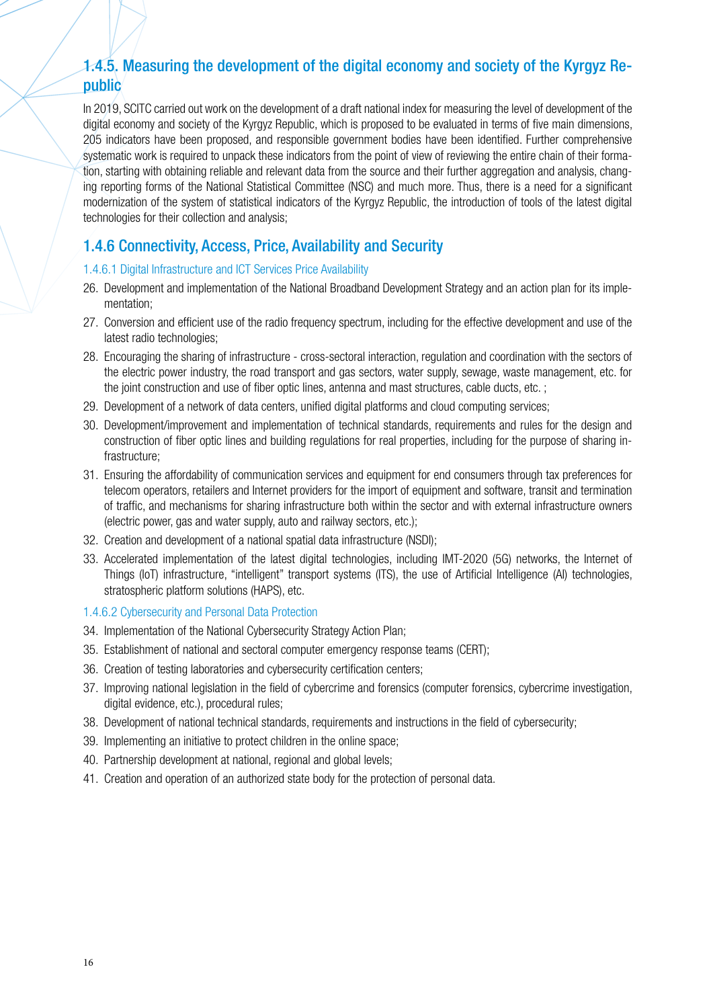### 1.4.5. Measuring the development of the digital economy and society of the Kyrgyz Republic

In 2019, SCITC carried out work on the development of a draft national index for measuring the level of development of the digital economy and society of the Kyrgyz Republic, which is proposed to be evaluated in terms of five main dimensions, 205 indicators have been proposed, and responsible government bodies have been identified. Further comprehensive systematic work is required to unpack these indicators from the point of view of reviewing the entire chain of their formation, starting with obtaining reliable and relevant data from the source and their further aggregation and analysis, changing reporting forms of the National Statistical Committee (NSC) and much more. Thus, there is a need for a significant modernization of the system of statistical indicators of the Kyrgyz Republic, the introduction of tools of the latest digital technologies for their collection and analysis;

### 1.4.6 Connectivity, Access, Price, Availability and Security

#### 1.4.6.1 Digital Infrastructure and ICT Services Price Availability

- 26. Development and implementation of the National Broadband Development Strategy and an action plan for its implementation;
- 27. Conversion and efficient use of the radio frequency spectrum, including for the effective development and use of the latest radio technologies;
- 28. Encouraging the sharing of infrastructure cross-sectoral interaction, regulation and coordination with the sectors of the electric power industry, the road transport and gas sectors, water supply, sewage, waste management, etc. for the joint construction and use of fiber optic lines, antenna and mast structures, cable ducts, etc. ;
- 29. Development of a network of data centers, unified digital platforms and cloud computing services;
- 30. Development/improvement and implementation of technical standards, requirements and rules for the design and construction of fiber optic lines and building regulations for real properties, including for the purpose of sharing infrastructure;
- 31. Ensuring the affordability of communication services and equipment for end consumers through tax preferences for telecom operators, retailers and Internet providers for the import of equipment and software, transit and termination of traffic, and mechanisms for sharing infrastructure both within the sector and with external infrastructure owners (electric power, gas and water supply, auto and railway sectors, etc.);
- 32. Creation and development of a national spatial data infrastructure (NSDI);
- 33. Accelerated implementation of the latest digital technologies, including IMT-2020 (5G) networks, the Internet of Things (IoT) infrastructure, "intelligent" transport systems (ITS), the use of Artificial Intelligence (AI) technologies, stratospheric platform solutions (HAPS), etc.

#### 1.4.6.2 Cybersecurity and Personal Data Protection

- 34. Implementation of the National Cybersecurity Strategy Action Plan;
- 35. Establishment of national and sectoral computer emergency response teams (CERT);
- 36. Creation of testing laboratories and cybersecurity certification centers;
- 37. Improving national legislation in the field of cybercrime and forensics (computer forensics, cybercrime investigation, digital evidence, etc.), procedural rules;
- 38. Development of national technical standards, requirements and instructions in the field of cybersecurity;
- 39. Implementing an initiative to protect children in the online space;
- 40. Partnership development at national, regional and global levels;
- 41. Creation and operation of an authorized state body for the protection of personal data.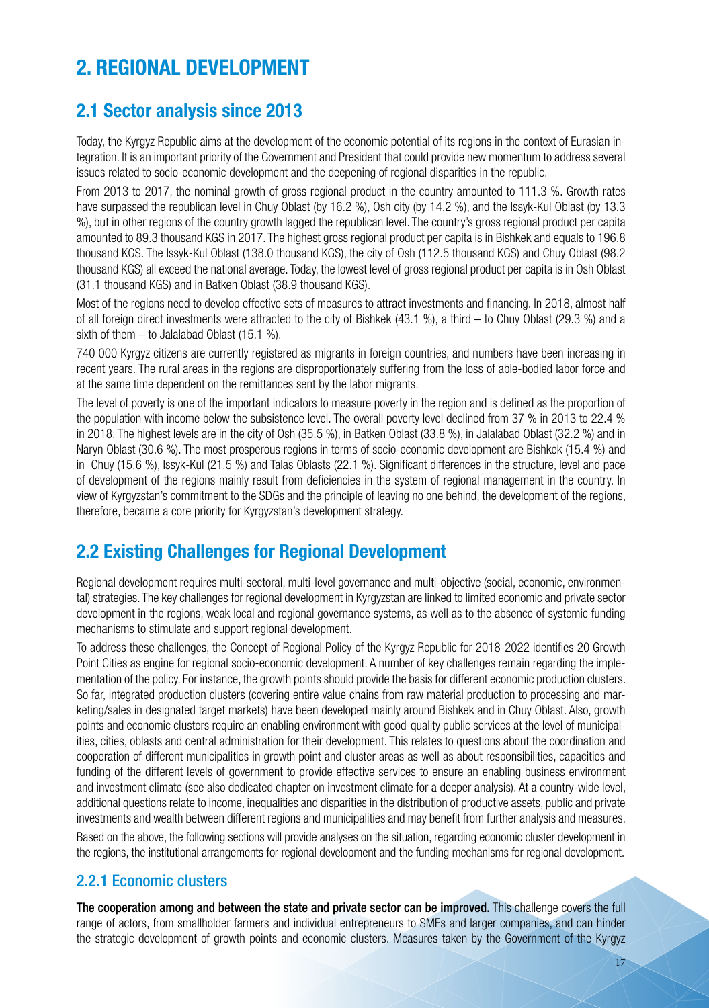# **2. REGIONAL DEVELOPMENT**

### **2.1 Sector analysis since 2013**

Today, the Kyrgyz Republic aims at the development of the economic potential of its regions in the context of Eurasian integration. It is an important priority of the Government and President that could provide new momentum to address several issues related to socio-economic development and the deepening of regional disparities in the republic.

From 2013 to 2017, the nominal growth of gross regional product in the country amounted to 111.3 %. Growth rates have surpassed the republican level in Chuy Oblast (by 16.2 %), Osh city (by 14.2 %), and the Issyk-Kul Oblast (by 13.3 %), but in other regions of the country growth lagged the republican level. The country's gross regional product per capita amounted to 89.3 thousand KGS in 2017. The highest gross regional product per capita is in Bishkek and equals to 196.8 thousand KGS. The Issyk-Kul Oblast (138.0 thousand KGS), the city of Osh (112.5 thousand KGS) and Chuy Oblast (98.2 thousand KGS) all exceed the national average. Today, the lowest level of gross regional product per capita is in Osh Oblast (31.1 thousand KGS) and in Batken Oblast (38.9 thousand KGS).

Most of the regions need to develop effective sets of measures to attract investments and financing. In 2018, almost half of all foreign direct investments were attracted to the city of Bishkek (43.1 %), a third – to Chuy Oblast (29.3 %) and a sixth of them  $-$  to Jalalabad Oblast (15.1 %).

740 000 Kyrgyz citizens are currently registered as migrants in foreign countries, and numbers have been increasing in recent years. The rural areas in the regions are disproportionately suffering from the loss of able-bodied labor force and at the same time dependent on the remittances sent by the labor migrants.

The level of poverty is one of the important indicators to measure poverty in the region and is defined as the proportion of the population with income below the subsistence level. The overall poverty level declined from 37 % in 2013 to 22.4 % in 2018. The highest levels are in the city of Osh (35.5 %), in Batken Oblast (33.8 %), in Jalalabad Oblast (32.2 %) and in Naryn Oblast (30.6 %). The most prosperous regions in terms of socio-economic development are Bishkek (15.4 %) and in Chuy (15.6 %), Issyk-Kul (21.5 %) and Talas Oblasts (22.1 %). Significant differences in the structure, level and pace of development of the regions mainly result from deficiencies in the system of regional management in the country. In view of Kyrgyzstan's commitment to the SDGs and the principle of leaving no one behind, the development of the regions, therefore, became a core priority for Kyrgyzstan's development strategy.

# **2.2 Existing Challenges for Regional Development**

Regional development requires multi-sectoral, multi-level governance and multi-objective (social, economic, environmental) strategies. The key challenges for regional development in Kyrgyzstan are linked to limited economic and private sector development in the regions, weak local and regional governance systems, as well as to the absence of systemic funding mechanisms to stimulate and support regional development.

To address these challenges, the Concept of Regional Policy of the Kyrgyz Republic for 2018-2022 identifies 20 Growth Point Cities as engine for regional socio-economic development. A number of key challenges remain regarding the implementation of the policy. For instance, the growth points should provide the basis for different economic production clusters. So far, integrated production clusters (covering entire value chains from raw material production to processing and marketing/sales in designated target markets) have been developed mainly around Bishkek and in Chuy Oblast. Also, growth points and economic clusters require an enabling environment with good-quality public services at the level of municipalities, cities, oblasts and central administration for their development. This relates to questions about the coordination and cooperation of different municipalities in growth point and cluster areas as well as about responsibilities, capacities and funding of the different levels of government to provide effective services to ensure an enabling business environment and investment climate (see also dedicated chapter on investment climate for a deeper analysis). At a country-wide level, additional questions relate to income, inequalities and disparities in the distribution of productive assets, public and private investments and wealth between different regions and municipalities and may benefit from further analysis and measures. Based on the above, the following sections will provide analyses on the situation, regarding economic cluster development in the regions, the institutional arrangements for regional development and the funding mechanisms for regional development.

### 2.2.1 Economic clusters

The cooperation among and between the state and private sector can be improved. This challenge covers the full range of actors, from smallholder farmers and individual entrepreneurs to SMEs and larger companies, and can hinder the strategic development of growth points and economic clusters. Measures taken by the Government of the Kyrgyz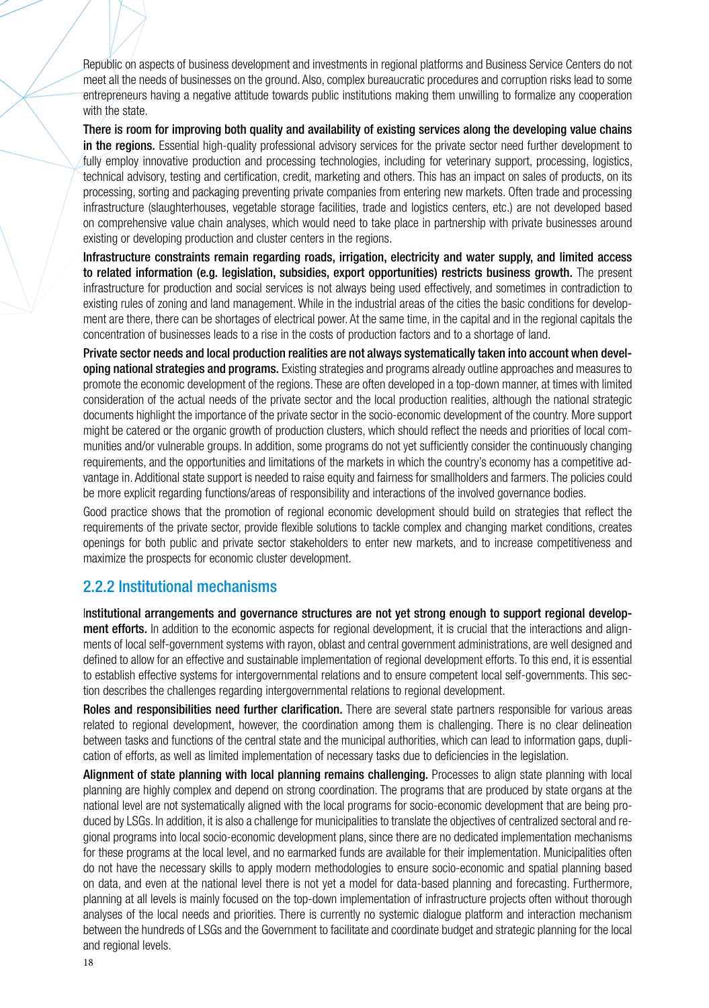Republic on aspects of business development and investments in regional platforms and Business Service Centers do not meet all the needs of businesses on the ground. Also, complex bureaucratic procedures and corruption risks lead to some entrepreneurs having a negative attitude towards public institutions making them unwilling to formalize any cooperation with the state.

There is room for improving both quality and availability of existing services along the developing value chains in the regions. Essential high-quality professional advisory services for the private sector need further development to fully employ innovative production and processing technologies, including for veterinary support, processing, logistics, technical advisory, testing and certification, credit, marketing and others. This has an impact on sales of products, on its processing, sorting and packaging preventing private companies from entering new markets. Often trade and processing infrastructure (slaughterhouses, vegetable storage facilities, trade and logistics centers, etc.) are not developed based on comprehensive value chain analyses, which would need to take place in partnership with private businesses around existing or developing production and cluster centers in the regions.

Infrastructure constraints remain regarding roads, irrigation, electricity and water supply, and limited access to related information (e.g. legislation, subsidies, export opportunities) restricts business growth. The present infrastructure for production and social services is not always being used effectively, and sometimes in contradiction to existing rules of zoning and land management. While in the industrial areas of the cities the basic conditions for development are there, there can be shortages of electrical power. At the same time, in the capital and in the regional capitals the concentration of businesses leads to a rise in the costs of production factors and to a shortage of land.

Private sector needs and local production realities are not always systematically taken into account when developing national strategies and programs. Existing strategies and programs already outline approaches and measures to promote the economic development of the regions. These are often developed in a top-down manner, at times with limited consideration of the actual needs of the private sector and the local production realities, although the national strategic documents highlight the importance of the private sector in the socio-economic development of the country. More support might be catered or the organic growth of production clusters, which should reflect the needs and priorities of local communities and/or vulnerable groups. In addition, some programs do not yet sufficiently consider the continuously changing requirements, and the opportunities and limitations of the markets in which the country's economy has a competitive advantage in. Additional state support is needed to raise equity and fairness for smallholders and farmers. The policies could be more explicit regarding functions/areas of responsibility and interactions of the involved governance bodies.

Good practice shows that the promotion of regional economic development should build on strategies that reflect the requirements of the private sector, provide flexible solutions to tackle complex and changing market conditions, creates openings for both public and private sector stakeholders to enter new markets, and to increase competitiveness and maximize the prospects for economic cluster development.

### 2.2.2 Institutional mechanisms

Institutional arrangements and governance structures are not yet strong enough to support regional development efforts. In addition to the economic aspects for regional development, it is crucial that the interactions and alignments of local self-government systems with rayon, oblast and central government administrations, are well designed and defined to allow for an effective and sustainable implementation of regional development efforts. To this end, it is essential to establish effective systems for intergovernmental relations and to ensure competent local self-governments. This section describes the challenges regarding intergovernmental relations to regional development.

Roles and responsibilities need further clarification. There are several state partners responsible for various areas related to regional development, however, the coordination among them is challenging. There is no clear delineation between tasks and functions of the central state and the municipal authorities, which can lead to information gaps, duplication of efforts, as well as limited implementation of necessary tasks due to deficiencies in the legislation.

Alignment of state planning with local planning remains challenging. Processes to align state planning with local planning are highly complex and depend on strong coordination. The programs that are produced by state organs at the national level are not systematically aligned with the local programs for socio-economic development that are being produced by LSGs. In addition, it is also a challenge for municipalities to translate the objectives of centralized sectoral and regional programs into local socio-economic development plans, since there are no dedicated implementation mechanisms for these programs at the local level, and no earmarked funds are available for their implementation. Municipalities often do not have the necessary skills to apply modern methodologies to ensure socio-economic and spatial planning based on data, and even at the national level there is not yet a model for data-based planning and forecasting. Furthermore, planning at all levels is mainly focused on the top-down implementation of infrastructure projects often without thorough analyses of the local needs and priorities. There is currently no systemic dialogue platform and interaction mechanism between the hundreds of LSGs and the Government to facilitate and coordinate budget and strategic planning for the local and regional levels.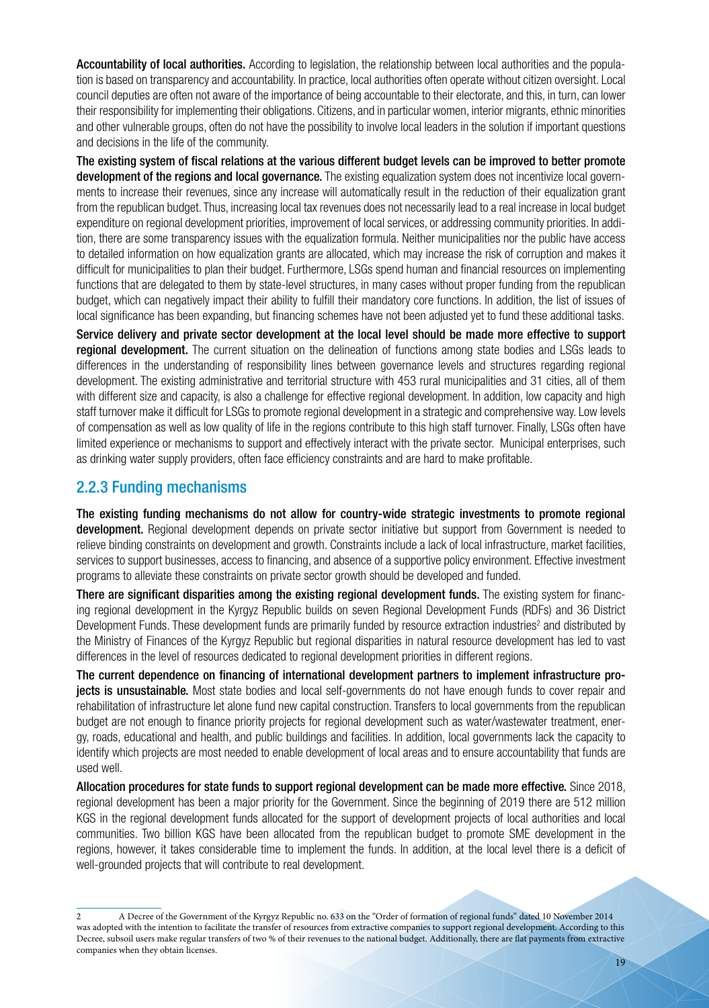Accountability of local authorities. According to legislation, the relationship between local authorities and the population is based on transparency and accountability. In practice, local authorities often operate without citizen oversight. Local council deputies are often not aware of the importance of being accountable to their electorate, and this, in turn, can lower their responsibility for implementing their obligations. Citizens, and in particular women, interior migrants, ethnic minorities and other vulnerable groups, often do not have the possibility to involve local leaders in the solution if important questions and decisions in the life of the community.

The existing system of fiscal relations at the various different budget levels can be improved to better promote development of the regions and local governance. The existing equalization system does not incentivize local governments to increase their revenues, since any increase will automatically result in the reduction of their equalization grant from the republican budget. Thus, increasing local tax revenues does not necessarily lead to a real increase in local budget expenditure on regional development priorities, improvement of local services, or addressing community priorities. In addition, there are some transparency issues with the equalization formula. Neither municipalities nor the public have access to detailed information on how equalization grants are allocated, which may increase the risk of corruption and makes it difficult for municipalities to plan their budget. Furthermore, LSGs spend human and financial resources on implementing functions that are delegated to them by state-level structures, in many cases without proper funding from the republican budget, which can negatively impact their ability to fulfill their mandatory core functions. In addition, the list of issues of local significance has been expanding, but financing schemes have not been adjusted yet to fund these additional tasks.

Service delivery and private sector development at the local level should be made more effective to support regional development. The current situation on the delineation of functions among state bodies and LSGs leads to differences in the understanding of responsibility lines between governance levels and structures regarding regional development. The existing administrative and territorial structure with 453 rural municipalities and 31 cities, all of them with different size and capacity, is also a challenge for effective regional development. In addition, low capacity and high staff turnover make it difficult for LSGs to promote regional development in a strategic and comprehensive way. Low levels of compensation as well as low quality of life in the regions contribute to this high staff turnover. Finally, LSGs often have limited experience or mechanisms to support and effectively interact with the private sector. Municipal enterprises, such as drinking water supply providers, often face efficiency constraints and are hard to make profitable.

### 2.2.3 Funding mechanisms

The existing funding mechanisms do not allow for country-wide strategic investments to promote regional development. Regional development depends on private sector initiative but support from Government is needed to relieve binding constraints on development and growth. Constraints include a lack of local infrastructure, market facilities, services to support businesses, access to financing, and absence of a supportive policy environment. Effective investment programs to alleviate these constraints on private sector growth should be developed and funded.

There are significant disparities among the existing regional development funds. The existing system for financing regional development in the Kyrgyz Republic builds on seven Regional Development Funds (RDFs) and 36 District Development Funds. These development funds are primarily funded by resource extraction industries<sup>2</sup> and distributed by the Ministry of Finances of the Kyrgyz Republic but regional disparities in natural resource development has led to vast differences in the level of resources dedicated to regional development priorities in different regions.

The current dependence on financing of international development partners to implement infrastructure pro**jects is unsustainable.** Most state bodies and local self-governments do not have enough funds to cover repair and rehabilitation of infrastructure let alone fund new capital construction. Transfers to local governments from the republican budget are not enough to finance priority projects for regional development such as water/wastewater treatment, energy, roads, educational and health, and public buildings and facilities. In addition, local governments lack the capacity to identify which projects are most needed to enable development of local areas and to ensure accountability that funds are used well.

Allocation procedures for state funds to support regional development can be made more effective. Since 2018, regional development has been a major priority for the Government. Since the beginning of 2019 there are 512 million KGS in the regional development funds allocated for the support of development projects of local authorities and local communities. Two billion KGS have been allocated from the republican budget to promote SME development in the regions, however, it takes considerable time to implement the funds. In addition, at the local level there is a deficit of well-grounded projects that will contribute to real development.

<sup>2</sup> A Decree of the Government of the Kyrgyz Republic no. 633 on the "Order of formation of regional funds" dated 10 November 2014 was adopted with the intention to facilitate the transfer of resources from extractive companies to support regional development. According to this Decree, subsoil users make regular transfers of two % of their revenues to the national budget. Additionally, there are flat payments from extractive companies when they obtain licenses.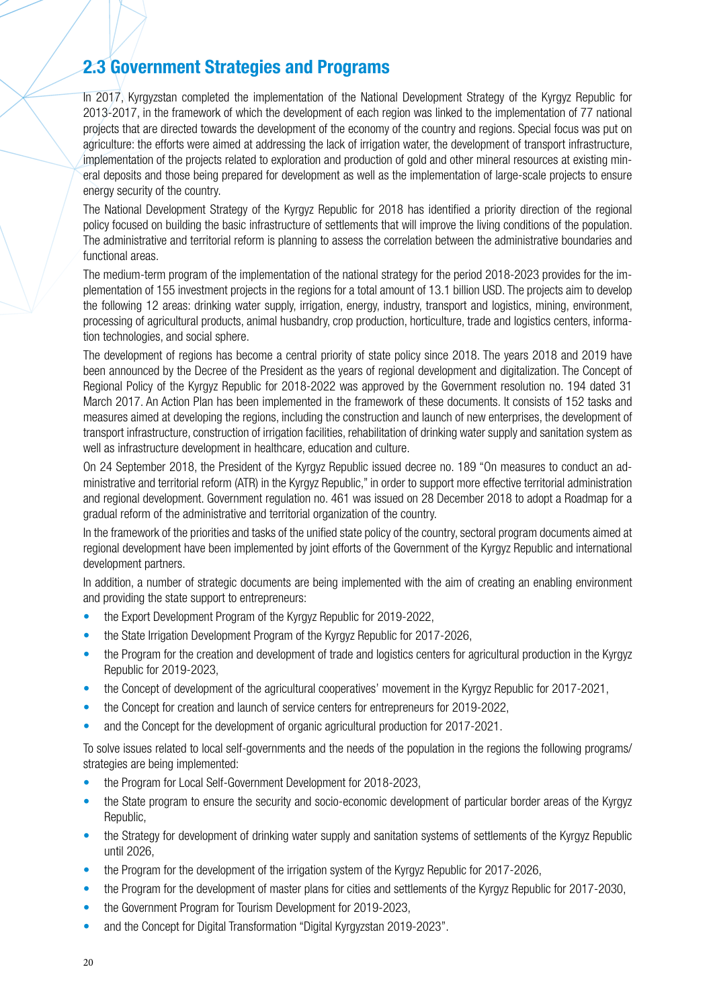### **2.3 Government Strategies and Programs**

In 2017, Kyrgyzstan completed the implementation of the National Development Strategy of the Kyrgyz Republic for 2013-2017, in the framework of which the development of each region was linked to the implementation of 77 national projects that are directed towards the development of the economy of the country and regions. Special focus was put on agriculture: the efforts were aimed at addressing the lack of irrigation water, the development of transport infrastructure, implementation of the projects related to exploration and production of gold and other mineral resources at existing mineral deposits and those being prepared for development as well as the implementation of large-scale projects to ensure energy security of the country.

The National Development Strategy of the Kyrgyz Republic for 2018 has identified a priority direction of the regional policy focused on building the basic infrastructure of settlements that will improve the living conditions of the population. The administrative and territorial reform is planning to assess the correlation between the administrative boundaries and functional areas.

The medium-term program of the implementation of the national strategy for the period 2018-2023 provides for the implementation of 155 investment projects in the regions for a total amount of 13.1 billion USD. The projects aim to develop the following 12 areas: drinking water supply, irrigation, energy, industry, transport and logistics, mining, environment, processing of agricultural products, animal husbandry, crop production, horticulture, trade and logistics centers, information technologies, and social sphere.

The development of regions has become a central priority of state policy since 2018. The years 2018 and 2019 have been announced by the Decree of the President as the years of regional development and digitalization. The Concept of Regional Policy of the Kyrgyz Republic for 2018-2022 was approved by the Government resolution no. 194 dated 31 March 2017. An Action Plan has been implemented in the framework of these documents. It consists of 152 tasks and measures aimed at developing the regions, including the construction and launch of new enterprises, the development of transport infrastructure, construction of irrigation facilities, rehabilitation of drinking water supply and sanitation system as well as infrastructure development in healthcare, education and culture.

On 24 September 2018, the President of the Kyrgyz Republic issued decree no. 189 "On measures to conduct an administrative and territorial reform (ATR) in the Kyrgyz Republic," in order to support more effective territorial administration and regional development. Government regulation no. 461 was issued on 28 December 2018 to adopt a Roadmap for a gradual reform of the administrative and territorial organization of the country.

In the framework of the priorities and tasks of the unified state policy of the country, sectoral program documents aimed at regional development have been implemented by joint efforts of the Government of the Kyrgyz Republic and international development partners.

In addition, a number of strategic documents are being implemented with the aim of creating an enabling environment and providing the state support to entrepreneurs:

- the Export Development Program of the Kyrgyz Republic for 2019-2022,
- the State Irrigation Development Program of the Kyrgyz Republic for 2017-2026,
- the Program for the creation and development of trade and logistics centers for agricultural production in the Kyrgyz Republic for 2019-2023,
- the Concept of development of the agricultural cooperatives' movement in the Kyrgyz Republic for 2017-2021,
- the Concept for creation and launch of service centers for entrepreneurs for 2019-2022,
- and the Concept for the development of organic agricultural production for 2017-2021.

To solve issues related to local self-governments and the needs of the population in the regions the following programs/ strategies are being implemented:

- the Program for Local Self-Government Development for 2018-2023,
- the State program to ensure the security and socio-economic development of particular border areas of the Kyrgyz Republic,
- the Strategy for development of drinking water supply and sanitation systems of settlements of the Kyrgyz Republic until 2026,
- the Program for the development of the irrigation system of the Kyrgyz Republic for 2017-2026,
- the Program for the development of master plans for cities and settlements of the Kyrgyz Republic for 2017-2030,
- the Government Program for Tourism Development for 2019-2023,
- and the Concept for Digital Transformation "Digital Kyrgyzstan 2019-2023".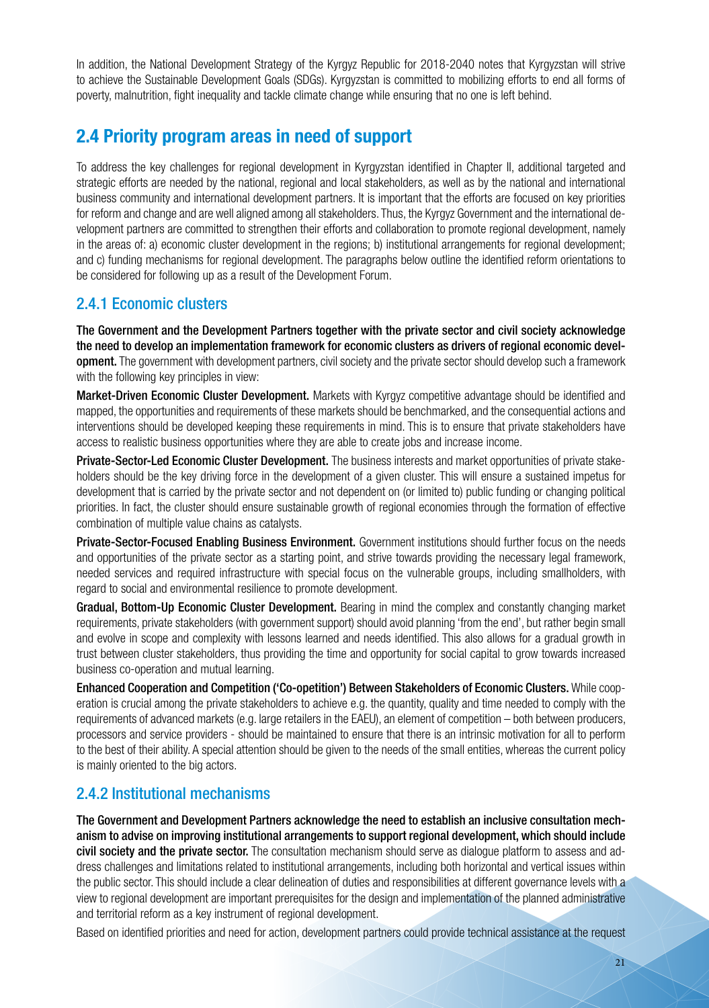In addition, the National Development Strategy of the Kyrgyz Republic for 2018-2040 notes that Kyrgyzstan will strive to achieve the Sustainable Development Goals (SDGs). Kyrgyzstan is committed to mobilizing efforts to end all forms of poverty, malnutrition, fight inequality and tackle climate change while ensuring that no one is left behind.

### **2.4 Priority program areas in need of support**

To address the key challenges for regional development in Kyrgyzstan identified in Chapter II, additional targeted and strategic efforts are needed by the national, regional and local stakeholders, as well as by the national and international business community and international development partners. It is important that the efforts are focused on key priorities for reform and change and are well aligned among all stakeholders. Thus, the Kyrgyz Government and the international development partners are committed to strengthen their efforts and collaboration to promote regional development, namely in the areas of: a) economic cluster development in the regions; b) institutional arrangements for regional development; and c) funding mechanisms for regional development. The paragraphs below outline the identified reform orientations to be considered for following up as a result of the Development Forum.

### 2.4.1 Economic clusters

The Government and the Development Partners together with the private sector and civil society acknowledge the need to develop an implementation framework for economic clusters as drivers of regional economic development. The government with development partners, civil society and the private sector should develop such a framework with the following key principles in view:

Market-Driven Economic Cluster Development. Markets with Kyrgyz competitive advantage should be identified and mapped, the opportunities and requirements of these markets should be benchmarked, and the consequential actions and interventions should be developed keeping these requirements in mind. This is to ensure that private stakeholders have access to realistic business opportunities where they are able to create jobs and increase income.

Private-Sector-Led Economic Cluster Development. The business interests and market opportunities of private stakeholders should be the key driving force in the development of a given cluster. This will ensure a sustained impetus for development that is carried by the private sector and not dependent on (or limited to) public funding or changing political priorities. In fact, the cluster should ensure sustainable growth of regional economies through the formation of effective combination of multiple value chains as catalysts.

Private-Sector-Focused Enabling Business Environment. Government institutions should further focus on the needs and opportunities of the private sector as a starting point, and strive towards providing the necessary legal framework, needed services and required infrastructure with special focus on the vulnerable groups, including smallholders, with regard to social and environmental resilience to promote development.

Gradual, Bottom-Up Economic Cluster Development. Bearing in mind the complex and constantly changing market requirements, private stakeholders (with government support) should avoid planning 'from the end', but rather begin small and evolve in scope and complexity with lessons learned and needs identified. This also allows for a gradual growth in trust between cluster stakeholders, thus providing the time and opportunity for social capital to grow towards increased business co-operation and mutual learning.

Enhanced Cooperation and Competition ('Co-opetition') Between Stakeholders of Economic Clusters. While cooperation is crucial among the private stakeholders to achieve e.g. the quantity, quality and time needed to comply with the requirements of advanced markets (e.g. large retailers in the EAEU), an element of competition – both between producers, processors and service providers - should be maintained to ensure that there is an intrinsic motivation for all to perform to the best of their ability. A special attention should be given to the needs of the small entities, whereas the current policy is mainly oriented to the big actors.

### 2.4.2 Institutional mechanisms

The Government and Development Partners acknowledge the need to establish an inclusive consultation mechanism to advise on improving institutional arrangements to support regional development, which should include civil society and the private sector. The consultation mechanism should serve as dialogue platform to assess and address challenges and limitations related to institutional arrangements, including both horizontal and vertical issues within the public sector. This should include a clear delineation of duties and responsibilities at different governance levels with a view to regional development are important prerequisites for the design and implementation of the planned administrative and territorial reform as a key instrument of regional development.

Based on identified priorities and need for action, development partners could provide technical assistance at the request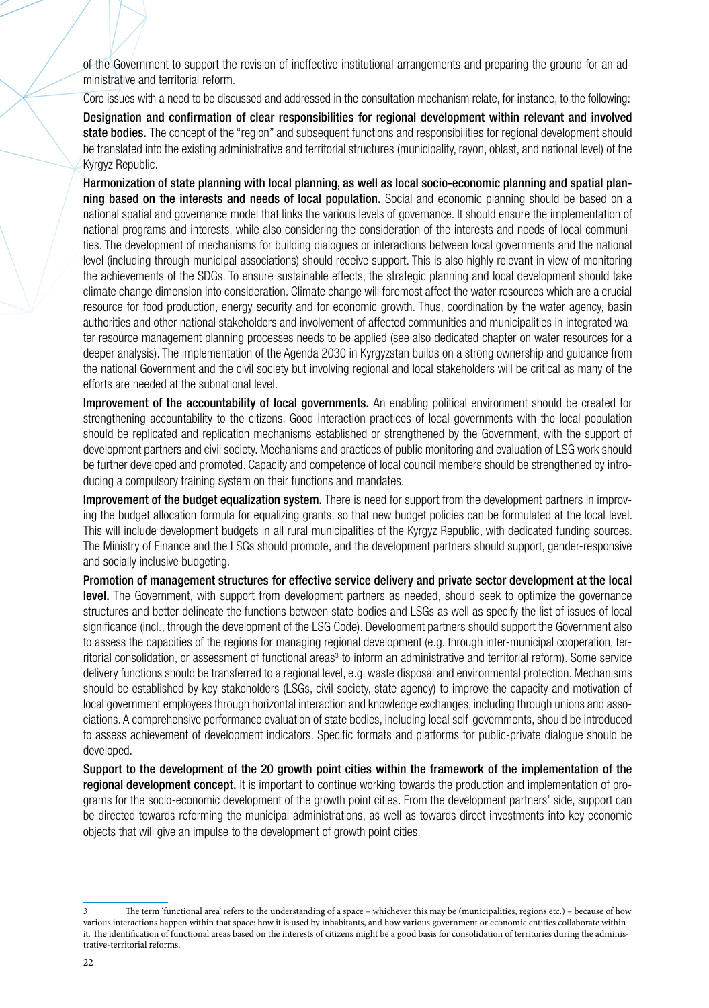of the Government to support the revision of ineffective institutional arrangements and preparing the ground for an administrative and territorial reform.

Core issues with a need to be discussed and addressed in the consultation mechanism relate, for instance, to the following:

Designation and confirmation of clear responsibilities for regional development within relevant and involved state bodies. The concept of the "region" and subsequent functions and responsibilities for regional development should be translated into the existing administrative and territorial structures (municipality, rayon, oblast, and national level) of the Kyrgyz Republic.

Harmonization of state planning with local planning, as well as local socio-economic planning and spatial planning based on the interests and needs of local population. Social and economic planning should be based on a national spatial and governance model that links the various levels of governance. It should ensure the implementation of national programs and interests, while also considering the consideration of the interests and needs of local communities. The development of mechanisms for building dialogues or interactions between local governments and the national level (including through municipal associations) should receive support. This is also highly relevant in view of monitoring the achievements of the SDGs. To ensure sustainable effects, the strategic planning and local development should take climate change dimension into consideration. Climate change will foremost affect the water resources which are a crucial resource for food production, energy security and for economic growth. Thus, coordination by the water agency, basin authorities and other national stakeholders and involvement of affected communities and municipalities in integrated water resource management planning processes needs to be applied (see also dedicated chapter on water resources for a deeper analysis). The implementation of the Agenda 2030 in Kyrgyzstan builds on a strong ownership and guidance from the national Government and the civil society but involving regional and local stakeholders will be critical as many of the efforts are needed at the subnational level.

Improvement of the accountability of local governments. An enabling political environment should be created for strengthening accountability to the citizens. Good interaction practices of local governments with the local population should be replicated and replication mechanisms established or strengthened by the Government, with the support of development partners and civil society. Mechanisms and practices of public monitoring and evaluation of LSG work should be further developed and promoted. Capacity and competence of local council members should be strengthened by introducing a compulsory training system on their functions and mandates.

Improvement of the budget equalization system. There is need for support from the development partners in improving the budget allocation formula for equalizing grants, so that new budget policies can be formulated at the local level. This will include development budgets in all rural municipalities of the Kyrgyz Republic, with dedicated funding sources. The Ministry of Finance and the LSGs should promote, and the development partners should support, gender-responsive and socially inclusive budgeting.

Promotion of management structures for effective service delivery and private sector development at the local level. The Government, with support from development partners as needed, should seek to optimize the governance structures and better delineate the functions between state bodies and LSGs as well as specify the list of issues of local significance (incl., through the development of the LSG Code). Development partners should support the Government also to assess the capacities of the regions for managing regional development (e.g. through inter-municipal cooperation, territorial consolidation, or assessment of functional areas<sup>3</sup> to inform an administrative and territorial reform). Some service delivery functions should be transferred to a regional level, e.g. waste disposal and environmental protection. Mechanisms should be established by key stakeholders (LSGs, civil society, state agency) to improve the capacity and motivation of local government employees through horizontal interaction and knowledge exchanges, including through unions and associations. A comprehensive performance evaluation of state bodies, including local self-governments, should be introduced to assess achievement of development indicators. Specific formats and platforms for public-private dialogue should be developed.

Support to the development of the 20 growth point cities within the framework of the implementation of the regional development concept. It is important to continue working towards the production and implementation of programs for the socio-economic development of the growth point cities. From the development partners' side, support can be directed towards reforming the municipal administrations, as well as towards direct investments into key economic objects that will give an impulse to the development of growth point cities.

<sup>3</sup> The term 'functional area' refers to the understanding of a space – whichever this may be (municipalities, regions etc.) – because of how various interactions happen within that space: how it is used by inhabitants, and how various government or economic entities collaborate within it. The identification of functional areas based on the interests of citizens might be a good basis for consolidation of territories during the administrative-territorial reforms.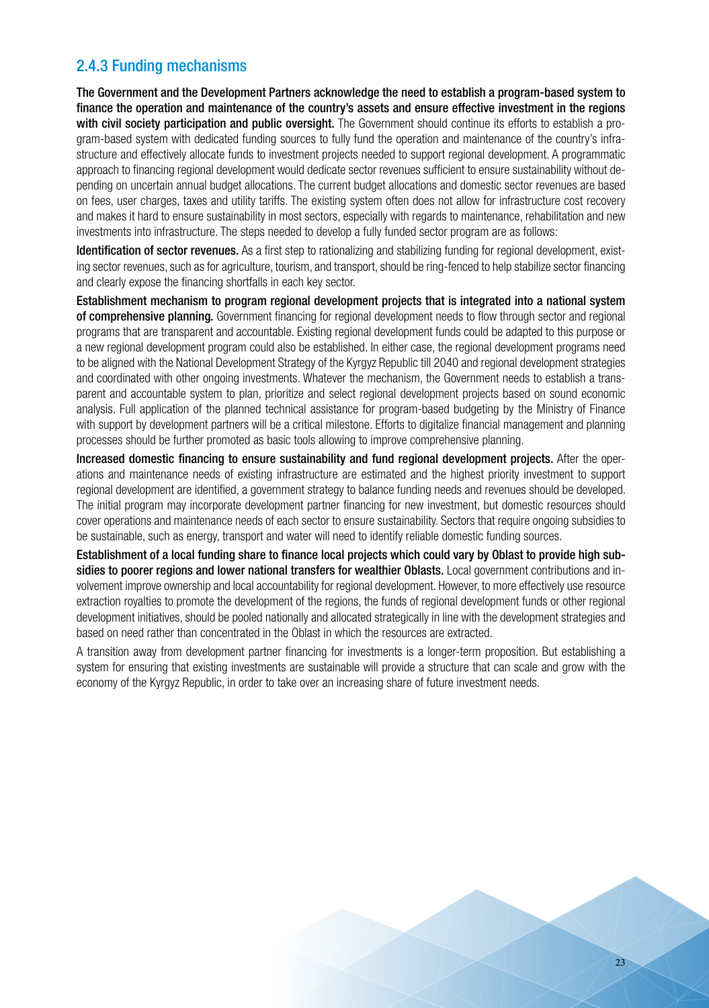### 2.4.3 Funding mechanisms

The Government and the Development Partners acknowledge the need to establish a program-based system to finance the operation and maintenance of the country's assets and ensure effective investment in the regions with civil society participation and public oversight. The Government should continue its efforts to establish a program-based system with dedicated funding sources to fully fund the operation and maintenance of the country's infrastructure and effectively allocate funds to investment projects needed to support regional development. A programmatic approach to financing regional development would dedicate sector revenues sufficient to ensure sustainability without depending on uncertain annual budget allocations. The current budget allocations and domestic sector revenues are based on fees, user charges, taxes and utility tariffs. The existing system often does not allow for infrastructure cost recovery and makes it hard to ensure sustainability in most sectors, especially with regards to maintenance, rehabilitation and new investments into infrastructure. The steps needed to develop a fully funded sector program are as follows:

Identification of sector revenues. As a first step to rationalizing and stabilizing funding for regional development, existing sector revenues, such as for agriculture, tourism, and transport, should be ring-fenced to help stabilize sector financing and clearly expose the financing shortfalls in each key sector.

Establishment mechanism to program regional development projects that is integrated into a national system of comprehensive planning. Government financing for regional development needs to flow through sector and regional programs that are transparent and accountable. Existing regional development funds could be adapted to this purpose or a new regional development program could also be established. In either case, the regional development programs need to be aligned with the National Development Strategy of the Kyrgyz Republic till 2040 and regional development strategies and coordinated with other ongoing investments. Whatever the mechanism, the Government needs to establish a transparent and accountable system to plan, prioritize and select regional development projects based on sound economic analysis. Full application of the planned technical assistance for program-based budgeting by the Ministry of Finance with support by development partners will be a critical milestone. Efforts to digitalize financial management and planning processes should be further promoted as basic tools allowing to improve comprehensive planning.

Increased domestic financing to ensure sustainability and fund regional development projects. After the operations and maintenance needs of existing infrastructure are estimated and the highest priority investment to support regional development are identified, a government strategy to balance funding needs and revenues should be developed. The initial program may incorporate development partner financing for new investment, but domestic resources should cover operations and maintenance needs of each sector to ensure sustainability. Sectors that require ongoing subsidies to be sustainable, such as energy, transport and water will need to identify reliable domestic funding sources.

Establishment of a local funding share to finance local projects which could vary by Oblast to provide high subsidies to poorer regions and lower national transfers for wealthier Oblasts. Local government contributions and involvement improve ownership and local accountability for regional development. However, to more effectively use resource extraction royalties to promote the development of the regions, the funds of regional development funds or other regional development initiatives, should be pooled nationally and allocated strategically in line with the development strategies and based on need rather than concentrated in the Oblast in which the resources are extracted.

A transition away from development partner financing for investments is a longer-term proposition. But establishing a system for ensuring that existing investments are sustainable will provide a structure that can scale and grow with the economy of the Kyrgyz Republic, in order to take over an increasing share of future investment needs.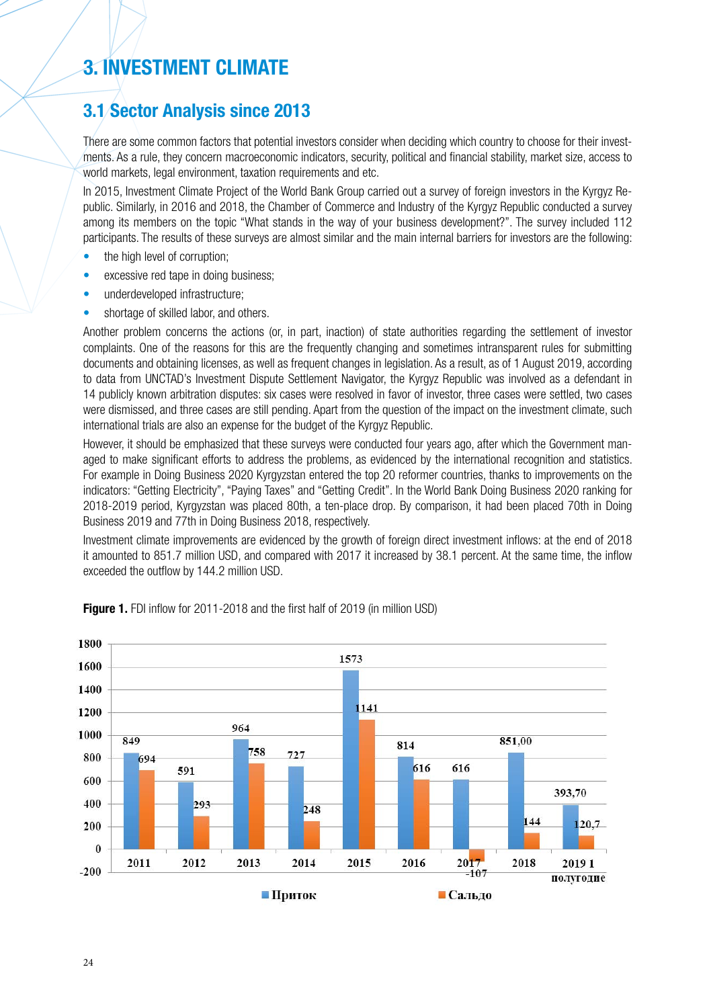# **3. INVESTMENT CLIMATE**

### **3.1 Sector Analysis since 2013**

There are some common factors that potential investors consider when deciding which country to choose for their investments. As a rule, they concern macroeconomic indicators, security, political and financial stability, market size, access to world markets, legal environment, taxation requirements and etc.

In 2015, Investment Climate Project of the World Bank Group carried out a survey of foreign investors in the Kyrgyz Republic. Similarly, in 2016 and 2018, the Chamber of Commerce and Industry of the Kyrgyz Republic conducted a survey among its members on the topic "What stands in the way of your business development?". The survey included 112 participants. The results of these surveys are almost similar and the main internal barriers for investors are the following:

- the high level of corruption;
- excessive red tape in doing business;
- underdeveloped infrastructure;
- shortage of skilled labor, and others.

Another problem concerns the actions (or, in part, inaction) of state authorities regarding the settlement of investor complaints. One of the reasons for this are the frequently changing and sometimes intransparent rules for submitting documents and obtaining licenses, as well as frequent changes in legislation. As a result, as of 1 August 2019, according to data from UNCTAD's Investment Dispute Settlement Navigator, the Kyrgyz Republic was involved as a defendant in 14 publicly known arbitration disputes: six cases were resolved in favor of investor, three cases were settled, two cases were dismissed, and three cases are still pending. Apart from the question of the impact on the investment climate, such international trials are also an expense for the budget of the Kyrgyz Republic.

However, it should be emphasized that these surveys were conducted four years ago, after which the Government managed to make significant efforts to address the problems, as evidenced by the international recognition and statistics. For example in Doing Business 2020 Kyrgyzstan entered the top 20 reformer countries, thanks to improvements on the indicators: "Getting Electricity", "Paying Taxes" and "Getting Credit". In the World Bank Doing Business 2020 ranking for 2018-2019 period, Kyrgyzstan was placed 80th, a ten-place drop. By comparison, it had been placed 70th in Doing Business 2019 and 77th in Doing Business 2018, respectively.

Investment climate improvements are evidenced by the growth of foreign direct investment inflows: at the end of 2018 it amounted to 851.7 million USD, and compared with 2017 it increased by 38.1 percent. At the same time, the inflow exceeded the outflow by 144.2 million USD.



**Figure 1.** FDI inflow for 2011-2018 and the first half of 2019 (in million USD)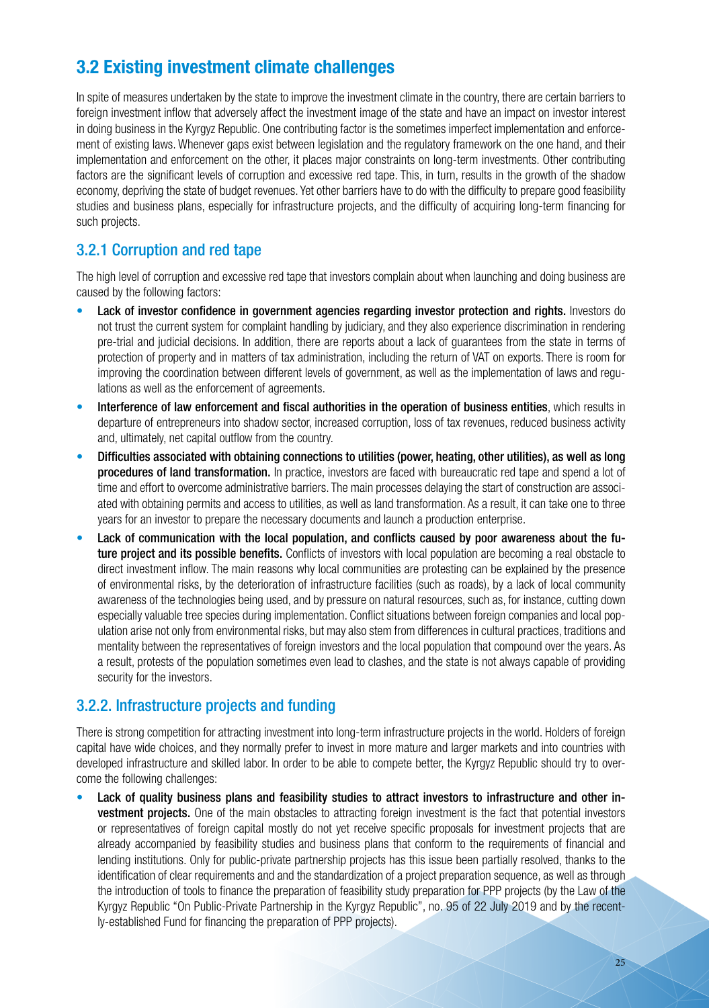# **3.2 Existing investment climate challenges**

In spite of measures undertaken by the state to improve the investment climate in the country, there are certain barriers to foreign investment inflow that adversely affect the investment image of the state and have an impact on investor interest in doing business in the Kyrgyz Republic. One contributing factor is the sometimes imperfect implementation and enforcement of existing laws. Whenever gaps exist between legislation and the regulatory framework on the one hand, and their implementation and enforcement on the other, it places major constraints on long-term investments. Other contributing factors are the significant levels of corruption and excessive red tape. This, in turn, results in the growth of the shadow economy, depriving the state of budget revenues. Yet other barriers have to do with the difficulty to prepare good feasibility studies and business plans, especially for infrastructure projects, and the difficulty of acquiring long-term financing for such projects.

### 3.2.1 Corruption and red tape

The high level of corruption and excessive red tape that investors complain about when launching and doing business are caused by the following factors:

- Lack of investor confidence in government agencies regarding investor protection and rights. Investors do not trust the current system for complaint handling by judiciary, and they also experience discrimination in rendering pre-trial and judicial decisions. In addition, there are reports about a lack of guarantees from the state in terms of protection of property and in matters of tax administration, including the return of VAT on exports. There is room for improving the coordination between different levels of government, as well as the implementation of laws and regulations as well as the enforcement of agreements.
- Interference of law enforcement and fiscal authorities in the operation of business entities, which results in departure of entrepreneurs into shadow sector, increased corruption, loss of tax revenues, reduced business activity and, ultimately, net capital outflow from the country.
- Difficulties associated with obtaining connections to utilities (power, heating, other utilities), as well as long procedures of land transformation. In practice, investors are faced with bureaucratic red tape and spend a lot of time and effort to overcome administrative barriers. The main processes delaying the start of construction are associated with obtaining permits and access to utilities, as well as land transformation. As a result, it can take one to three years for an investor to prepare the necessary documents and launch a production enterprise.
- Lack of communication with the local population, and conflicts caused by poor awareness about the future project and its possible benefits. Conflicts of investors with local population are becoming a real obstacle to direct investment inflow. The main reasons why local communities are protesting can be explained by the presence of environmental risks, by the deterioration of infrastructure facilities (such as roads), by a lack of local community awareness of the technologies being used, and by pressure on natural resources, such as, for instance, cutting down especially valuable tree species during implementation. Conflict situations between foreign companies and local population arise not only from environmental risks, but may also stem from differences in cultural practices, traditions and mentality between the representatives of foreign investors and the local population that compound over the years. As a result, protests of the population sometimes even lead to clashes, and the state is not always capable of providing security for the investors.

### 3.2.2. Infrastructure projects and funding

There is strong competition for attracting investment into long-term infrastructure projects in the world. Holders of foreign capital have wide choices, and they normally prefer to invest in more mature and larger markets and into countries with developed infrastructure and skilled labor. In order to be able to compete better, the Kyrgyz Republic should try to overcome the following challenges:

• Lack of quality business plans and feasibility studies to attract investors to infrastructure and other investment projects. One of the main obstacles to attracting foreign investment is the fact that potential investors or representatives of foreign capital mostly do not yet receive specific proposals for investment projects that are already accompanied by feasibility studies and business plans that conform to the requirements of financial and lending institutions. Only for public-private partnership projects has this issue been partially resolved, thanks to the identification of clear requirements and and the standardization of a project preparation sequence, as well as through the introduction of tools to finance the preparation of feasibility study preparation for PPP projects (by the Law of the Kyrgyz Republic "On Public-Private Partnership in the Kyrgyz Republic", no. 95 of 22 July 2019 and by the recently-established Fund for financing the preparation of PPP projects).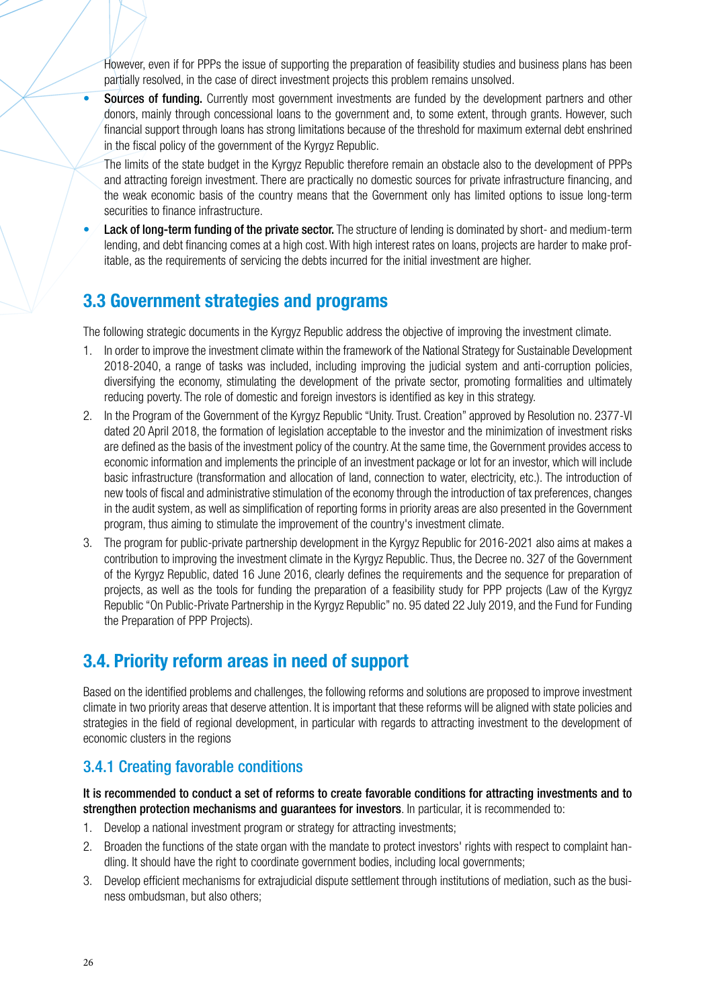However, even if for PPPs the issue of supporting the preparation of feasibility studies and business plans has been partially resolved, in the case of direct investment projects this problem remains unsolved.

• Sources of funding. Currently most government investments are funded by the development partners and other donors, mainly through concessional loans to the government and, to some extent, through grants. However, such financial support through loans has strong limitations because of the threshold for maximum external debt enshrined in the fiscal policy of the government of the Kyrgyz Republic.

The limits of the state budget in the Kyrgyz Republic therefore remain an obstacle also to the development of PPPs and attracting foreign investment. There are practically no domestic sources for private infrastructure financing, and the weak economic basis of the country means that the Government only has limited options to issue long-term securities to finance infrastructure.

Lack of long-term funding of the private sector. The structure of lending is dominated by short- and medium-term lending, and debt financing comes at a high cost. With high interest rates on loans, projects are harder to make profitable, as the requirements of servicing the debts incurred for the initial investment are higher.

### **3.3 Government strategies and programs**

The following strategic documents in the Kyrgyz Republic address the objective of improving the investment climate.

- 1. In order to improve the investment climate within the framework of the National Strategy for Sustainable Development 2018-2040, a range of tasks was included, including improving the judicial system and anti-corruption policies, diversifying the economy, stimulating the development of the private sector, promoting formalities and ultimately reducing poverty. The role of domestic and foreign investors is identified as key in this strategy.
- 2. In the Program of the Government of the Kyrgyz Republic "Unity. Trust. Creation" approved by Resolution no. 2377-VI dated 20 April 2018, the formation of legislation acceptable to the investor and the minimization of investment risks are defined as the basis of the investment policy of the country. At the same time, the Government provides access to economic information and implements the principle of an investment package or lot for an investor, which will include basic infrastructure (transformation and allocation of land, connection to water, electricity, etc.). The introduction of new tools of fiscal and administrative stimulation of the economy through the introduction of tax preferences, changes in the audit system, as well as simplification of reporting forms in priority areas are also presented in the Government program, thus aiming to stimulate the improvement of the country's investment climate.
- 3. The program for public-private partnership development in the Kyrgyz Republic for 2016-2021 also aims at makes a contribution to improving the investment climate in the Kyrgyz Republic. Thus, the Decree no. 327 of the Government of the Kyrgyz Republic, dated 16 June 2016, clearly defines the requirements and the sequence for preparation of projects, as well as the tools for funding the preparation of a feasibility study for PPP projects (Law of the Kyrgyz Republic "On Public-Private Partnership in the Kyrgyz Republic" no. 95 dated 22 July 2019, and the Fund for Funding the Preparation of PPP Projects).

### **3.4. Priority reform areas in need of support**

Based on the identified problems and challenges, the following reforms and solutions are proposed to improve investment climate in two priority areas that deserve attention. It is important that these reforms will be aligned with state policies and strategies in the field of regional development, in particular with regards to attracting investment to the development of economic clusters in the regions

### 3.4.1 Creating favorable conditions

It is recommended to conduct a set of reforms to create favorable conditions for attracting investments and to strengthen protection mechanisms and guarantees for investors. In particular, it is recommended to:

- 1. Develop a national investment program or strategy for attracting investments;
- 2. Broaden the functions of the state organ with the mandate to protect investors' rights with respect to complaint handling. It should have the right to coordinate government bodies, including local governments;
- 3. Develop efficient mechanisms for extrajudicial dispute settlement through institutions of mediation, such as the business ombudsman, but also others;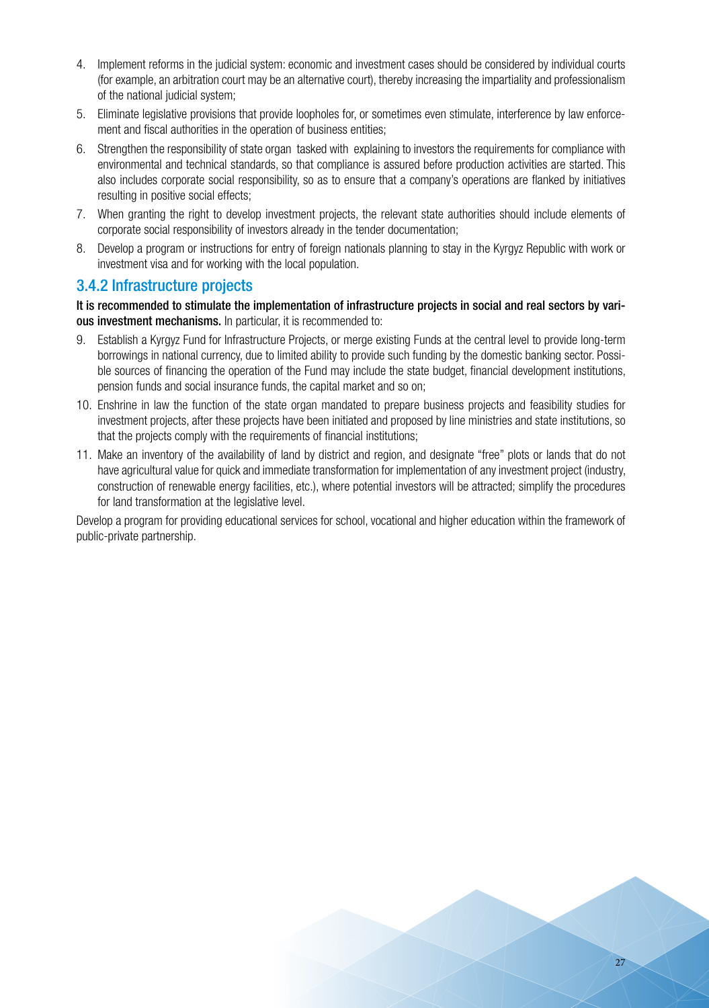- 4. Implement reforms in the judicial system: economic and investment cases should be considered by individual courts (for example, an arbitration court may be an alternative court), thereby increasing the impartiality and professionalism of the national judicial system;
- 5. Eliminate legislative provisions that provide loopholes for, or sometimes even stimulate, interference by law enforcement and fiscal authorities in the operation of business entities;
- 6. Strengthen the responsibility of state organ tasked with explaining to investors the requirements for compliance with environmental and technical standards, so that compliance is assured before production activities are started. This also includes corporate social responsibility, so as to ensure that a company's operations are flanked by initiatives resulting in positive social effects;
- 7. When granting the right to develop investment projects, the relevant state authorities should include elements of corporate social responsibility of investors already in the tender documentation;
- 8. Develop a program or instructions for entry of foreign nationals planning to stay in the Kyrgyz Republic with work or investment visa and for working with the local population.

#### 3.4.2 Infrastructure projects

It is recommended to stimulate the implementation of infrastructure projects in social and real sectors by various investment mechanisms. In particular, it is recommended to:

- 9. Establish a Kyrgyz Fund for Infrastructure Projects, or merge existing Funds at the central level to provide long-term borrowings in national currency, due to limited ability to provide such funding by the domestic banking sector. Possible sources of financing the operation of the Fund may include the state budget, financial development institutions, pension funds and social insurance funds, the capital market and so on;
- 10. Enshrine in law the function of the state organ mandated to prepare business projects and feasibility studies for investment projects, after these projects have been initiated and proposed by line ministries and state institutions, so that the projects comply with the requirements of financial institutions;
- 11. Make an inventory of the availability of land by district and region, and designate "free" plots or lands that do not have agricultural value for quick and immediate transformation for implementation of any investment project (industry, construction of renewable energy facilities, etc.), where potential investors will be attracted; simplify the procedures for land transformation at the legislative level.

Develop a program for providing educational services for school, vocational and higher education within the framework of public-private partnership.

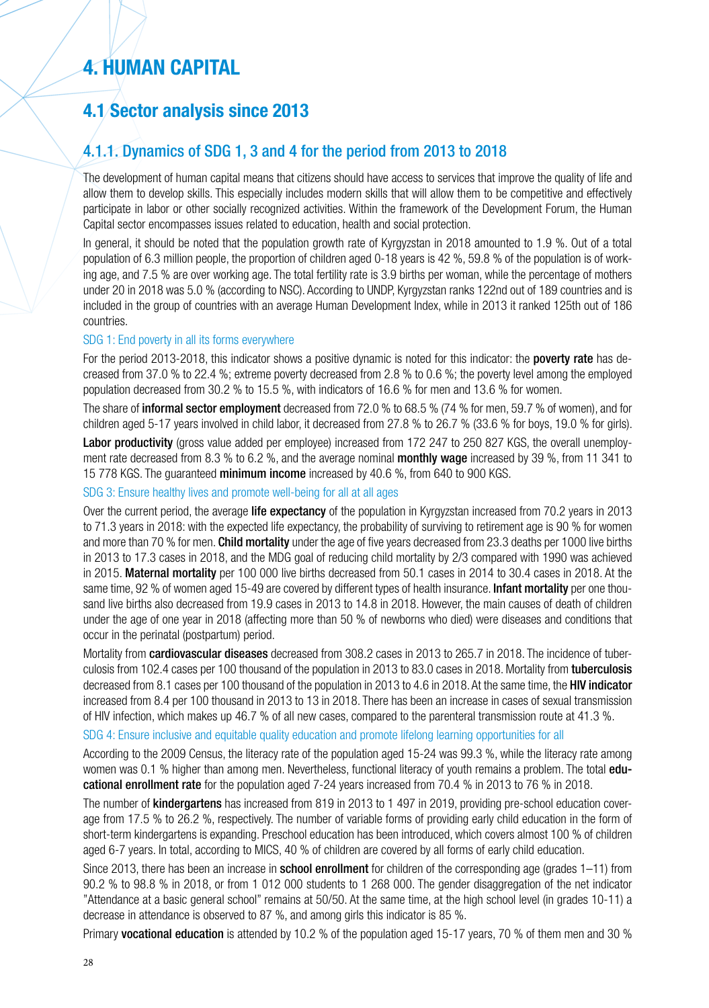# **4. HUMAN CAPITAL**

# **4.1 Sector analysis since 2013**

### 4.1.1. Dynamics of SDG 1, 3 and 4 for the period from 2013 to 2018

The development of human capital means that citizens should have access to services that improve the quality of life and allow them to develop skills. This especially includes modern skills that will allow them to be competitive and effectively participate in labor or other socially recognized activities. Within the framework of the Development Forum, the Human Capital sector encompasses issues related to education, health and social protection.

In general, it should be noted that the population growth rate of Kyrgyzstan in 2018 amounted to 1.9 %. Out of a total population of 6.3 million people, the proportion of children aged 0-18 years is 42 %, 59.8 % of the population is of working age, and 7.5 % are over working age. The total fertility rate is 3.9 births per woman, while the percentage of mothers under 20 in 2018 was 5.0 % (according to NSC). According to UNDP, Kyrgyzstan ranks 122nd out of 189 countries and is included in the group of countries with an average Human Development Index, while in 2013 it ranked 125th out of 186 countries.

#### SDG 1: End poverty in all its forms everywhere

For the period 2013-2018, this indicator shows a positive dynamic is noted for this indicator: the poverty rate has decreased from 37.0 % to 22.4 %; extreme poverty decreased from 2.8 % to 0.6 %; the poverty level among the employed population decreased from 30.2 % to 15.5 %, with indicators of 16.6 % for men and 13.6 % for women.

The share of informal sector employment decreased from 72.0 % to 68.5 % (74 % for men, 59.7 % of women), and for children aged 5-17 years involved in child labor, it decreased from 27.8 % to 26.7 % (33.6 % for boys, 19.0 % for girls).

Labor productivity (gross value added per employee) increased from 172 247 to 250 827 KGS, the overall unemployment rate decreased from 8.3 % to 6.2 %, and the average nominal **monthly wage** increased by 39 %, from 11 341 to 15 778 KGS. The guaranteed minimum income increased by 40.6 %, from 640 to 900 KGS.

#### SDG 3: Ensure healthy lives and promote well-being for all at all ages

Over the current period, the average life expectancy of the population in Kyrgyzstan increased from 70.2 years in 2013 to 71.3 years in 2018: with the expected life expectancy, the probability of surviving to retirement age is 90 % for women and more than 70 % for men. Child mortality under the age of five years decreased from 23.3 deaths per 1000 live births in 2013 to 17.3 cases in 2018, and the MDG goal of reducing child mortality by 2/3 compared with 1990 was achieved in 2015. Maternal mortality per 100 000 live births decreased from 50.1 cases in 2014 to 30.4 cases in 2018. At the same time, 92 % of women aged 15-49 are covered by different types of health insurance. Infant mortality per one thousand live births also decreased from 19.9 cases in 2013 to 14.8 in 2018. However, the main causes of death of children under the age of one year in 2018 (affecting more than 50 % of newborns who died) were diseases and conditions that occur in the perinatal (postpartum) period.

Mortality from cardiovascular diseases decreased from 308.2 cases in 2013 to 265.7 in 2018. The incidence of tuberculosis from 102.4 cases per 100 thousand of the population in 2013 to 83.0 cases in 2018. Mortality from tuberculosis decreased from 8.1 cases per 100 thousand of the population in 2013 to 4.6 in 2018. At the same time, the **HIV indicator** increased from 8.4 per 100 thousand in 2013 to 13 in 2018. There has been an increase in cases of sexual transmission of HIV infection, which makes up 46.7 % of all new cases, compared to the parenteral transmission route at 41.3 %.

#### SDG 4: Ensure inclusive and equitable quality education and promote lifelong learning opportunities for all

According to the 2009 Census, the literacy rate of the population aged 15-24 was 99.3 %, while the literacy rate among women was 0.1 % higher than among men. Nevertheless, functional literacy of youth remains a problem. The total **edu**cational enrollment rate for the population aged 7-24 years increased from 70.4 % in 2013 to 76 % in 2018.

The number of kindergartens has increased from 819 in 2013 to 1 497 in 2019, providing pre-school education coverage from 17.5 % to 26.2 %, respectively. The number of variable forms of providing early child education in the form of short-term kindergartens is expanding. Preschool education has been introduced, which covers almost 100 % of children aged 6-7 years. In total, according to MICS, 40 % of children are covered by all forms of early child education.

Since 2013, there has been an increase in **school enrollment** for children of the corresponding age (grades 1–11) from 90.2 % to 98.8 % in 2018, or from 1 012 000 students to 1 268 000. The gender disaggregation of the net indicator "Attendance at a basic general school" remains at 50/50. At the same time, at the high school level (in grades 10-11) a decrease in attendance is observed to 87 %, and among girls this indicator is 85 %.

Primary vocational education is attended by 10.2 % of the population aged 15-17 years, 70 % of them men and 30 %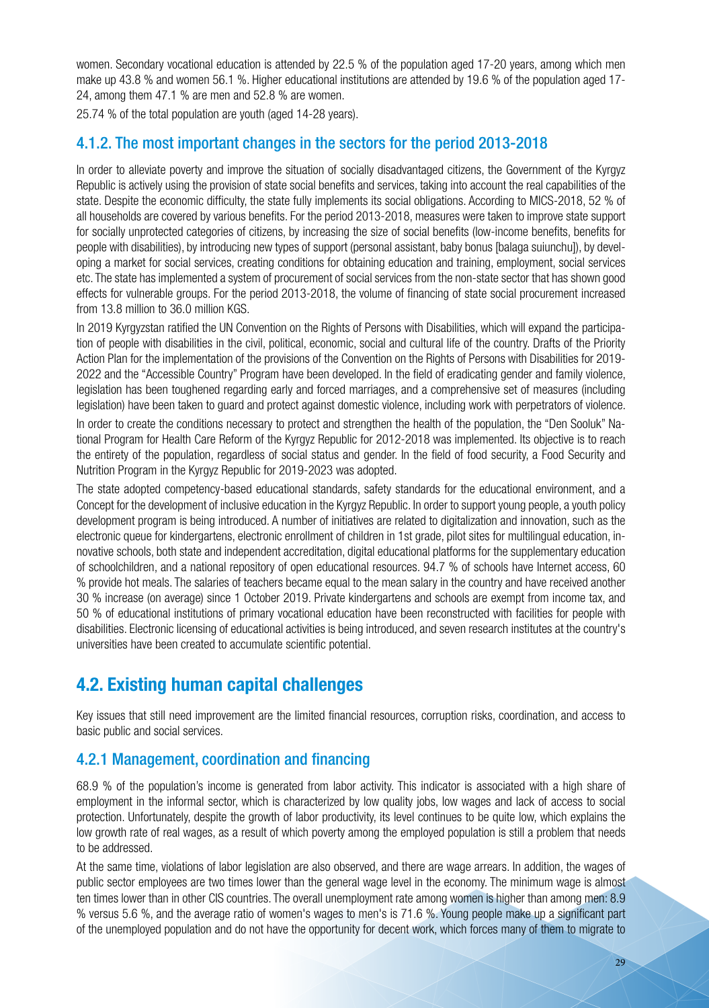women. Secondary vocational education is attended by 22.5 % of the population aged 17-20 years, among which men make up 43.8 % and women 56.1 %. Higher educational institutions are attended by 19.6 % of the population aged 17- 24, among them 47.1 % are men and 52.8 % are women.

25.74 % of the total population are youth (aged 14-28 years).

### 4.1.2. The most important changes in the sectors for the period 2013-2018

In order to alleviate poverty and improve the situation of socially disadvantaged citizens, the Government of the Kyrgyz Republic is actively using the provision of state social benefits and services, taking into account the real capabilities of the state. Despite the economic difficulty, the state fully implements its social obligations. According to MICS-2018, 52 % of all households are covered by various benefits. For the period 2013-2018, measures were taken to improve state support for socially unprotected categories of citizens, by increasing the size of social benefits (low-income benefits, benefits for people with disabilities), by introducing new types of support (personal assistant, baby bonus [balaga suiunchu]), by developing a market for social services, creating conditions for obtaining education and training, employment, social services etc. The state has implemented a system of procurement of social services from the non-state sector that has shown good effects for vulnerable groups. For the period 2013-2018, the volume of financing of state social procurement increased from 13.8 million to 36.0 million KGS.

In 2019 Kyrgyzstan ratified the UN Convention on the Rights of Persons with Disabilities, which will expand the participation of people with disabilities in the civil, political, economic, social and cultural life of the country. Drafts of the Priority Action Plan for the implementation of the provisions of the Convention on the Rights of Persons with Disabilities for 2019- 2022 and the "Accessible Country" Program have been developed. In the field of eradicating gender and family violence, legislation has been toughened regarding early and forced marriages, and a comprehensive set of measures (including legislation) have been taken to guard and protect against domestic violence, including work with perpetrators of violence.

In order to create the conditions necessary to protect and strengthen the health of the population, the "Den Sooluk" National Program for Health Care Reform of the Kyrgyz Republic for 2012-2018 was implemented. Its objective is to reach the entirety of the population, regardless of social status and gender. In the field of food security, a Food Security and Nutrition Program in the Kyrgyz Republic for 2019-2023 was adopted.

The state adopted competency-based educational standards, safety standards for the educational environment, and a Concept for the development of inclusive education in the Kyrgyz Republic. In order to support young people, a youth policy development program is being introduced. A number of initiatives are related to digitalization and innovation, such as the electronic queue for kindergartens, electronic enrollment of children in 1st grade, pilot sites for multilingual education, innovative schools, both state and independent accreditation, digital educational platforms for the supplementary education of schoolchildren, and a national repository of open educational resources. 94.7 % of schools have Internet access, 60 % provide hot meals. The salaries of teachers became equal to the mean salary in the country and have received another 30 % increase (on average) since 1 October 2019. Private kindergartens and schools are exempt from income tax, and 50 % of educational institutions of primary vocational education have been reconstructed with facilities for people with disabilities. Electronic licensing of educational activities is being introduced, and seven research institutes at the country's universities have been created to accumulate scientific potential.

### **4.2. Existing human capital challenges**

Key issues that still need improvement are the limited financial resources, corruption risks, coordination, and access to basic public and social services.

### 4.2.1 Management, coordination and financing

68.9 % of the population's income is generated from labor activity. This indicator is associated with a high share of employment in the informal sector, which is characterized by low quality jobs, low wages and lack of access to social protection. Unfortunately, despite the growth of labor productivity, its level continues to be quite low, which explains the low growth rate of real wages, as a result of which poverty among the employed population is still a problem that needs to be addressed.

At the same time, violations of labor legislation are also observed, and there are wage arrears. In addition, the wages of public sector employees are two times lower than the general wage level in the economy. The minimum wage is almost ten times lower than in other CIS countries. The overall unemployment rate among women is higher than among men: 8.9 % versus 5.6 %, and the average ratio of women's wages to men's is 71.6 %. Young people make up a significant part of the unemployed population and do not have the opportunity for decent work, which forces many of them to migrate to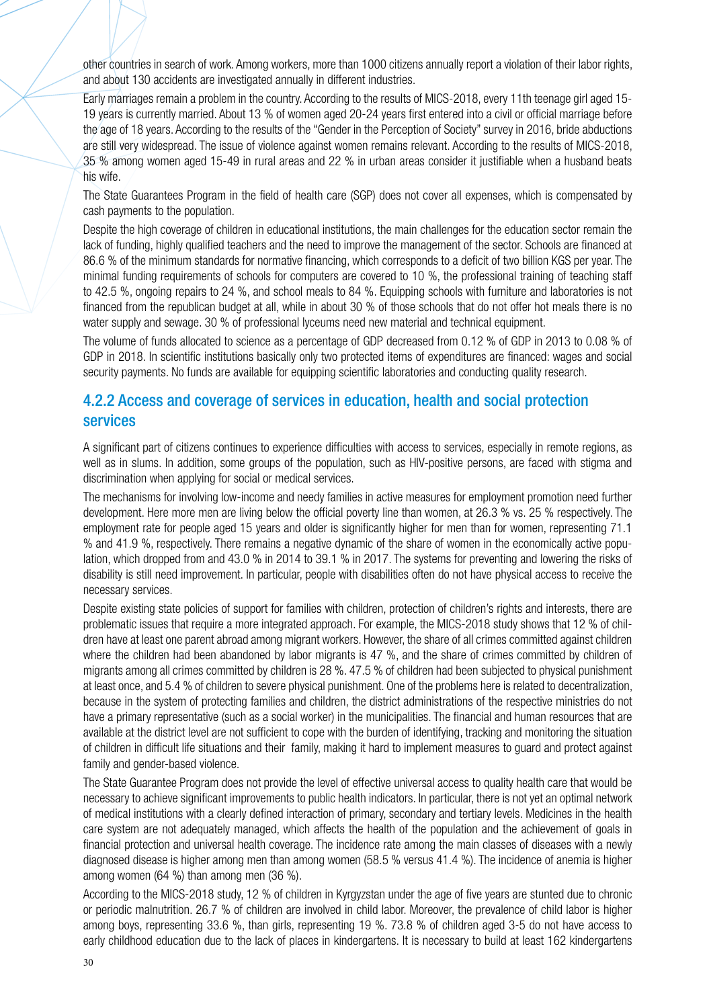other countries in search of work. Among workers, more than 1000 citizens annually report a violation of their labor rights, and about 130 accidents are investigated annually in different industries.

Early marriages remain a problem in the country. According to the results of MICS-2018, every 11th teenage girl aged 15- 19 years is currently married. About 13 % of women aged 20-24 years first entered into a civil or official marriage before the age of 18 years. According to the results of the "Gender in the Perception of Society" survey in 2016, bride abductions are still very widespread. The issue of violence against women remains relevant. According to the results of MICS-2018, 35 % among women aged 15-49 in rural areas and 22 % in urban areas consider it justifiable when a husband beats his wife.

The State Guarantees Program in the field of health care (SGP) does not cover all expenses, which is compensated by cash payments to the population.

Despite the high coverage of children in educational institutions, the main challenges for the education sector remain the lack of funding, highly qualified teachers and the need to improve the management of the sector. Schools are financed at 86.6 % of the minimum standards for normative financing, which corresponds to a deficit of two billion KGS per year. The minimal funding requirements of schools for computers are covered to 10 %, the professional training of teaching staff to 42.5 %, ongoing repairs to 24 %, and school meals to 84 %. Equipping schools with furniture and laboratories is not financed from the republican budget at all, while in about 30 % of those schools that do not offer hot meals there is no water supply and sewage. 30 % of professional lyceums need new material and technical equipment.

The volume of funds allocated to science as a percentage of GDP decreased from 0.12 % of GDP in 2013 to 0.08 % of GDP in 2018. In scientific institutions basically only two protected items of expenditures are financed: wages and social security payments. No funds are available for equipping scientific laboratories and conducting quality research.

#### 4.2.2 Access and coverage of services in education, health and social protection services

A significant part of citizens continues to experience difficulties with access to services, especially in remote regions, as well as in slums. In addition, some groups of the population, such as HIV-positive persons, are faced with stigma and discrimination when applying for social or medical services.

The mechanisms for involving low-income and needy families in active measures for employment promotion need further development. Here more men are living below the official poverty line than women, at 26.3 % vs. 25 % respectively. The employment rate for people aged 15 years and older is significantly higher for men than for women, representing 71.1 % and 41.9 %, respectively. There remains a negative dynamic of the share of women in the economically active population, which dropped from and 43.0 % in 2014 to 39.1 % in 2017. The systems for preventing and lowering the risks of disability is still need improvement. In particular, people with disabilities often do not have physical access to receive the necessary services.

Despite existing state policies of support for families with children, protection of children's rights and interests, there are problematic issues that require a more integrated approach. For example, the MICS-2018 study shows that 12 % of children have at least one parent abroad among migrant workers. However, the share of all crimes committed against children where the children had been abandoned by labor migrants is 47 %, and the share of crimes committed by children of migrants among all crimes committed by children is 28 %. 47.5 % of children had been subjected to physical punishment at least once, and 5.4 % of children to severe physical punishment. One of the problems here is related to decentralization, because in the system of protecting families and children, the district administrations of the respective ministries do not have a primary representative (such as a social worker) in the municipalities. The financial and human resources that are available at the district level are not sufficient to cope with the burden of identifying, tracking and monitoring the situation of children in difficult life situations and their family, making it hard to implement measures to guard and protect against family and gender-based violence.

The State Guarantee Program does not provide the level of effective universal access to quality health care that would be necessary to achieve significant improvements to public health indicators. In particular, there is not yet an optimal network of medical institutions with a clearly defined interaction of primary, secondary and tertiary levels. Medicines in the health care system are not adequately managed, which affects the health of the population and the achievement of goals in financial protection and universal health coverage. The incidence rate among the main classes of diseases with a newly diagnosed disease is higher among men than among women (58.5 % versus 41.4 %). The incidence of anemia is higher among women (64 %) than among men (36 %).

According to the MICS-2018 study, 12 % of children in Kyrgyzstan under the age of five years are stunted due to chronic or periodic malnutrition. 26.7 % of children are involved in child labor. Moreover, the prevalence of child labor is higher among boys, representing 33.6 %, than girls, representing 19 %. 73.8 % of children aged 3-5 do not have access to early childhood education due to the lack of places in kindergartens. It is necessary to build at least 162 kindergartens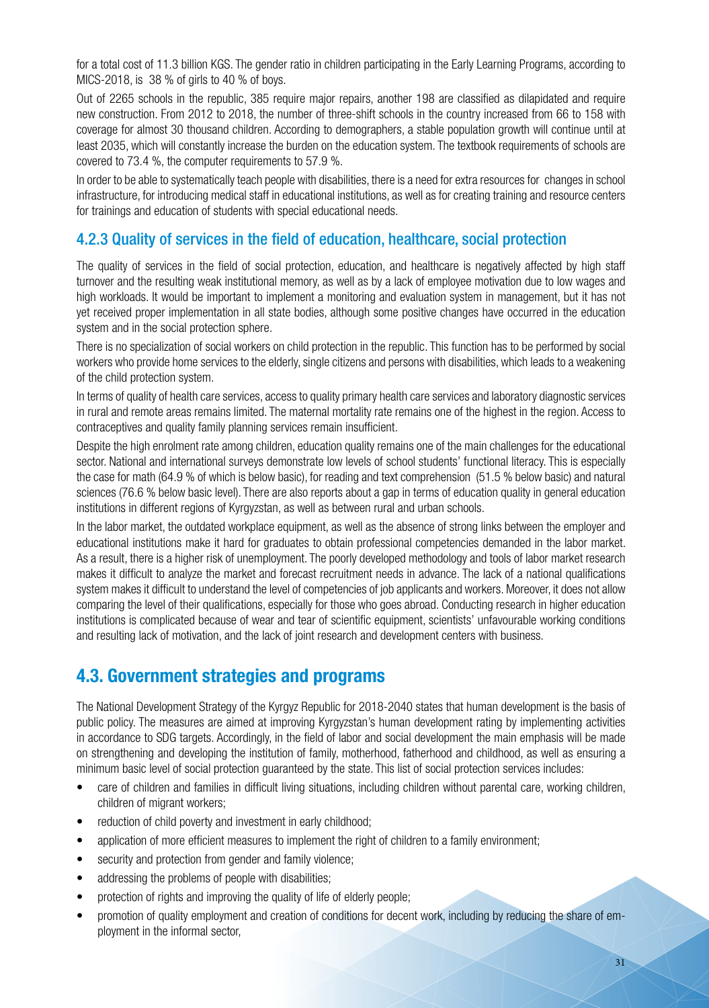for a total cost of 11.3 billion KGS. The gender ratio in children participating in the Early Learning Programs, according to MICS-2018, is 38 % of girls to 40 % of boys.

Out of 2265 schools in the republic, 385 require major repairs, another 198 are classified as dilapidated and require new construction. From 2012 to 2018, the number of three-shift schools in the country increased from 66 to 158 with coverage for almost 30 thousand children. According to demographers, a stable population growth will continue until at least 2035, which will constantly increase the burden on the education system. The textbook requirements of schools are covered to 73.4 %, the computer requirements to 57.9 %.

In order to be able to systematically teach people with disabilities, there is a need for extra resources for changes in school infrastructure, for introducing medical staff in educational institutions, as well as for creating training and resource centers for trainings and education of students with special educational needs.

### 4.2.3 Quality of services in the field of education, healthcare, social protection

The quality of services in the field of social protection, education, and healthcare is negatively affected by high staff turnover and the resulting weak institutional memory, as well as by a lack of employee motivation due to low wages and high workloads. It would be important to implement a monitoring and evaluation system in management, but it has not yet received proper implementation in all state bodies, although some positive changes have occurred in the education system and in the social protection sphere.

There is no specialization of social workers on child protection in the republic. This function has to be performed by social workers who provide home services to the elderly, single citizens and persons with disabilities, which leads to a weakening of the child protection system.

In terms of quality of health care services, access to quality primary health care services and laboratory diagnostic services in rural and remote areas remains limited. The maternal mortality rate remains one of the highest in the region. Access to contraceptives and quality family planning services remain insufficient.

Despite the high enrolment rate among children, education quality remains one of the main challenges for the educational sector. National and international surveys demonstrate low levels of school students' functional literacy. This is especially the case for math (64.9 % of which is below basic), for reading and text comprehension (51.5 % below basic) and natural sciences (76.6 % below basic level). There are also reports about a gap in terms of education quality in general education institutions in different regions of Kyrgyzstan, as well as between rural and urban schools.

In the labor market, the outdated workplace equipment, as well as the absence of strong links between the employer and educational institutions make it hard for graduates to obtain professional competencies demanded in the labor market. As a result, there is a higher risk of unemployment. The poorly developed methodology and tools of labor market research makes it difficult to analyze the market and forecast recruitment needs in advance. The lack of a national qualifications system makes it difficult to understand the level of competencies of job applicants and workers. Moreover, it does not allow comparing the level of their qualifications, especially for those who goes abroad. Conducting research in higher education institutions is complicated because of wear and tear of scientific equipment, scientists' unfavourable working conditions and resulting lack of motivation, and the lack of joint research and development centers with business.

### **4.3. Government strategies and programs**

The National Development Strategy of the Kyrgyz Republic for 2018-2040 states that human development is the basis of public policy. The measures are aimed at improving Kyrgyzstan's human development rating by implementing activities in accordance to SDG targets. Accordingly, in the field of labor and social development the main emphasis will be made on strengthening and developing the institution of family, motherhood, fatherhood and childhood, as well as ensuring a minimum basic level of social protection guaranteed by the state. This list of social protection services includes:

- care of children and families in difficult living situations, including children without parental care, working children, children of migrant workers;
- reduction of child poverty and investment in early childhood;
- application of more efficient measures to implement the right of children to a family environment;
- security and protection from gender and family violence;
- addressing the problems of people with disabilities;
- protection of rights and improving the quality of life of elderly people;
- promotion of quality employment and creation of conditions for decent work, including by reducing the share of employment in the informal sector,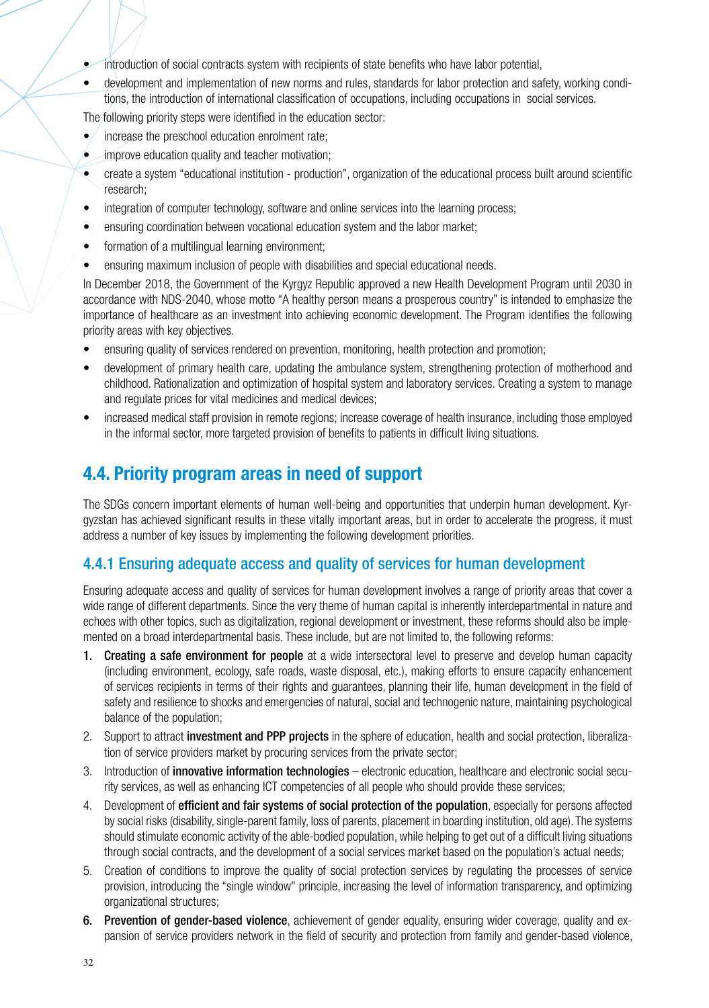- introduction of social contracts system with recipients of state benefits who have labor potential,
- development and implementation of new norms and rules, standards for labor protection and safety, working conditions, the introduction of international classification of occupations, including occupations in social services.

The following priority steps were identified in the education sector:

- $\bullet$  increase the preschool education enrolment rate:
- improve education quality and teacher motivation;
- create a system "educational institution production", organization of the educational process built around scientific research;
- integration of computer technology, software and online services into the learning process;
- ensuring coordination between vocational education system and the labor market;
- formation of a multilingual learning environment;
- ensuring maximum inclusion of people with disabilities and special educational needs.

In December 2018, the Government of the Kyrgyz Republic approved a new Health Development Program until 2030 in accordance with NDS-2040, whose motto "A healthy person means a prosperous country" is intended to emphasize the importance of healthcare as an investment into achieving economic development. The Program identifies the following priority areas with key objectives.

- ensuring quality of services rendered on prevention, monitoring, health protection and promotion;
- development of primary health care, updating the ambulance system, strengthening protection of motherhood and childhood. Rationalization and optimization of hospital system and laboratory services. Creating a system to manage and regulate prices for vital medicines and medical devices;
- increased medical staff provision in remote regions; increase coverage of health insurance, including those employed in the informal sector, more targeted provision of benefits to patients in difficult living situations.

### **4.4. Priority program areas in need of support**

The SDGs concern important elements of human well-being and opportunities that underpin human development. Kyrgyzstan has achieved significant results in these vitally important areas, but in order to accelerate the progress, it must address a number of key issues by implementing the following development priorities.

#### 4.4.1 Ensuring adequate access and quality of services for human development

Ensuring adequate access and quality of services for human development involves a range of priority areas that cover a wide range of different departments. Since the very theme of human capital is inherently interdepartmental in nature and echoes with other topics, such as digitalization, regional development or investment, these reforms should also be implemented on a broad interdepartmental basis. These include, but are not limited to, the following reforms:

- 1. Creating a safe environment for people at a wide intersectoral level to preserve and develop human capacity (including environment, ecology, safe roads, waste disposal, etc.), making efforts to ensure capacity enhancement of services recipients in terms of their rights and guarantees, planning their life, human development in the field of safety and resilience to shocks and emergencies of natural, social and technogenic nature, maintaining psychological balance of the population;
- 2. Support to attract *investment and PPP projects* in the sphere of education, health and social protection, liberalization of service providers market by procuring services from the private sector;
- 3. Introduction of *innovative information technologies* electronic education, healthcare and electronic social security services, as well as enhancing ICT competencies of all people who should provide these services;
- 4. Development of efficient and fair systems of social protection of the population, especially for persons affected by social risks (disability, single-parent family, loss of parents, placement in boarding institution, old age). The systems should stimulate economic activity of the able-bodied population, while helping to get out of a difficult living situations through social contracts, and the development of a social services market based on the population's actual needs;
- 5. Creation of conditions to improve the quality of social protection services by regulating the processes of service provision, introducing the "single window" principle, increasing the level of information transparency, and optimizing organizational structures;
- 6. Prevention of gender-based violence, achievement of gender equality, ensuring wider coverage, quality and expansion of service providers network in the field of security and protection from family and gender-based violence,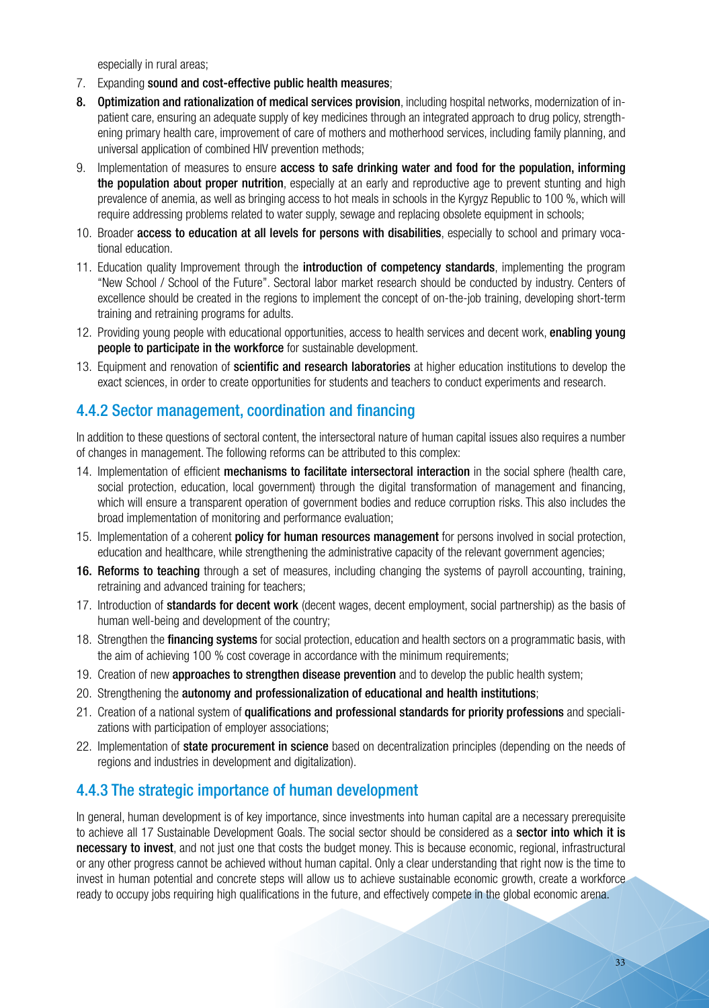especially in rural areas;

- 7. Expanding sound and cost-effective public health measures;
- 8. Optimization and rationalization of medical services provision, including hospital networks, modernization of inpatient care, ensuring an adequate supply of key medicines through an integrated approach to drug policy, strengthening primary health care, improvement of care of mothers and motherhood services, including family planning, and universal application of combined HIV prevention methods;
- 9. Implementation of measures to ensure access to safe drinking water and food for the population, informing the population about proper nutrition, especially at an early and reproductive age to prevent stunting and high prevalence of anemia, as well as bringing access to hot meals in schools in the Kyrgyz Republic to 100 %, which will require addressing problems related to water supply, sewage and replacing obsolete equipment in schools;
- 10. Broader access to education at all levels for persons with disabilities, especially to school and primary vocational education.
- 11. Education quality Improvement through the **introduction of competency standards**, implementing the program "New School / School of the Future". Sectoral labor market research should be conducted by industry. Centers of excellence should be created in the regions to implement the concept of on-the-job training, developing short-term training and retraining programs for adults.
- 12. Providing young people with educational opportunities, access to health services and decent work, enabling young people to participate in the workforce for sustainable development.
- 13. Equipment and renovation of scientific and research laboratories at higher education institutions to develop the exact sciences, in order to create opportunities for students and teachers to conduct experiments and research.

#### 4.4.2 Sector management, coordination and financing

In addition to these questions of sectoral content, the intersectoral nature of human capital issues also requires a number of changes in management. The following reforms can be attributed to this complex:

- 14. Implementation of efficient mechanisms to facilitate intersectoral interaction in the social sphere (health care, social protection, education, local government) through the digital transformation of management and financing, which will ensure a transparent operation of government bodies and reduce corruption risks. This also includes the broad implementation of monitoring and performance evaluation;
- 15. Implementation of a coherent **policy for human resources management** for persons involved in social protection, education and healthcare, while strengthening the administrative capacity of the relevant government agencies;
- 16. Reforms to teaching through a set of measures, including changing the systems of payroll accounting, training, retraining and advanced training for teachers;
- 17. Introduction of standards for decent work (decent wages, decent employment, social partnership) as the basis of human well-being and development of the country;
- 18. Strengthen the **financing systems** for social protection, education and health sectors on a programmatic basis, with the aim of achieving 100 % cost coverage in accordance with the minimum requirements;
- 19. Creation of new **approaches to strengthen disease prevention** and to develop the public health system;
- 20. Strengthening the autonomy and professionalization of educational and health institutions;
- 21. Creation of a national system of qualifications and professional standards for priority professions and specializations with participation of employer associations;
- 22. Implementation of **state procurement in science** based on decentralization principles (depending on the needs of regions and industries in development and digitalization).

### 4.4.3 The strategic importance of human development

In general, human development is of key importance, since investments into human capital are a necessary prerequisite to achieve all 17 Sustainable Development Goals. The social sector should be considered as a sector into which it is necessary to invest, and not just one that costs the budget money. This is because economic, regional, infrastructural or any other progress cannot be achieved without human capital. Only a clear understanding that right now is the time to invest in human potential and concrete steps will allow us to achieve sustainable economic growth, create a workforce ready to occupy jobs requiring high qualifications in the future, and effectively compete in the global economic arena.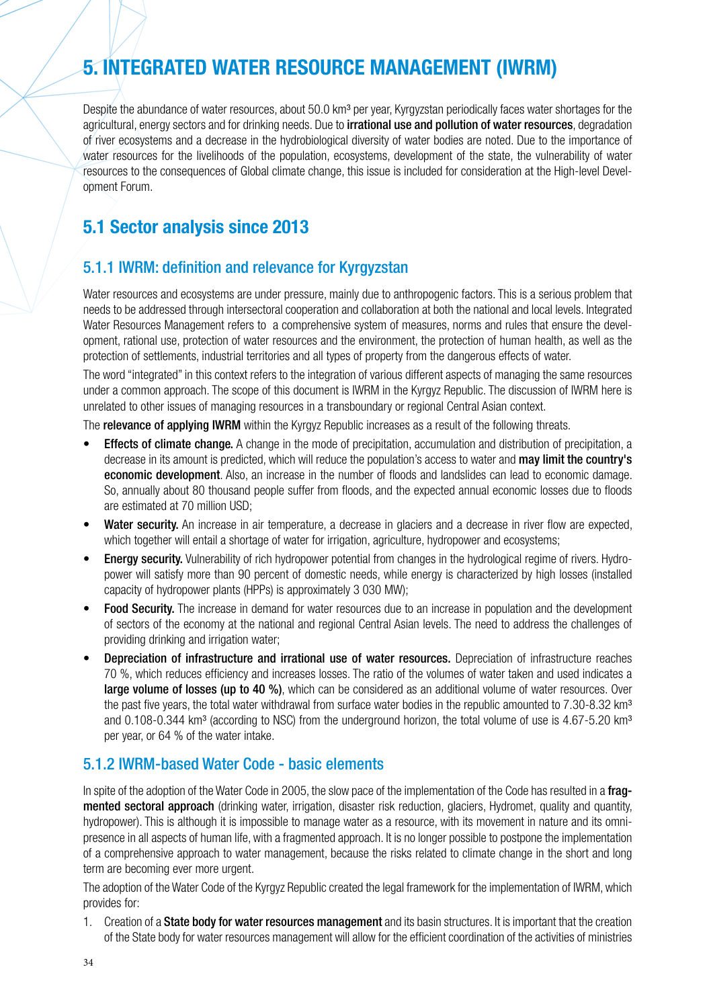# **5. INTEGRATED WATER RESOURCE MANAGEMENT (IWRM)**

Despite the abundance of water resources, about 50.0 km<sup>3</sup> per year, Kyrgyzstan periodically faces water shortages for the agricultural, energy sectors and for drinking needs. Due to **irrational use and pollution of water resources**, degradation of river ecosystems and a decrease in the hydrobiological diversity of water bodies are noted. Due to the importance of water resources for the livelihoods of the population, ecosystems, development of the state, the vulnerability of water resources to the consequences of Global climate change, this issue is included for consideration at the High-level Development Forum.

### **5.1 Sector analysis since 2013**

### 5.1.1 IWRM: definition and relevance for Kyrgyzstan

Water resources and ecosystems are under pressure, mainly due to anthropogenic factors. This is a serious problem that needs to be addressed through intersectoral cooperation and collaboration at both the national and local levels. Integrated Water Resources Management refers to a comprehensive system of measures, norms and rules that ensure the development, rational use, protection of water resources and the environment, the protection of human health, as well as the protection of settlements, industrial territories and all types of property from the dangerous effects of water.

The word "integrated" in this context refers to the integration of various different aspects of managing the same resources under a common approach. The scope of this document is IWRM in the Kyrgyz Republic. The discussion of IWRM here is unrelated to other issues of managing resources in a transboundary or regional Central Asian context.

The **relevance of applying IWRM** within the Kyrgyz Republic increases as a result of the following threats.

- **Effects of climate change.** A change in the mode of precipitation, accumulation and distribution of precipitation, a decrease in its amount is predicted, which will reduce the population's access to water and may limit the country's economic development. Also, an increase in the number of floods and landslides can lead to economic damage. So, annually about 80 thousand people suffer from floods, and the expected annual economic losses due to floods are estimated at 70 million USD;
- Water security. An increase in air temperature, a decrease in glaciers and a decrease in river flow are expected, which together will entail a shortage of water for irrigation, agriculture, hydropower and ecosystems;
- **Energy security.** Vulnerability of rich hydropower potential from changes in the hydrological regime of rivers. Hydropower will satisfy more than 90 percent of domestic needs, while energy is characterized by high losses (installed capacity of hydropower plants (HPPs) is approximately 3 030 MW);
- **Food Security.** The increase in demand for water resources due to an increase in population and the development of sectors of the economy at the national and regional Central Asian levels. The need to address the challenges of providing drinking and irrigation water;
- Depreciation of infrastructure and irrational use of water resources. Depreciation of infrastructure reaches 70 %, which reduces efficiency and increases losses. The ratio of the volumes of water taken and used indicates a large volume of losses (up to 40 %), which can be considered as an additional volume of water resources. Over the past five years, the total water withdrawal from surface water bodies in the republic amounted to  $7.30$ -8.32 km<sup>3</sup> and 0.108-0.344 km<sup>3</sup> (according to NSC) from the underground horizon, the total volume of use is 4.67-5.20 km<sup>3</sup> per year, or 64 % of the water intake.

#### 5.1.2 IWRM-based Water Code - basic elements

In spite of the adoption of the Water Code in 2005, the slow pace of the implementation of the Code has resulted in a fragmented sectoral approach (drinking water, irrigation, disaster risk reduction, glaciers, Hydromet, quality and quantity, hydropower). This is although it is impossible to manage water as a resource, with its movement in nature and its omnipresence in all aspects of human life, with a fragmented approach. It is no longer possible to postpone the implementation of a comprehensive approach to water management, because the risks related to climate change in the short and long term are becoming ever more urgent.

The adoption of the Water Code of the Kyrgyz Republic created the legal framework for the implementation of IWRM, which provides for:

1. Creation of a State body for water resources management and its basin structures. It is important that the creation of the State body for water resources management will allow for the efficient coordination of the activities of ministries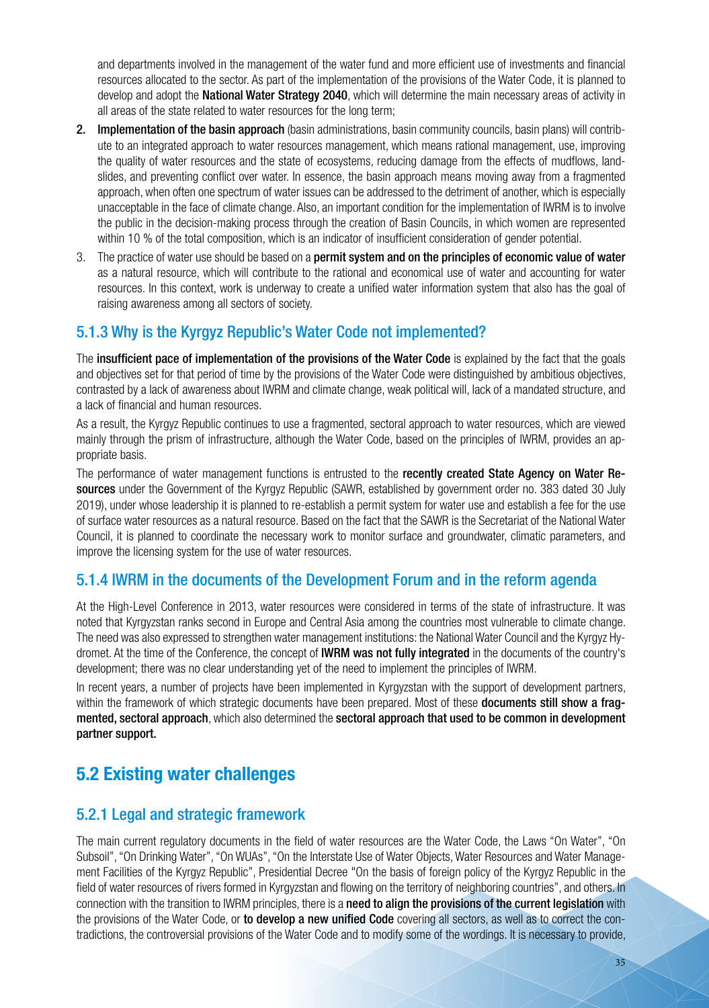and departments involved in the management of the water fund and more efficient use of investments and financial resources allocated to the sector. As part of the implementation of the provisions of the Water Code, it is planned to develop and adopt the National Water Strategy 2040, which will determine the main necessary areas of activity in all areas of the state related to water resources for the long term;

- 2. Implementation of the basin approach (basin administrations, basin community councils, basin plans) will contribute to an integrated approach to water resources management, which means rational management, use, improving the quality of water resources and the state of ecosystems, reducing damage from the effects of mudflows, landslides, and preventing conflict over water. In essence, the basin approach means moving away from a fragmented approach, when often one spectrum of water issues can be addressed to the detriment of another, which is especially unacceptable in the face of climate change. Also, an important condition for the implementation of IWRM is to involve the public in the decision-making process through the creation of Basin Councils, in which women are represented within 10 % of the total composition, which is an indicator of insufficient consideration of gender potential.
- 3. The practice of water use should be based on a permit system and on the principles of economic value of water as a natural resource, which will contribute to the rational and economical use of water and accounting for water resources. In this context, work is underway to create a unified water information system that also has the goal of raising awareness among all sectors of society.

#### 5.1.3 Why is the Kyrgyz Republic's Water Code not implemented?

The insufficient pace of implementation of the provisions of the Water Code is explained by the fact that the goals and objectives set for that period of time by the provisions of the Water Code were distinguished by ambitious objectives, contrasted by a lack of awareness about IWRM and climate change, weak political will, lack of a mandated structure, and a lack of financial and human resources.

As a result, the Kyrgyz Republic continues to use a fragmented, sectoral approach to water resources, which are viewed mainly through the prism of infrastructure, although the Water Code, based on the principles of IWRM, provides an appropriate basis.

The performance of water management functions is entrusted to the recently created State Agency on Water Resources under the Government of the Kyrgyz Republic (SAWR, established by government order no. 383 dated 30 July 2019), under whose leadership it is planned to re-establish a permit system for water use and establish a fee for the use of surface water resources as a natural resource. Based on the fact that the SAWR is the Secretariat of the National Water Council, it is planned to coordinate the necessary work to monitor surface and groundwater, climatic parameters, and improve the licensing system for the use of water resources.

### 5.1.4 IWRM in the documents of the Development Forum and in the reform agenda

At the High-Level Conference in 2013, water resources were considered in terms of the state of infrastructure. It was noted that Kyrgyzstan ranks second in Europe and Central Asia among the countries most vulnerable to climate change. The need was also expressed to strengthen water management institutions: the National Water Council and the Kyrgyz Hydromet. At the time of the Conference, the concept of IWRM was not fully integrated in the documents of the country's development; there was no clear understanding yet of the need to implement the principles of IWRM.

In recent years, a number of projects have been implemented in Kyrgyzstan with the support of development partners, within the framework of which strategic documents have been prepared. Most of these documents still show a fragmented, sectoral approach, which also determined the sectoral approach that used to be common in development partner support.

### **5.2 Existing water challenges**

#### 5.2.1 Legal and strategic framework

The main current regulatory documents in the field of water resources are the Water Code, the Laws "On Water", "On Subsoil", "On Drinking Water", "On WUAs", "On the Interstate Use of Water Objects, Water Resources and Water Management Facilities of the Kyrgyz Republic", Presidential Decree "On the basis of foreign policy of the Kyrgyz Republic in the field of water resources of rivers formed in Kyrgyzstan and flowing on the territory of neighboring countries", and others. In connection with the transition to IWRM principles, there is a need to align the provisions of the current legislation with the provisions of the Water Code, or to develop a new unified Code covering all sectors, as well as to correct the contradictions, the controversial provisions of the Water Code and to modify some of the wordings. It is necessary to provide,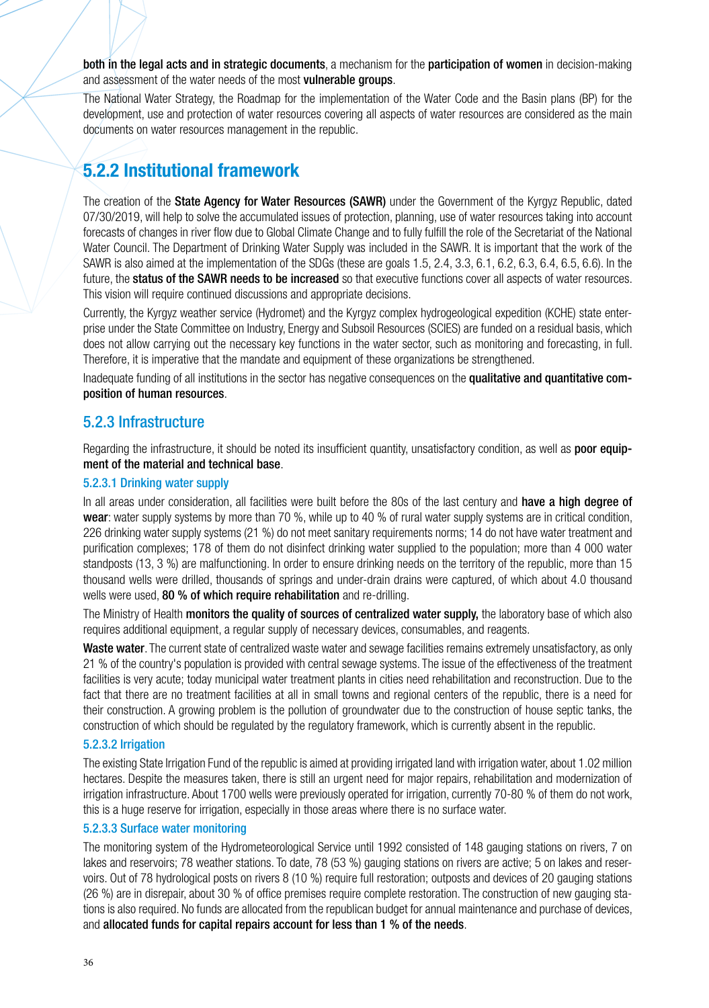both in the legal acts and in strategic documents, a mechanism for the participation of women in decision-making and assessment of the water needs of the most vulnerable groups.

The National Water Strategy, the Roadmap for the implementation of the Water Code and the Basin plans (BP) for the development, use and protection of water resources covering all aspects of water resources are considered as the main documents on water resources management in the republic.

# **5.2.2 Institutional framework**

The creation of the **State Agency for Water Resources (SAWR)** under the Government of the Kyrgyz Republic, dated 07/30/2019, will help to solve the accumulated issues of protection, planning, use of water resources taking into account forecasts of changes in river flow due to Global Climate Change and to fully fulfill the role of the Secretariat of the National Water Council. The Department of Drinking Water Supply was included in the SAWR. It is important that the work of the SAWR is also aimed at the implementation of the SDGs (these are goals 1.5, 2.4, 3.3, 6.1, 6.2, 6.3, 6.4, 6.5, 6.6). In the future. the status of the SAWR needs to be increased so that executive functions cover all aspects of water resources. This vision will require continued discussions and appropriate decisions.

Currently, the Kyrgyz weather service (Hydromet) and the Kyrgyz complex hydrogeological expedition (KCHE) state enterprise under the State Committee on Industry, Energy and Subsoil Resources (SCIES) are funded on a residual basis, which does not allow carrying out the necessary key functions in the water sector, such as monitoring and forecasting, in full. Therefore, it is imperative that the mandate and equipment of these organizations be strengthened.

Inadequate funding of all institutions in the sector has negative consequences on the qualitative and quantitative composition of human resources.

#### 5.2.3 Infrastructure

Regarding the infrastructure, it should be noted its insufficient quantity, unsatisfactory condition, as well as **poor equip**ment of the material and technical base.

#### 5.2.3.1 Drinking water supply

In all areas under consideration, all facilities were built before the 80s of the last century and have a high degree of wear: water supply systems by more than 70 %, while up to 40 % of rural water supply systems are in critical condition, 226 drinking water supply systems (21 %) do not meet sanitary requirements norms; 14 do not have water treatment and purification complexes; 178 of them do not disinfect drinking water supplied to the population; more than 4 000 water standposts (13, 3 %) are malfunctioning. In order to ensure drinking needs on the territory of the republic, more than 15 thousand wells were drilled, thousands of springs and under-drain drains were captured, of which about 4.0 thousand wells were used, 80 % of which require rehabilitation and re-drilling.

The Ministry of Health monitors the quality of sources of centralized water supply, the laboratory base of which also requires additional equipment, a regular supply of necessary devices, consumables, and reagents.

Waste water. The current state of centralized waste water and sewage facilities remains extremely unsatisfactory, as only 21 % of the country's population is provided with central sewage systems. The issue of the effectiveness of the treatment facilities is very acute; today municipal water treatment plants in cities need rehabilitation and reconstruction. Due to the fact that there are no treatment facilities at all in small towns and regional centers of the republic, there is a need for their construction. A growing problem is the pollution of groundwater due to the construction of house septic tanks, the construction of which should be regulated by the regulatory framework, which is currently absent in the republic.

#### 5.2.3.2 Irrigation

The existing State Irrigation Fund of the republic is aimed at providing irrigated land with irrigation water, about 1.02 million hectares. Despite the measures taken, there is still an urgent need for major repairs, rehabilitation and modernization of irrigation infrastructure. About 1700 wells were previously operated for irrigation, currently 70-80 % of them do not work, this is a huge reserve for irrigation, especially in those areas where there is no surface water.

#### 5.2.3.3 Surface water monitoring

The monitoring system of the Hydrometeorological Service until 1992 consisted of 148 gauging stations on rivers, 7 on lakes and reservoirs; 78 weather stations. To date, 78 (53 %) gauging stations on rivers are active; 5 on lakes and reservoirs. Out of 78 hydrological posts on rivers 8 (10 %) require full restoration; outposts and devices of 20 gauging stations (26 %) are in disrepair, about 30 % of office premises require complete restoration. The construction of new gauging stations is also required. No funds are allocated from the republican budget for annual maintenance and purchase of devices, and allocated funds for capital repairs account for less than 1 % of the needs.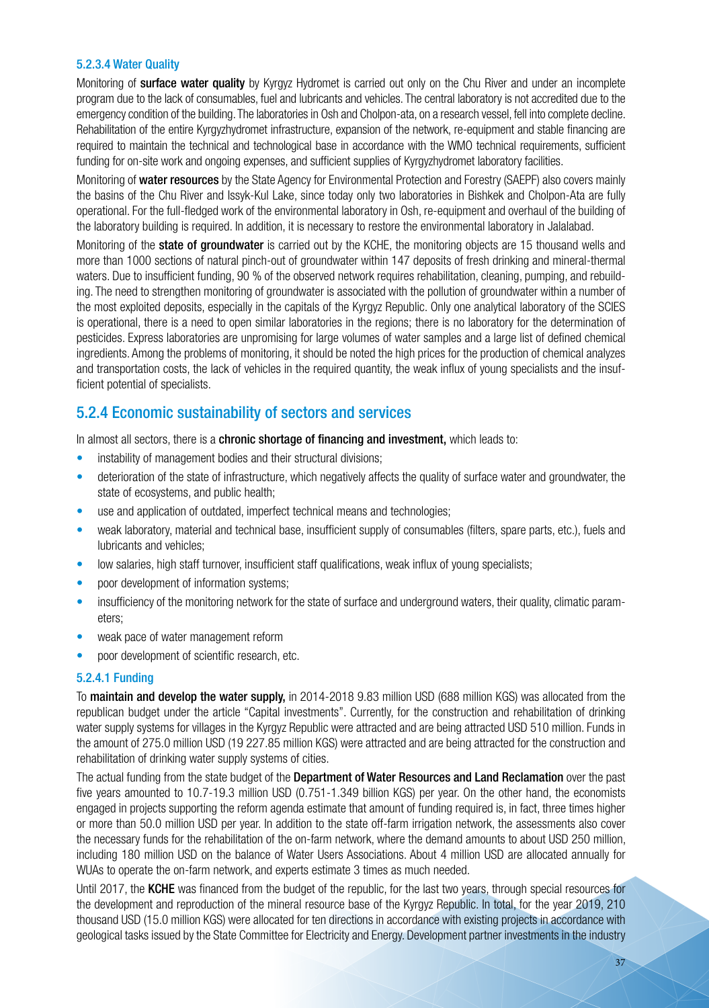#### 5.2.3.4 Water Quality

Monitoring of surface water quality by Kyrgyz Hydromet is carried out only on the Chu River and under an incomplete program due to the lack of consumables, fuel and lubricants and vehicles. The central laboratory is not accredited due to the emergency condition of the building. The laboratories in Osh and Cholpon-ata, on a research vessel, fell into complete decline. Rehabilitation of the entire Kyrgyzhydromet infrastructure, expansion of the network, re-equipment and stable financing are required to maintain the technical and technological base in accordance with the WMO technical requirements, sufficient funding for on-site work and ongoing expenses, and sufficient supplies of Kyrgyzhydromet laboratory facilities.

Monitoring of water resources by the State Agency for Environmental Protection and Forestry (SAEPF) also covers mainly the basins of the Chu River and Issyk-Kul Lake, since today only two laboratories in Bishkek and Cholpon-Ata are fully operational. For the full-fledged work of the environmental laboratory in Osh, re-equipment and overhaul of the building of the laboratory building is required. In addition, it is necessary to restore the environmental laboratory in Jalalabad.

Monitoring of the **state of groundwater** is carried out by the KCHE, the monitoring objects are 15 thousand wells and more than 1000 sections of natural pinch-out of groundwater within 147 deposits of fresh drinking and mineral-thermal waters. Due to insufficient funding, 90 % of the observed network requires rehabilitation, cleaning, pumping, and rebuilding. The need to strengthen monitoring of groundwater is associated with the pollution of groundwater within a number of the most exploited deposits, especially in the capitals of the Kyrgyz Republic. Only one analytical laboratory of the SCIES is operational, there is a need to open similar laboratories in the regions; there is no laboratory for the determination of pesticides. Express laboratories are unpromising for large volumes of water samples and a large list of defined chemical ingredients. Among the problems of monitoring, it should be noted the high prices for the production of chemical analyzes and transportation costs, the lack of vehicles in the required quantity, the weak influx of young specialists and the insufficient potential of specialists.

#### 5.2.4 Economic sustainability of sectors and services

In almost all sectors, there is a **chronic shortage of financing and investment**, which leads to:

- instability of management bodies and their structural divisions;
- deterioration of the state of infrastructure, which negatively affects the quality of surface water and groundwater, the state of ecosystems, and public health;
- use and application of outdated, imperfect technical means and technologies;
- weak laboratory, material and technical base, insufficient supply of consumables (filters, spare parts, etc.), fuels and lubricants and vehicles;
- low salaries, high staff turnover, insufficient staff qualifications, weak influx of young specialists;
- poor development of information systems;
- insufficiency of the monitoring network for the state of surface and underground waters, their quality, climatic parameters;
- weak pace of water management reform
- poor development of scientific research, etc.

#### 5.2.4.1 Funding

To maintain and develop the water supply, in 2014-2018 9.83 million USD (688 million KGS) was allocated from the republican budget under the article "Capital investments". Currently, for the construction and rehabilitation of drinking water supply systems for villages in the Kyrgyz Republic were attracted and are being attracted USD 510 million. Funds in the amount of 275.0 million USD (19 227.85 million KGS) were attracted and are being attracted for the construction and rehabilitation of drinking water supply systems of cities.

The actual funding from the state budget of the Department of Water Resources and Land Reclamation over the past five years amounted to 10.7-19.3 million USD (0.751-1.349 billion KGS) per year. On the other hand, the economists engaged in projects supporting the reform agenda estimate that amount of funding required is, in fact, three times higher or more than 50.0 million USD per year. In addition to the state off-farm irrigation network, the assessments also cover the necessary funds for the rehabilitation of the on-farm network, where the demand amounts to about USD 250 million, including 180 million USD on the balance of Water Users Associations. About 4 million USD are allocated annually for WUAs to operate the on-farm network, and experts estimate 3 times as much needed.

Until 2017, the KCHE was financed from the budget of the republic, for the last two years, through special resources for the development and reproduction of the mineral resource base of the Kyrgyz Republic. In total, for the year 2019, 210 thousand USD (15.0 million KGS) were allocated for ten directions in accordance with existing projects in accordance with geological tasks issued by the State Committee for Electricity and Energy. Development partner investments in the industry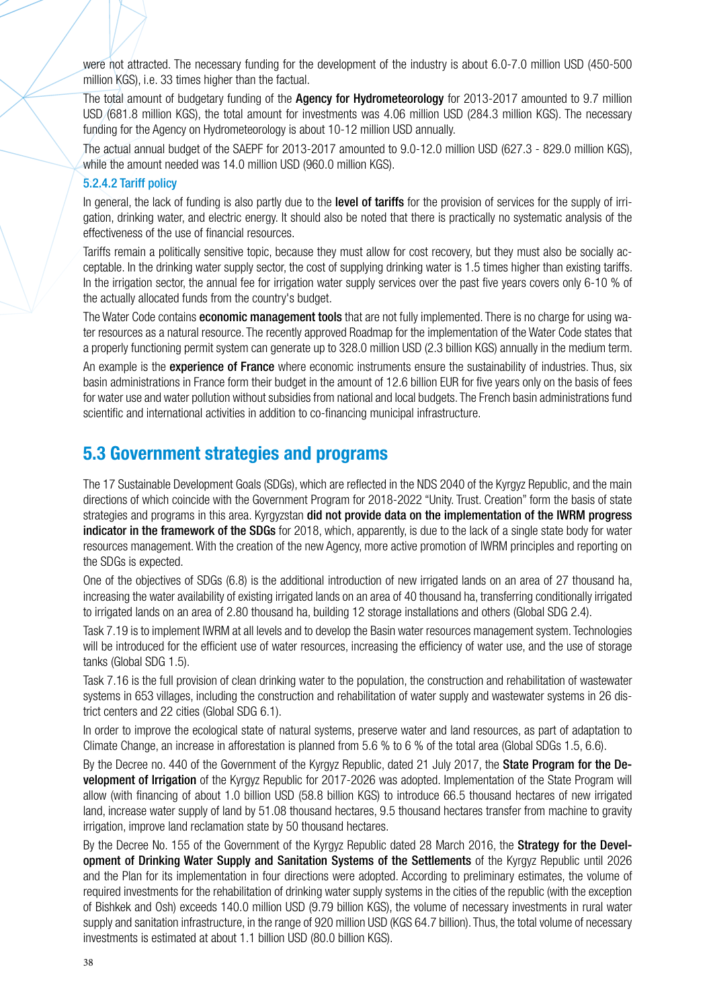were not attracted. The necessary funding for the development of the industry is about 6.0-7.0 million USD (450-500 million KGS), i.e. 33 times higher than the factual.

The total amount of budgetary funding of the **Agency for Hydrometeorology** for 2013-2017 amounted to 9.7 million USD (681.8 million KGS), the total amount for investments was 4.06 million USD (284.3 million KGS). The necessary funding for the Agency on Hydrometeorology is about 10-12 million USD annually.

The actual annual budget of the SAEPF for 2013-2017 amounted to 9.0-12.0 million USD (627.3 - 829.0 million KGS), while the amount needed was 14.0 million USD (960.0 million KGS).

#### 5.2.4.2 Tariff policy

In general, the lack of funding is also partly due to the level of tariffs for the provision of services for the supply of irrigation, drinking water, and electric energy. It should also be noted that there is practically no systematic analysis of the effectiveness of the use of financial resources.

Tariffs remain a politically sensitive topic, because they must allow for cost recovery, but they must also be socially acceptable. In the drinking water supply sector, the cost of supplying drinking water is 1.5 times higher than existing tariffs. In the irrigation sector, the annual fee for irrigation water supply services over the past five years covers only 6-10 % of the actually allocated funds from the country's budget.

The Water Code contains **economic management tools** that are not fully implemented. There is no charge for using water resources as a natural resource. The recently approved Roadmap for the implementation of the Water Code states that a properly functioning permit system can generate up to 328.0 million USD (2.3 billion KGS) annually in the medium term.

An example is the **experience of France** where economic instruments ensure the sustainability of industries. Thus, six basin administrations in France form their budget in the amount of 12.6 billion EUR for five years only on the basis of fees for water use and water pollution without subsidies from national and local budgets. The French basin administrations fund scientific and international activities in addition to co-financing municipal infrastructure.

### **5.3 Government strategies and programs**

The 17 Sustainable Development Goals (SDGs), which are reflected in the NDS 2040 of the Kyrgyz Republic, and the main directions of which coincide with the Government Program for 2018-2022 "Unity. Trust. Creation" form the basis of state strategies and programs in this area. Kyrgyzstan did not provide data on the implementation of the IWRM progress indicator in the framework of the SDGs for 2018, which, apparently, is due to the lack of a single state body for water resources management. With the creation of the new Agency, more active promotion of IWRM principles and reporting on the SDGs is expected.

One of the objectives of SDGs (6.8) is the additional introduction of new irrigated lands on an area of 27 thousand ha, increasing the water availability of existing irrigated lands on an area of 40 thousand ha, transferring conditionally irrigated to irrigated lands on an area of 2.80 thousand ha, building 12 storage installations and others (Global SDG 2.4).

Task 7.19 is to implement IWRM at all levels and to develop the Basin water resources management system. Technologies will be introduced for the efficient use of water resources, increasing the efficiency of water use, and the use of storage tanks (Global SDG 1.5).

Task 7.16 is the full provision of clean drinking water to the population, the construction and rehabilitation of wastewater systems in 653 villages, including the construction and rehabilitation of water supply and wastewater systems in 26 district centers and 22 cities (Global SDG 6.1).

In order to improve the ecological state of natural systems, preserve water and land resources, as part of adaptation to Climate Change, an increase in afforestation is planned from 5.6 % to 6 % of the total area (Global SDGs 1.5, 6.6).

By the Decree no. 440 of the Government of the Kyrgyz Republic, dated 21 July 2017, the State Program for the Development of Irrigation of the Kyrgyz Republic for 2017-2026 was adopted. Implementation of the State Program will allow (with financing of about 1.0 billion USD (58.8 billion KGS) to introduce 66.5 thousand hectares of new irrigated land, increase water supply of land by 51.08 thousand hectares, 9.5 thousand hectares transfer from machine to gravity irrigation, improve land reclamation state by 50 thousand hectares.

By the Decree No. 155 of the Government of the Kyrgyz Republic dated 28 March 2016, the **Strategy for the Devel**opment of Drinking Water Supply and Sanitation Systems of the Settlements of the Kyrgyz Republic until 2026 and the Plan for its implementation in four directions were adopted. According to preliminary estimates, the volume of required investments for the rehabilitation of drinking water supply systems in the cities of the republic (with the exception of Bishkek and Osh) exceeds 140.0 million USD (9.79 billion KGS), the volume of necessary investments in rural water supply and sanitation infrastructure, in the range of 920 million USD (KGS 64.7 billion). Thus, the total volume of necessary investments is estimated at about 1.1 billion USD (80.0 billion KGS).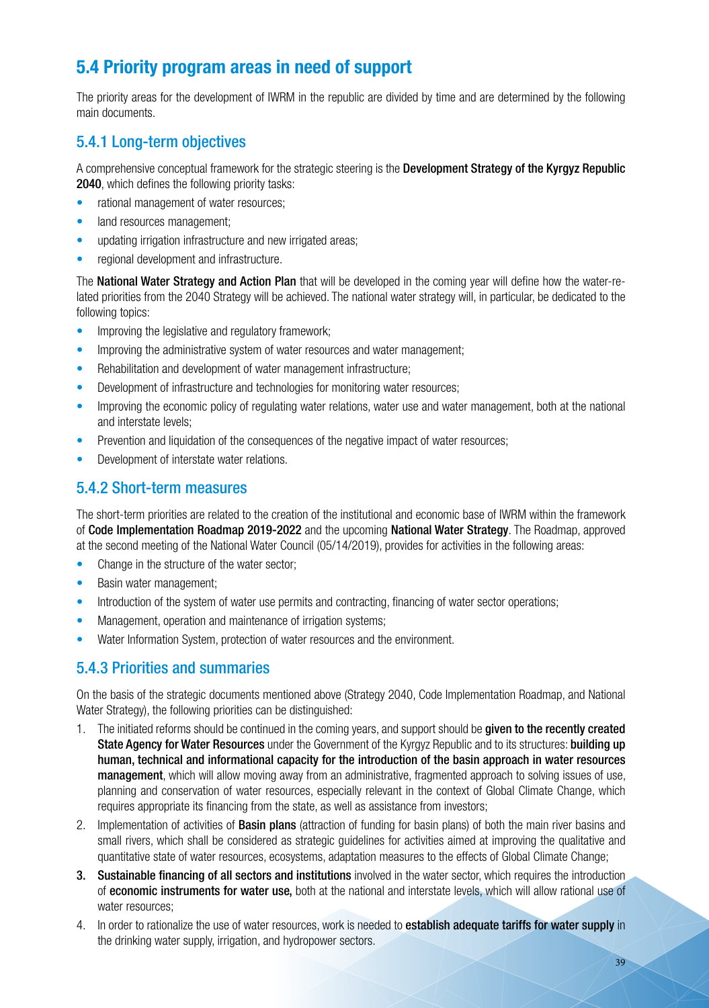# **5.4 Priority program areas in need of support**

The priority areas for the development of IWRM in the republic are divided by time and are determined by the following main documents.

### 5.4.1 Long-term objectives

A comprehensive conceptual framework for the strategic steering is the Development Strategy of the Kyrgyz Republic 2040, which defines the following priority tasks:

- rational management of water resources;
- land resources management;
- updating irrigation infrastructure and new irrigated areas;
- regional development and infrastructure.

The **National Water Strategy and Action Plan** that will be developed in the coming year will define how the water-related priorities from the 2040 Strategy will be achieved. The national water strategy will, in particular, be dedicated to the following topics:

- Improving the legislative and regulatory framework;
- Improving the administrative system of water resources and water management:
- Rehabilitation and development of water management infrastructure;
- Development of infrastructure and technologies for monitoring water resources;
- Improving the economic policy of regulating water relations, water use and water management, both at the national and interstate levels;
- Prevention and liquidation of the consequences of the negative impact of water resources;
- Development of interstate water relations.

### 5.4.2 Short-term measures

The short-term priorities are related to the creation of the institutional and economic base of IWRM within the framework of Code Implementation Roadmap 2019-2022 and the upcoming National Water Strategy. The Roadmap, approved at the second meeting of the National Water Council (05/14/2019), provides for activities in the following areas:

- Change in the structure of the water sector;
- Basin water management;
- Introduction of the system of water use permits and contracting, financing of water sector operations;
- Management, operation and maintenance of irrigation systems;
- Water Information System, protection of water resources and the environment.

#### 5.4.3 Priorities and summaries

On the basis of the strategic documents mentioned above (Strategy 2040, Code Implementation Roadmap, and National Water Strategy), the following priorities can be distinguished:

- 1. The initiated reforms should be continued in the coming years, and support should be given to the recently created State Agency for Water Resources under the Government of the Kyrgyz Republic and to its structures: building up human, technical and informational capacity for the introduction of the basin approach in water resources management, which will allow moving away from an administrative, fragmented approach to solving issues of use, planning and conservation of water resources, especially relevant in the context of Global Climate Change, which requires appropriate its financing from the state, as well as assistance from investors;
- 2. Implementation of activities of **Basin plans** (attraction of funding for basin plans) of both the main river basins and small rivers, which shall be considered as strategic guidelines for activities aimed at improving the qualitative and quantitative state of water resources, ecosystems, adaptation measures to the effects of Global Climate Change;
- 3. Sustainable financing of all sectors and institutions involved in the water sector, which requires the introduction of economic instruments for water use, both at the national and interstate levels, which will allow rational use of water resources;
- 4. In order to rationalize the use of water resources, work is needed to establish adequate tariffs for water supply in the drinking water supply, irrigation, and hydropower sectors.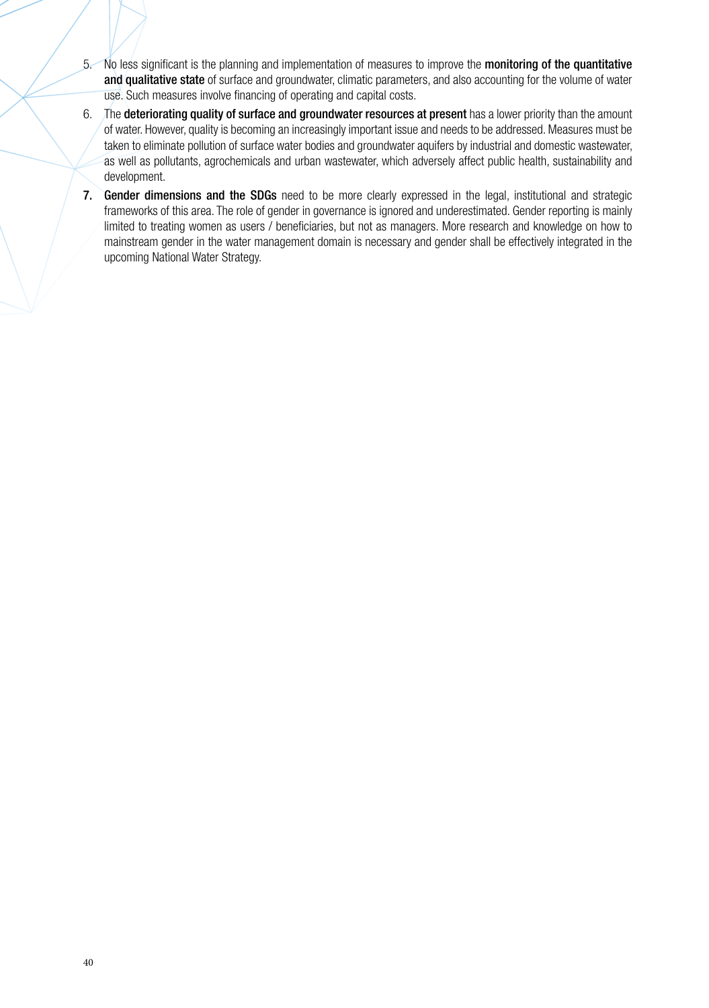- 5. No less significant is the planning and implementation of measures to improve the monitoring of the quantitative and qualitative state of surface and groundwater, climatic parameters, and also accounting for the volume of water use. Such measures involve financing of operating and capital costs.
- 6. The deteriorating quality of surface and groundwater resources at present has a lower priority than the amount of water. However, quality is becoming an increasingly important issue and needs to be addressed. Measures must be taken to eliminate pollution of surface water bodies and groundwater aquifers by industrial and domestic wastewater, as well as pollutants, agrochemicals and urban wastewater, which adversely affect public health, sustainability and development.
- 7. Gender dimensions and the SDGs need to be more clearly expressed in the legal, institutional and strategic frameworks of this area. The role of gender in governance is ignored and underestimated. Gender reporting is mainly limited to treating women as users / beneficiaries, but not as managers. More research and knowledge on how to mainstream gender in the water management domain is necessary and gender shall be effectively integrated in the upcoming National Water Strategy.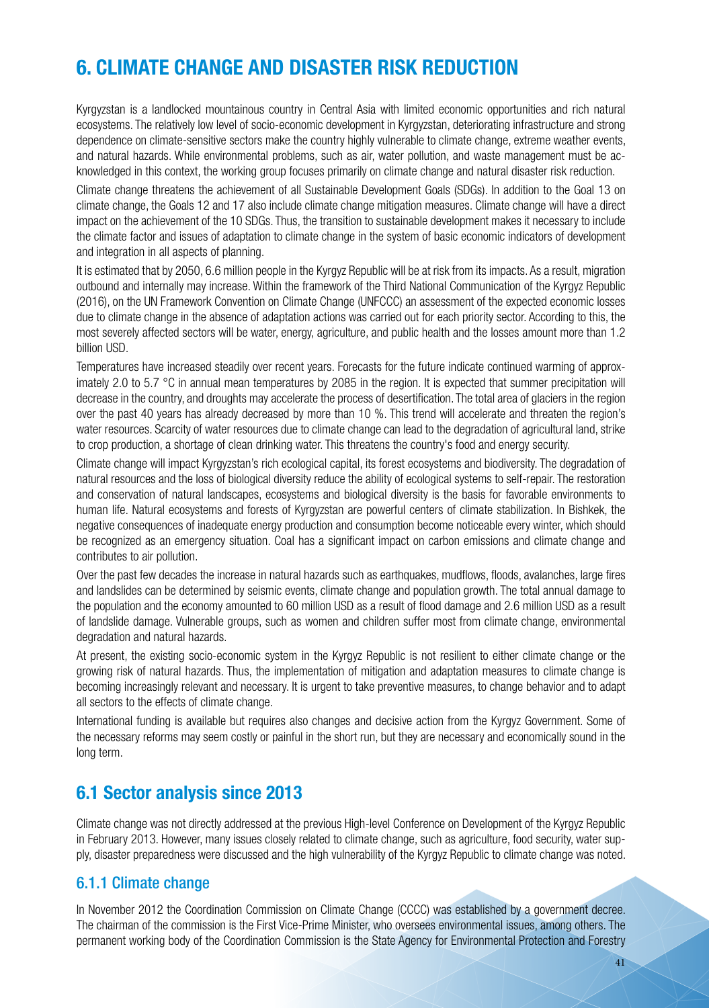# **6. CLIMATE CHANGE AND DISASTER RISK REDUCTION**

Kyrgyzstan is a landlocked mountainous country in Central Asia with limited economic opportunities and rich natural ecosystems. The relatively low level of socio-economic development in Kyrgyzstan, deteriorating infrastructure and strong dependence on climate-sensitive sectors make the country highly vulnerable to climate change, extreme weather events, and natural hazards. While environmental problems, such as air, water pollution, and waste management must be acknowledged in this context, the working group focuses primarily on climate change and natural disaster risk reduction.

Climate change threatens the achievement of all Sustainable Development Goals (SDGs). In addition to the Goal 13 on climate change, the Goals 12 and 17 also include climate change mitigation measures. Climate change will have a direct impact on the achievement of the 10 SDGs. Thus, the transition to sustainable development makes it necessary to include the climate factor and issues of adaptation to climate change in the system of basic economic indicators of development and integration in all aspects of planning.

It is estimated that by 2050, 6.6 million people in the Kyrgyz Republic will be at risk from its impacts. As a result, migration outbound and internally may increase. Within the framework of the Third National Communication of the Kyrgyz Republic (2016), on the UN Framework Convention on Climate Change (UNFCCC) an assessment of the expected economic losses due to climate change in the absence of adaptation actions was carried out for each priority sector. According to this, the most severely affected sectors will be water, energy, agriculture, and public health and the losses amount more than 1.2 billion USD.

Temperatures have increased steadily over recent years. Forecasts for the future indicate continued warming of approximately 2.0 to 5.7 °C in annual mean temperatures by 2085 in the region. It is expected that summer precipitation will decrease in the country, and droughts may accelerate the process of desertification. The total area of glaciers in the region over the past 40 years has already decreased by more than 10 %. This trend will accelerate and threaten the region's water resources. Scarcity of water resources due to climate change can lead to the degradation of agricultural land, strike to crop production, a shortage of clean drinking water. This threatens the country's food and energy security.

Climate change will impact Kyrgyzstan's rich ecological capital, its forest ecosystems and biodiversity. The degradation of natural resources and the loss of biological diversity reduce the ability of ecological systems to self-repair. The restoration and conservation of natural landscapes, ecosystems and biological diversity is the basis for favorable environments to human life. Natural ecosystems and forests of Kyrgyzstan are powerful centers of climate stabilization. In Bishkek, the negative consequences of inadequate energy production and consumption become noticeable every winter, which should be recognized as an emergency situation. Coal has a significant impact on carbon emissions and climate change and contributes to air pollution.

Over the past few decades the increase in natural hazards such as earthquakes, mudflows, floods, avalanches, large fires and landslides can be determined by seismic events, climate change and population growth. The total annual damage to the population and the economy amounted to 60 million USD as a result of flood damage and 2.6 million USD as a result of landslide damage. Vulnerable groups, such as women and children suffer most from climate change, environmental degradation and natural hazards.

At present, the existing socio-economic system in the Kyrgyz Republic is not resilient to either climate change or the growing risk of natural hazards. Thus, the implementation of mitigation and adaptation measures to climate change is becoming increasingly relevant and necessary. It is urgent to take preventive measures, to change behavior and to adapt all sectors to the effects of climate change.

International funding is available but requires also changes and decisive action from the Kyrgyz Government. Some of the necessary reforms may seem costly or painful in the short run, but they are necessary and economically sound in the long term.

### **6.1 Sector analysis since 2013**

Climate change was not directly addressed at the previous High-level Conference on Development of the Kyrgyz Republic in February 2013. However, many issues closely related to climate change, such as agriculture, food security, water supply, disaster preparedness were discussed and the high vulnerability of the Kyrgyz Republic to climate change was noted.

### 6.1.1 Climate change

In November 2012 the Coordination Commission on Climate Change (CCCC) was established by a government decree. The chairman of the commission is the First Vice-Prime Minister, who oversees environmental issues, among others. The permanent working body of the Coordination Commission is the State Agency for Environmental Protection and Forestry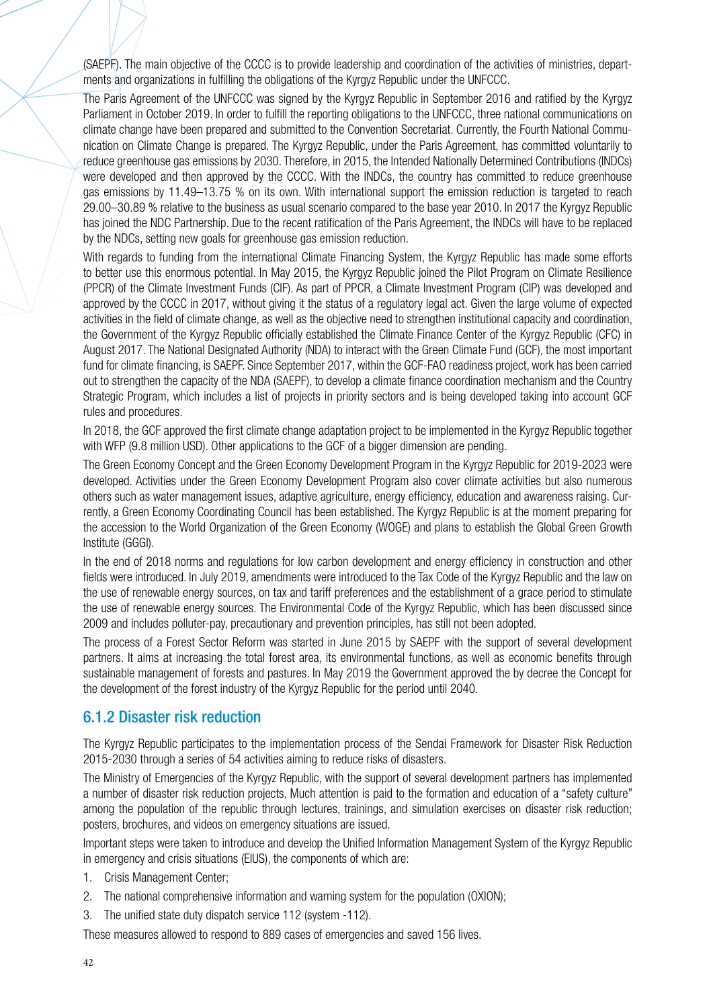(SAEPF). The main objective of the CCCC is to provide leadership and coordination of the activities of ministries, departments and organizations in fulfilling the obligations of the Kyrgyz Republic under the UNFCCC.

The Paris Agreement of the UNFCCC was signed by the Kyrgyz Republic in September 2016 and ratified by the Kyrgyz Parliament in October 2019. In order to fulfill the reporting obligations to the UNFCCC, three national communications on climate change have been prepared and submitted to the Convention Secretariat. Currently, the Fourth National Communication on Climate Change is prepared. The Kyrgyz Republic, under the Paris Agreement, has committed voluntarily to reduce greenhouse gas emissions by 2030. Therefore, in 2015, the Intended Nationally Determined Contributions (INDCs) were developed and then approved by the CCCC. With the INDCs, the country has committed to reduce greenhouse gas emissions by 11.49–13.75 % on its own. With international support the emission reduction is targeted to reach 29.00–30.89 % relative to the business as usual scenario compared to the base year 2010. In 2017 the Kyrgyz Republic has joined the NDC Partnership. Due to the recent ratification of the Paris Agreement, the INDCs will have to be replaced by the NDCs, setting new goals for greenhouse gas emission reduction.

With regards to funding from the international Climate Financing System, the Kyrgyz Republic has made some efforts to better use this enormous potential. In May 2015, the Kyrgyz Republic joined the Pilot Program on Climate Resilience (PPCR) of the Climate Investment Funds (CIF). As part of PPCR, a Climate Investment Program (CIP) was developed and approved by the CCCC in 2017, without giving it the status of a regulatory legal act. Given the large volume of expected activities in the field of climate change, as well as the objective need to strengthen institutional capacity and coordination, the Government of the Kyrgyz Republic officially established the Climate Finance Center of the Kyrgyz Republic (CFC) in August 2017. The National Designated Authority (NDA) to interact with the Green Climate Fund (GCF), the most important fund for climate financing, is SAEPF. Since September 2017, within the GCF-FAO readiness project, work has been carried out to strengthen the capacity of the NDA (SAEPF), to develop a climate finance coordination mechanism and the Country Strategic Program, which includes a list of projects in priority sectors and is being developed taking into account GCF rules and procedures.

In 2018, the GCF approved the first climate change adaptation project to be implemented in the Kyrgyz Republic together with WFP (9.8 million USD). Other applications to the GCF of a bigger dimension are pending.

The Green Economy Concept and the Green Economy Development Program in the Kyrgyz Republic for 2019-2023 were developed. Activities under the Green Economy Development Program also cover climate activities but also numerous others such as water management issues, adaptive agriculture, energy efficiency, education and awareness raising. Currently, a Green Economy Coordinating Council has been established. The Kyrgyz Republic is at the moment preparing for the accession to the World Organization of the Green Economy (WOGE) and plans to establish the Global Green Growth Institute (GGGI).

In the end of 2018 norms and regulations for low carbon development and energy efficiency in construction and other fields were introduced. In July 2019, amendments were introduced to the Tax Code of the Kyrgyz Republic and the law on the use of renewable energy sources, on tax and tariff preferences and the establishment of a grace period to stimulate the use of renewable energy sources. The Environmental Code of the Kyrgyz Republic, which has been discussed since 2009 and includes polluter-pay, precautionary and prevention principles, has still not been adopted.

The process of a Forest Sector Reform was started in June 2015 by SAEPF with the support of several development partners. It aims at increasing the total forest area, its environmental functions, as well as economic benefits through sustainable management of forests and pastures. In May 2019 the Government approved the by decree the Concept for the development of the forest industry of the Kyrgyz Republic for the period until 2040.

#### 6.1.2 Disaster risk reduction

The Kyrgyz Republic participates to the implementation process of the Sendai Framework for Disaster Risk Reduction 2015-2030 through a series of 54 activities aiming to reduce risks of disasters.

The Ministry of Emergencies of the Kyrgyz Republic, with the support of several development partners has implemented a number of disaster risk reduction projects. Much attention is paid to the formation and education of a "safety culture" among the population of the republic through lectures, trainings, and simulation exercises on disaster risk reduction; posters, brochures, and videos on emergency situations are issued.

Important steps were taken to introduce and develop the Unified Information Management System of the Kyrgyz Republic in emergency and crisis situations (EIUS), the components of which are:

- 1. Crisis Management Center;
- 2. The national comprehensive information and warning system for the population (OXION);
- 3. The unified state duty dispatch service 112 (system -112).

These measures allowed to respond to 889 cases of emergencies and saved 156 lives.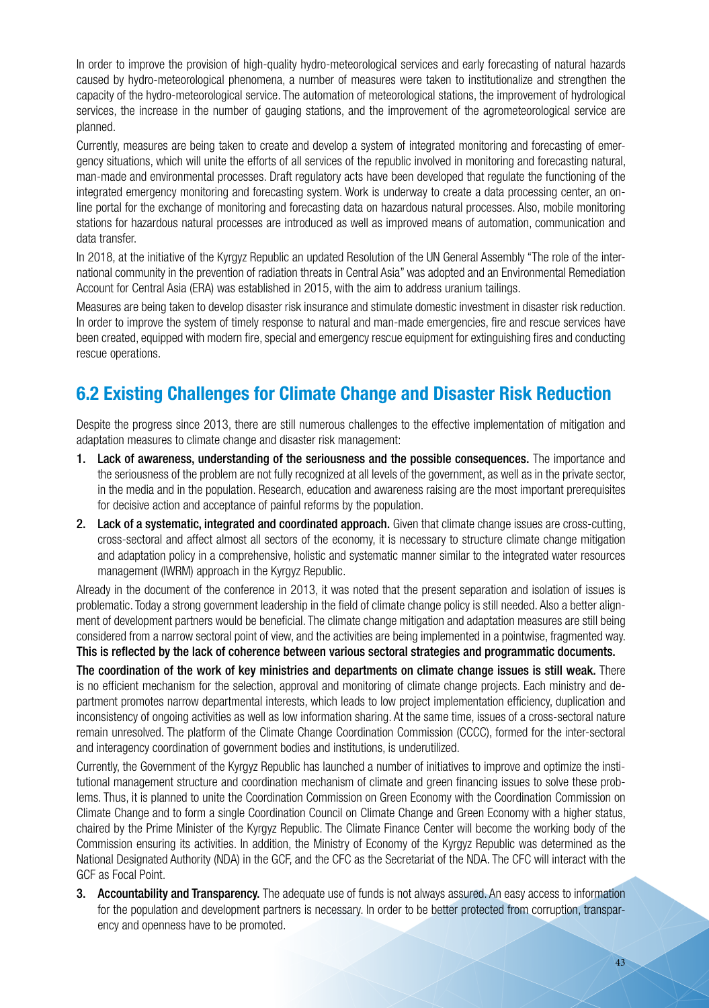In order to improve the provision of high-quality hydro-meteorological services and early forecasting of natural hazards caused by hydro-meteorological phenomena, a number of measures were taken to institutionalize and strengthen the capacity of the hydro-meteorological service. The automation of meteorological stations, the improvement of hydrological services, the increase in the number of gauging stations, and the improvement of the agrometeorological service are planned.

Currently, measures are being taken to create and develop a system of integrated monitoring and forecasting of emergency situations, which will unite the efforts of all services of the republic involved in monitoring and forecasting natural, man-made and environmental processes. Draft regulatory acts have been developed that regulate the functioning of the integrated emergency monitoring and forecasting system. Work is underway to create a data processing center, an online portal for the exchange of monitoring and forecasting data on hazardous natural processes. Also, mobile monitoring stations for hazardous natural processes are introduced as well as improved means of automation, communication and data transfer.

In 2018, at the initiative of the Kyrgyz Republic an updated Resolution of the UN General Assembly "The role of the international community in the prevention of radiation threats in Central Asia" was adopted and an Environmental Remediation Account for Central Asia (ERA) was established in 2015, with the aim to address uranium tailings.

Measures are being taken to develop disaster risk insurance and stimulate domestic investment in disaster risk reduction. In order to improve the system of timely response to natural and man-made emergencies, fire and rescue services have been created, equipped with modern fire, special and emergency rescue equipment for extinguishing fires and conducting rescue operations.

# **6.2 Existing Challenges for Climate Change and Disaster Risk Reduction**

Despite the progress since 2013, there are still numerous challenges to the effective implementation of mitigation and adaptation measures to climate change and disaster risk management:

- 1. Lack of awareness, understanding of the seriousness and the possible consequences. The importance and the seriousness of the problem are not fully recognized at all levels of the government, as well as in the private sector, in the media and in the population. Research, education and awareness raising are the most important prerequisites for decisive action and acceptance of painful reforms by the population.
- 2. Lack of a systematic, integrated and coordinated approach. Given that climate change issues are cross-cutting, cross-sectoral and affect almost all sectors of the economy, it is necessary to structure climate change mitigation and adaptation policy in a comprehensive, holistic and systematic manner similar to the integrated water resources management (IWRM) approach in the Kyrgyz Republic.

Already in the document of the conference in 2013, it was noted that the present separation and isolation of issues is problematic. Today a strong government leadership in the field of climate change policy is still needed. Also a better alignment of development partners would be beneficial. The climate change mitigation and adaptation measures are still being considered from a narrow sectoral point of view, and the activities are being implemented in a pointwise, fragmented way. This is reflected by the lack of coherence between various sectoral strategies and programmatic documents.

The coordination of the work of key ministries and departments on climate change issues is still weak. There is no efficient mechanism for the selection, approval and monitoring of climate change projects. Each ministry and department promotes narrow departmental interests, which leads to low project implementation efficiency, duplication and inconsistency of ongoing activities as well as low information sharing. At the same time, issues of a cross-sectoral nature remain unresolved. The platform of the Climate Change Coordination Commission (CCCC), formed for the inter-sectoral and interagency coordination of government bodies and institutions, is underutilized.

Currently, the Government of the Kyrgyz Republic has launched a number of initiatives to improve and optimize the institutional management structure and coordination mechanism of climate and green financing issues to solve these problems. Thus, it is planned to unite the Coordination Commission on Green Economy with the Coordination Commission on Climate Change and to form a single Coordination Council on Climate Change and Green Economy with a higher status, chaired by the Prime Minister of the Kyrgyz Republic. The Climate Finance Center will become the working body of the Commission ensuring its activities. In addition, the Ministry of Economy of the Kyrgyz Republic was determined as the National Designated Authority (NDA) in the GCF, and the CFC as the Secretariat of the NDA. The CFC will interact with the GCF as Focal Point.

3. Accountability and Transparency. The adequate use of funds is not always assured. An easy access to information for the population and development partners is necessary. In order to be better protected from corruption, transparency and openness have to be promoted.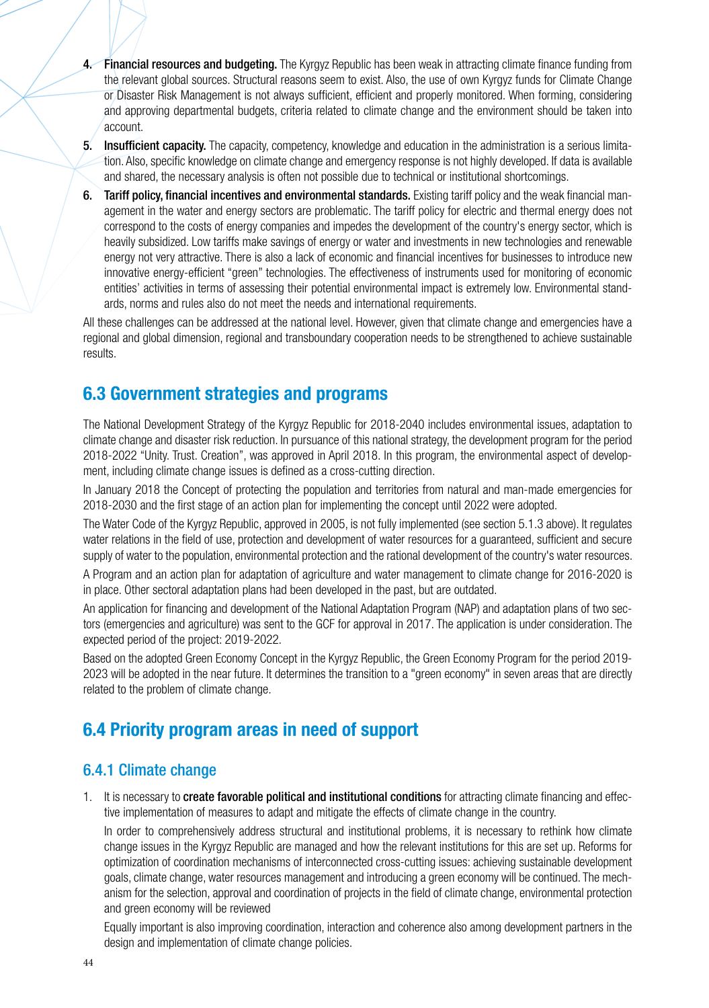- 4. Financial resources and budgeting. The Kyrgyz Republic has been weak in attracting climate finance funding from the relevant global sources. Structural reasons seem to exist. Also, the use of own Kyrgyz funds for Climate Change or Disaster Risk Management is not always sufficient, efficient and properly monitored. When forming, considering and approving departmental budgets, criteria related to climate change and the environment should be taken into account.
- 5. Insufficient capacity. The capacity, competency, knowledge and education in the administration is a serious limitation. Also, specific knowledge on climate change and emergency response is not highly developed. If data is available and shared, the necessary analysis is often not possible due to technical or institutional shortcomings.
- 6. Tariff policy, financial incentives and environmental standards. Existing tariff policy and the weak financial management in the water and energy sectors are problematic. The tariff policy for electric and thermal energy does not correspond to the costs of energy companies and impedes the development of the country's energy sector, which is heavily subsidized. Low tariffs make savings of energy or water and investments in new technologies and renewable energy not very attractive. There is also a lack of economic and financial incentives for businesses to introduce new innovative energy-efficient "green" technologies. The effectiveness of instruments used for monitoring of economic entities' activities in terms of assessing their potential environmental impact is extremely low. Environmental standards, norms and rules also do not meet the needs and international requirements.

All these challenges can be addressed at the national level. However, given that climate change and emergencies have a regional and global dimension, regional and transboundary cooperation needs to be strengthened to achieve sustainable results.

### **6.3 Government strategies and programs**

The National Development Strategy of the Kyrgyz Republic for 2018-2040 includes environmental issues, adaptation to climate change and disaster risk reduction. In pursuance of this national strategy, the development program for the period 2018-2022 "Unity. Trust. Creation", was approved in April 2018. In this program, the environmental aspect of development, including climate change issues is defined as a cross-cutting direction.

In January 2018 the Concept of protecting the population and territories from natural and man-made emergencies for 2018-2030 and the first stage of an action plan for implementing the concept until 2022 were adopted.

The Water Code of the Kyrgyz Republic, approved in 2005, is not fully implemented (see section 5.1.3 above). It regulates water relations in the field of use, protection and development of water resources for a guaranteed, sufficient and secure supply of water to the population, environmental protection and the rational development of the country's water resources.

A Program and an action plan for adaptation of agriculture and water management to climate change for 2016-2020 is in place. Other sectoral adaptation plans had been developed in the past, but are outdated.

An application for financing and development of the National Adaptation Program (NAP) and adaptation plans of two sectors (emergencies and agriculture) was sent to the GCF for approval in 2017. The application is under consideration. The expected period of the project: 2019-2022.

Based on the adopted Green Economy Concept in the Kyrgyz Republic, the Green Economy Program for the period 2019- 2023 will be adopted in the near future. It determines the transition to a "green economy" in seven areas that are directly related to the problem of climate change.

### **6.4 Priority program areas in need of support**

### 6.4.1 Climate change

1. It is necessary to create favorable political and institutional conditions for attracting climate financing and effective implementation of measures to adapt and mitigate the effects of climate change in the country.

In order to comprehensively address structural and institutional problems, it is necessary to rethink how climate change issues in the Kyrgyz Republic are managed and how the relevant institutions for this are set up. Reforms for optimization of coordination mechanisms of interconnected cross-cutting issues: achieving sustainable development goals, climate change, water resources management and introducing a green economy will be continued. The mechanism for the selection, approval and coordination of projects in the field of climate change, environmental protection and green economy will be reviewed

Equally important is also improving coordination, interaction and coherence also among development partners in the design and implementation of climate change policies.